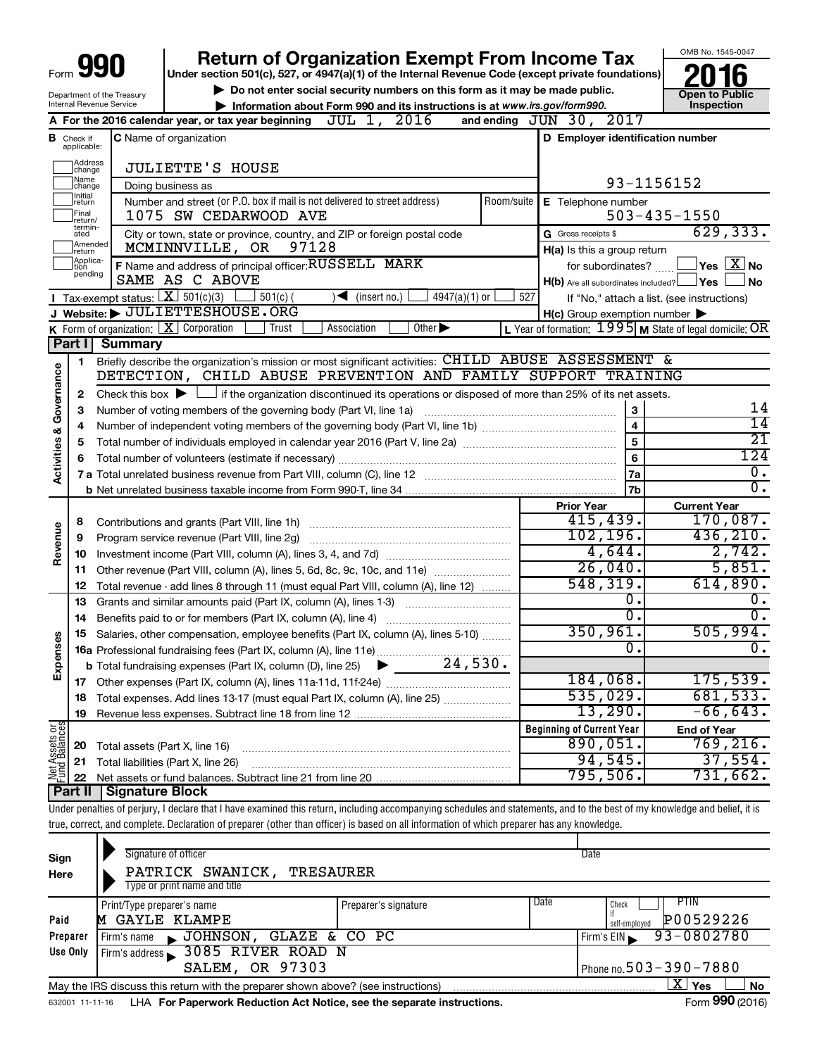|                         |                               |                                                                                                  | <b>Return of Organization Exempt From Income Tax</b>                                                                                                                       |            |                                                           | OMB No. 1545-0047                       |  |  |  |  |  |  |  |  |
|-------------------------|-------------------------------|--------------------------------------------------------------------------------------------------|----------------------------------------------------------------------------------------------------------------------------------------------------------------------------|------------|-----------------------------------------------------------|-----------------------------------------|--|--|--|--|--|--|--|--|
| Form                    |                               |                                                                                                  | Under section 501(c), 527, or 4947(a)(1) of the Internal Revenue Code (except private foundations)                                                                         |            |                                                           |                                         |  |  |  |  |  |  |  |  |
|                         |                               | Department of the Treasury                                                                       | Do not enter social security numbers on this form as it may be made public.                                                                                                |            | <b>Open to Public</b>                                     |                                         |  |  |  |  |  |  |  |  |
|                         |                               | Internal Revenue Service                                                                         | Information about Form 990 and its instructions is at www.irs.gov/form990.                                                                                                 |            |                                                           | Inspection                              |  |  |  |  |  |  |  |  |
|                         |                               | A For the 2016 calendar year, or tax year beginning $JUL$ 1, $2016$<br>and ending $JUN 30, 2017$ |                                                                                                                                                                            |            |                                                           |                                         |  |  |  |  |  |  |  |  |
|                         | <b>B</b> Check if applicable: | C Name of organization                                                                           | D Employer identification number                                                                                                                                           |            |                                                           |                                         |  |  |  |  |  |  |  |  |
|                         | Address<br>change             |                                                                                                  | <b>JULIETTE'S HOUSE</b>                                                                                                                                                    |            |                                                           |                                         |  |  |  |  |  |  |  |  |
|                         | Name<br>change                |                                                                                                  | Doing business as                                                                                                                                                          |            | 93-1156152                                                |                                         |  |  |  |  |  |  |  |  |
|                         | Initial<br>return             |                                                                                                  | Number and street (or P.O. box if mail is not delivered to street address)                                                                                                 | Room/suite | E Telephone number                                        |                                         |  |  |  |  |  |  |  |  |
|                         | Final<br>return/              |                                                                                                  | 1075 SW CEDARWOOD AVE                                                                                                                                                      |            |                                                           | $503 - 435 - 1550$                      |  |  |  |  |  |  |  |  |
|                         | termin-<br>ated               |                                                                                                  | City or town, state or province, country, and ZIP or foreign postal code                                                                                                   |            | G Gross receipts \$                                       | 629, 333.                               |  |  |  |  |  |  |  |  |
|                         | Amended<br>return             |                                                                                                  | MCMINNVILLE, OR<br>97128                                                                                                                                                   |            | H(a) Is this a group return                               |                                         |  |  |  |  |  |  |  |  |
|                         | Applica-<br>tion<br>pending   |                                                                                                  | F Name and address of principal officer: RUSSELL MARK                                                                                                                      |            | for subordinates?                                         | $\Box$ Yes $[\overline{\mathrm{X}}]$ No |  |  |  |  |  |  |  |  |
|                         |                               |                                                                                                  | SAME AS C ABOVE                                                                                                                                                            |            | $H(b)$ Are all subordinates included? $\Box$ Yes          | ⊥No                                     |  |  |  |  |  |  |  |  |
|                         |                               | <b>I</b> Tax-exempt status: $X \ 501(c)(3)$                                                      | $\Box$ 501(c) (<br>$\sqrt{\frac{1}{1}}$ (insert no.)<br>$4947(a)(1)$ or                                                                                                    | 527        | If "No," attach a list. (see instructions)                |                                         |  |  |  |  |  |  |  |  |
|                         |                               |                                                                                                  | J Website: JULIETTESHOUSE.ORG                                                                                                                                              |            | $H(c)$ Group exemption number $\blacktriangleright$       |                                         |  |  |  |  |  |  |  |  |
|                         |                               | K Form of organization: $X$ Corporation                                                          | Trust<br>Other $\blacktriangleright$<br>Association                                                                                                                        |            | L Year of formation: $1995$ M State of legal domicile: OR |                                         |  |  |  |  |  |  |  |  |
|                         | Part I                        | <b>Summary</b>                                                                                   |                                                                                                                                                                            |            |                                                           |                                         |  |  |  |  |  |  |  |  |
|                         | 1                             |                                                                                                  | Briefly describe the organization's mission or most significant activities: CHILD ABUSE ASSESSMENT &                                                                       |            |                                                           |                                         |  |  |  |  |  |  |  |  |
|                         |                               |                                                                                                  | DETECTION, CHILD ABUSE PREVENTION AND FAMILY SUPPORT TRAINING                                                                                                              |            |                                                           |                                         |  |  |  |  |  |  |  |  |
| Governance              | $\mathbf{2}$                  |                                                                                                  | Check this box $\blacktriangleright$ $\Box$ if the organization discontinued its operations or disposed of more than 25% of its net assets.<br>$\mathbf{3}$                |            |                                                           |                                         |  |  |  |  |  |  |  |  |
|                         | 3                             | Number of voting members of the governing body (Part VI, line 1a)                                | 14<br>$\overline{14}$                                                                                                                                                      |            |                                                           |                                         |  |  |  |  |  |  |  |  |
|                         | 4                             |                                                                                                  |                                                                                                                                                                            |            | $\overline{\mathbf{4}}$                                   | $\overline{21}$                         |  |  |  |  |  |  |  |  |
|                         | 5                             |                                                                                                  | Total number of individuals employed in calendar year 2016 (Part V, line 2a) manufacture controller to intervent                                                           |            | 5                                                         | 124                                     |  |  |  |  |  |  |  |  |
| <b>Activities &amp;</b> | 6                             |                                                                                                  |                                                                                                                                                                            |            | 6                                                         | $\overline{0}$ .                        |  |  |  |  |  |  |  |  |
|                         |                               |                                                                                                  |                                                                                                                                                                            |            | 7a<br>7b                                                  | $\overline{0}$ .                        |  |  |  |  |  |  |  |  |
|                         |                               |                                                                                                  |                                                                                                                                                                            |            | <b>Prior Year</b>                                         | <b>Current Year</b>                     |  |  |  |  |  |  |  |  |
|                         |                               |                                                                                                  |                                                                                                                                                                            |            | 415,439.                                                  | 170,087.                                |  |  |  |  |  |  |  |  |
| Revenue                 | 8<br>9                        |                                                                                                  | Program service revenue (Part VIII, line 2g)                                                                                                                               |            | 102, 196.                                                 | 436, 210.                               |  |  |  |  |  |  |  |  |
|                         | 10                            |                                                                                                  |                                                                                                                                                                            |            | 4,644.                                                    | 2,742.                                  |  |  |  |  |  |  |  |  |
|                         | 11                            |                                                                                                  | Other revenue (Part VIII, column (A), lines 5, 6d, 8c, 9c, 10c, and 11e)                                                                                                   |            | 26,040.                                                   | 5,851.                                  |  |  |  |  |  |  |  |  |
|                         | 12                            |                                                                                                  | Total revenue - add lines 8 through 11 (must equal Part VIII, column (A), line 12)                                                                                         |            | 548, 319.                                                 | 614,890.                                |  |  |  |  |  |  |  |  |
|                         | 13                            |                                                                                                  | Grants and similar amounts paid (Part IX, column (A), lines 1-3) <i>manual community container</i>                                                                         |            | $\overline{0}$ .                                          | $\overline{0}$ .                        |  |  |  |  |  |  |  |  |
|                         | 14                            |                                                                                                  | Benefits paid to or for members (Part IX, column (A), line 4)                                                                                                              |            | $\overline{0}$ .                                          | 0.                                      |  |  |  |  |  |  |  |  |
|                         | 15                            |                                                                                                  | Salaries, other compensation, employee benefits (Part IX, column (A), lines 5-10)                                                                                          |            | 350, 961.                                                 | 505,994.                                |  |  |  |  |  |  |  |  |
| œ                       |                               |                                                                                                  |                                                                                                                                                                            |            | $\overline{0}$ .                                          | υ.                                      |  |  |  |  |  |  |  |  |
| Expens                  |                               |                                                                                                  |                                                                                                                                                                            |            |                                                           |                                         |  |  |  |  |  |  |  |  |
|                         | 17                            |                                                                                                  |                                                                                                                                                                            |            | 184,068.                                                  | 175,539.                                |  |  |  |  |  |  |  |  |
|                         | 18                            |                                                                                                  | Total expenses. Add lines 13-17 (must equal Part IX, column (A), line 25)                                                                                                  |            | 535,029.                                                  | 681,533.                                |  |  |  |  |  |  |  |  |
|                         | 19                            |                                                                                                  |                                                                                                                                                                            |            | 13,290.                                                   | $-66,643.$                              |  |  |  |  |  |  |  |  |
| Net Assets or           |                               |                                                                                                  |                                                                                                                                                                            |            | <b>Beginning of Current Year</b>                          | <b>End of Year</b>                      |  |  |  |  |  |  |  |  |
|                         | 20                            | Total assets (Part X, line 16)                                                                   |                                                                                                                                                                            |            | 890,051.                                                  | 769, 216.                               |  |  |  |  |  |  |  |  |
|                         | 21                            |                                                                                                  | Total liabilities (Part X, line 26)                                                                                                                                        |            | 94,545.                                                   | 37,554.                                 |  |  |  |  |  |  |  |  |
|                         | 22                            |                                                                                                  |                                                                                                                                                                            |            | 795,506.                                                  | 731,662.                                |  |  |  |  |  |  |  |  |
|                         | Part II                       | Signature Block                                                                                  |                                                                                                                                                                            |            |                                                           |                                         |  |  |  |  |  |  |  |  |
|                         |                               |                                                                                                  | Under penalties of perjury, I declare that I have examined this return, including accompanying schedules and statements, and to the best of my knowledge and belief, it is |            |                                                           |                                         |  |  |  |  |  |  |  |  |
|                         |                               |                                                                                                  | true, correct, and complete. Declaration of preparer (other than officer) is based on all information of which preparer has any knowledge.                                 |            |                                                           |                                         |  |  |  |  |  |  |  |  |

| Sign<br>Here | Signature of officer<br>PATRICK SWANICK,<br>TRESAURER<br>Type or print name and title |                      |      | Date                                               |
|--------------|---------------------------------------------------------------------------------------|----------------------|------|----------------------------------------------------|
| Paid         | Print/Type preparer's name<br>GAYLE KLAMPE<br>м                                       | Preparer's signature | Date | <b>PTIN</b><br>Check<br>P00529226<br>self-emploved |
| Preparer     | JOHNSON, GLAZE & CO PC<br>Firm's name                                                 |                      |      | 93-0802780<br>Firm's EIN                           |
| Use Only     | Firm's address 3085 RIVER ROAD N                                                      |                      |      |                                                    |
|              | SALEM, OR 97303                                                                       |                      |      | Phone no. $503 - 390 - 7880$                       |
|              | May the IRS discuss this return with the preparer shown above? (see instructions)     |                      |      | $\mathbf{X}$<br>Yes<br><b>No</b><br>---            |

632001 11-11-16 **For Paperwork Reduction Act Notice, see the separate instructions.** LHA Form (2016)

Form **990** (2016)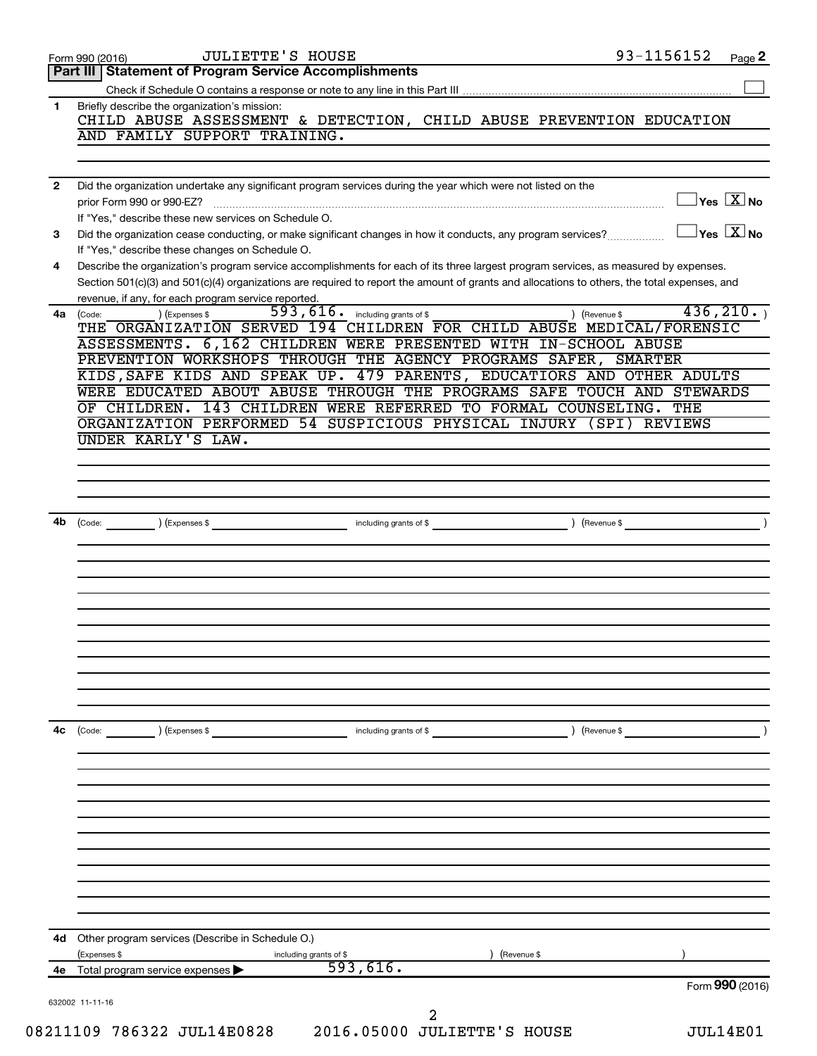|              | 93-1156152<br><b>JULIETTE'S HOUSE</b><br>Page 2<br>Form 990 (2016)                                                                                                                                                                                                                   |
|--------------|--------------------------------------------------------------------------------------------------------------------------------------------------------------------------------------------------------------------------------------------------------------------------------------|
|              | Part III Statement of Program Service Accomplishments                                                                                                                                                                                                                                |
|              |                                                                                                                                                                                                                                                                                      |
| 1.           | Briefly describe the organization's mission:<br>CHILD ABUSE ASSESSMENT & DETECTION, CHILD ABUSE PREVENTION EDUCATION<br>AND FAMILY SUPPORT TRAINING.                                                                                                                                 |
|              |                                                                                                                                                                                                                                                                                      |
| $\mathbf{2}$ | Did the organization undertake any significant program services during the year which were not listed on the                                                                                                                                                                         |
|              | $\exists$ Yes $\boxed{\text{X}}$ No<br>prior Form 990 or 990-EZ?<br>If "Yes," describe these new services on Schedule O.                                                                                                                                                             |
| 3            | $\exists$ Yes $\boxed{\text{X}}$ No<br>Did the organization cease conducting, or make significant changes in how it conducts, any program services?<br>If "Yes," describe these changes on Schedule O.                                                                               |
| 4            | Describe the organization's program service accomplishments for each of its three largest program services, as measured by expenses.<br>Section 501(c)(3) and 501(c)(4) organizations are required to report the amount of grants and allocations to others, the total expenses, and |
| 4a           | revenue, if any, for each program service reported.<br>436, 210.<br>$593, 616$ . including grants of \$<br>) (Revenue \$<br>) (Expenses \$<br>(Code:<br>THE ORGANIZATION SERVED 194 CHILDREN FOR CHILD ABUSE MEDICAL/FORENSIC                                                        |
|              | ASSESSMENTS. 6,162 CHILDREN WERE PRESENTED WITH IN-SCHOOL ABUSE                                                                                                                                                                                                                      |
|              | PREVENTION WORKSHOPS THROUGH THE AGENCY PROGRAMS SAFER, SMARTER<br>KIDS, SAFE KIDS AND SPEAK UP. 479 PARENTS, EDUCATIORS AND OTHER ADULTS                                                                                                                                            |
|              | WERE EDUCATED ABOUT ABUSE THROUGH THE PROGRAMS SAFE TOUCH AND STEWARDS                                                                                                                                                                                                               |
|              | OF CHILDREN. 143 CHILDREN WERE REFERRED TO FORMAL COUNSELING. THE                                                                                                                                                                                                                    |
|              | ORGANIZATION PERFORMED 54 SUSPICIOUS PHYSICAL INJURY (SPI) REVIEWS                                                                                                                                                                                                                   |
|              | UNDER KARLY'S LAW.                                                                                                                                                                                                                                                                   |
|              |                                                                                                                                                                                                                                                                                      |
|              |                                                                                                                                                                                                                                                                                      |
|              |                                                                                                                                                                                                                                                                                      |
|              |                                                                                                                                                                                                                                                                                      |
| 4b           | (Code: <u>Code:</u> etc. Code: etc. etc. All also etc. All also etc. All also etc. All also etc. All also etc. All also etc. All also etc. All also etc. All also etc. All also etc. All also etc. All also etc. All also etc. All                                                   |
|              |                                                                                                                                                                                                                                                                                      |
|              |                                                                                                                                                                                                                                                                                      |
|              |                                                                                                                                                                                                                                                                                      |
|              |                                                                                                                                                                                                                                                                                      |
|              |                                                                                                                                                                                                                                                                                      |
|              |                                                                                                                                                                                                                                                                                      |
|              |                                                                                                                                                                                                                                                                                      |
|              |                                                                                                                                                                                                                                                                                      |
|              |                                                                                                                                                                                                                                                                                      |
|              |                                                                                                                                                                                                                                                                                      |
| 4с           | ) (Expenses \$<br>including grants of \$<br>) (Revenue \$                                                                                                                                                                                                                            |
|              |                                                                                                                                                                                                                                                                                      |
|              |                                                                                                                                                                                                                                                                                      |
|              |                                                                                                                                                                                                                                                                                      |
|              |                                                                                                                                                                                                                                                                                      |
|              |                                                                                                                                                                                                                                                                                      |
|              |                                                                                                                                                                                                                                                                                      |
|              | 4d Other program services (Describe in Schedule O.)                                                                                                                                                                                                                                  |
|              | (Expenses \$<br>(Revenue \$<br>including grants of \$<br>593,616.<br>4e Total program service expenses                                                                                                                                                                               |
|              | Form 990 (2016)                                                                                                                                                                                                                                                                      |
|              | 632002 11-11-16                                                                                                                                                                                                                                                                      |
|              | 2                                                                                                                                                                                                                                                                                    |
|              | 08211109 786322 JUL14E0828<br>2016.05000 JULIETTE'S HOUSE<br><b>JUL14E01</b>                                                                                                                                                                                                         |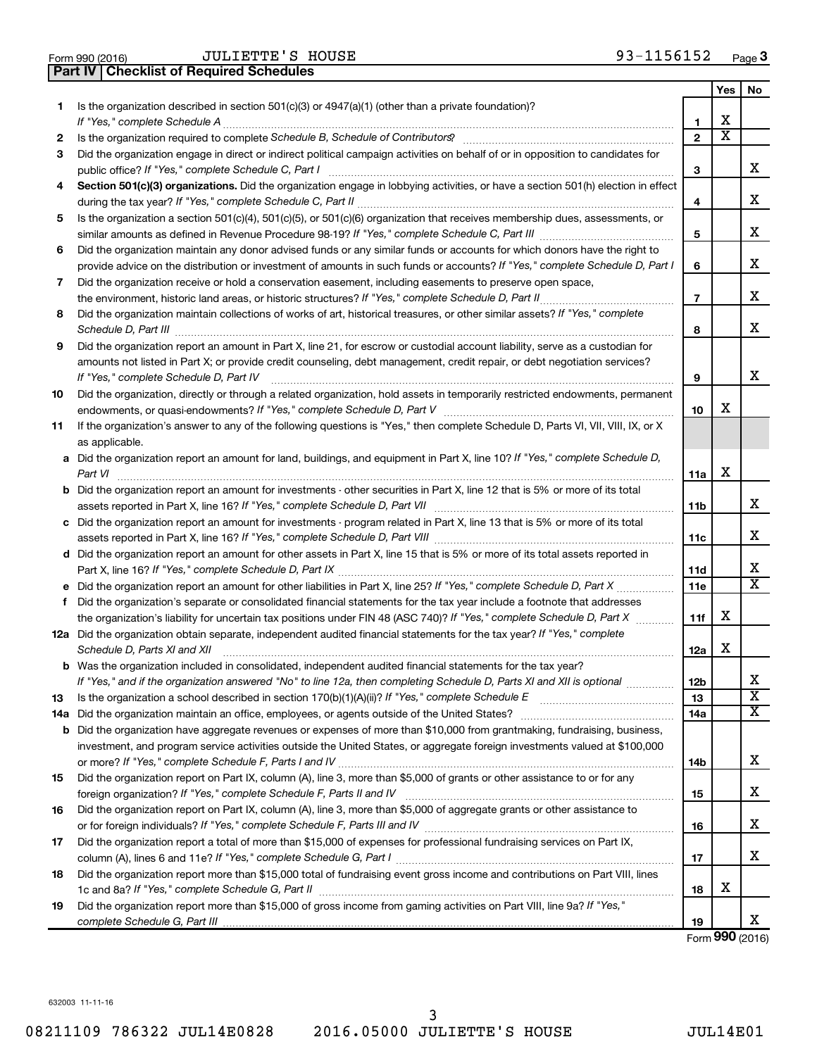| Form 990 (2016) |  |  |
|-----------------|--|--|

**Part IV Checklist of Required Schedules**

|    |                                                                                                                                                                                                                                                                                                                                                                     |                | Yes                     | No |
|----|---------------------------------------------------------------------------------------------------------------------------------------------------------------------------------------------------------------------------------------------------------------------------------------------------------------------------------------------------------------------|----------------|-------------------------|----|
| 1  | Is the organization described in section $501(c)(3)$ or $4947(a)(1)$ (other than a private foundation)?                                                                                                                                                                                                                                                             | 1              | X                       |    |
| 2  | Is the organization required to complete Schedule B, Schedule of Contributors? [11] The organization required to complete Schedule B, Schedule of Contributors?                                                                                                                                                                                                     | $\overline{2}$ | $\overline{\textbf{x}}$ |    |
| 3  | Did the organization engage in direct or indirect political campaign activities on behalf of or in opposition to candidates for                                                                                                                                                                                                                                     | з              |                         | х  |
| 4  | Section 501(c)(3) organizations. Did the organization engage in lobbying activities, or have a section 501(h) election in effect                                                                                                                                                                                                                                    |                |                         |    |
|    |                                                                                                                                                                                                                                                                                                                                                                     | 4              |                         | x  |
| 5  | Is the organization a section 501(c)(4), 501(c)(5), or 501(c)(6) organization that receives membership dues, assessments, or                                                                                                                                                                                                                                        |                |                         |    |
|    |                                                                                                                                                                                                                                                                                                                                                                     | 5              |                         | x  |
| 6  | Did the organization maintain any donor advised funds or any similar funds or accounts for which donors have the right to                                                                                                                                                                                                                                           |                |                         |    |
|    | provide advice on the distribution or investment of amounts in such funds or accounts? If "Yes," complete Schedule D, Part I                                                                                                                                                                                                                                        | 6              |                         | х  |
| 7  | Did the organization receive or hold a conservation easement, including easements to preserve open space,                                                                                                                                                                                                                                                           |                |                         |    |
|    |                                                                                                                                                                                                                                                                                                                                                                     | $\overline{7}$ |                         | x  |
| 8  | Did the organization maintain collections of works of art, historical treasures, or other similar assets? If "Yes," complete<br>Schedule D, Part III <b>Marting Communities</b> and the contract of the contract of the contract of the contract of the contract of the contract of the contract of the contract of the contract of the contract of the contract of | 8              |                         | x  |
| 9  | Did the organization report an amount in Part X, line 21, for escrow or custodial account liability, serve as a custodian for                                                                                                                                                                                                                                       |                |                         |    |
|    | amounts not listed in Part X; or provide credit counseling, debt management, credit repair, or debt negotiation services?                                                                                                                                                                                                                                           |                |                         |    |
|    | If "Yes," complete Schedule D, Part IV                                                                                                                                                                                                                                                                                                                              | 9              |                         | х  |
| 10 | Did the organization, directly or through a related organization, hold assets in temporarily restricted endowments, permanent                                                                                                                                                                                                                                       |                |                         |    |
|    |                                                                                                                                                                                                                                                                                                                                                                     | 10             | х                       |    |
| 11 | If the organization's answer to any of the following questions is "Yes," then complete Schedule D, Parts VI, VII, VIII, IX, or X                                                                                                                                                                                                                                    |                |                         |    |
|    | as applicable.                                                                                                                                                                                                                                                                                                                                                      |                |                         |    |
|    | a Did the organization report an amount for land, buildings, and equipment in Part X, line 10? If "Yes," complete Schedule D,<br>Part VI                                                                                                                                                                                                                            | 11a            | х                       |    |
|    | <b>b</b> Did the organization report an amount for investments - other securities in Part X, line 12 that is 5% or more of its total                                                                                                                                                                                                                                |                |                         |    |
|    |                                                                                                                                                                                                                                                                                                                                                                     | <b>11b</b>     |                         | x  |
|    | c Did the organization report an amount for investments - program related in Part X, line 13 that is 5% or more of its total                                                                                                                                                                                                                                        |                |                         |    |
|    |                                                                                                                                                                                                                                                                                                                                                                     | 11c            |                         | х  |
|    | d Did the organization report an amount for other assets in Part X, line 15 that is 5% or more of its total assets reported in                                                                                                                                                                                                                                      |                |                         |    |
|    |                                                                                                                                                                                                                                                                                                                                                                     | <b>11d</b>     |                         | х  |
|    |                                                                                                                                                                                                                                                                                                                                                                     | 11e            |                         | x  |
| f  | Did the organization's separate or consolidated financial statements for the tax year include a footnote that addresses                                                                                                                                                                                                                                             |                |                         |    |
|    | the organization's liability for uncertain tax positions under FIN 48 (ASC 740)? If "Yes," complete Schedule D, Part X                                                                                                                                                                                                                                              | 11f            | х                       |    |
|    | 12a Did the organization obtain separate, independent audited financial statements for the tax year? If "Yes," complete<br>Schedule D, Parts XI and XII                                                                                                                                                                                                             | 12a            | х                       |    |
|    | <b>b</b> Was the organization included in consolidated, independent audited financial statements for the tax year?                                                                                                                                                                                                                                                  |                |                         |    |
|    | If "Yes," and if the organization answered "No" to line 12a, then completing Schedule D, Parts XI and XII is optional                                                                                                                                                                                                                                               | 12b            |                         | Δ. |
| 13 |                                                                                                                                                                                                                                                                                                                                                                     | 13             |                         | х  |
|    |                                                                                                                                                                                                                                                                                                                                                                     | 14a            |                         | x  |
|    | <b>b</b> Did the organization have aggregate revenues or expenses of more than \$10,000 from grantmaking, fundraising, business,                                                                                                                                                                                                                                    |                |                         |    |
|    | investment, and program service activities outside the United States, or aggregate foreign investments valued at \$100,000                                                                                                                                                                                                                                          |                |                         |    |
|    |                                                                                                                                                                                                                                                                                                                                                                     | 14b            |                         | x  |
| 15 | Did the organization report on Part IX, column (A), line 3, more than \$5,000 of grants or other assistance to or for any                                                                                                                                                                                                                                           |                |                         |    |
|    |                                                                                                                                                                                                                                                                                                                                                                     | 15             |                         | х  |
| 16 | Did the organization report on Part IX, column (A), line 3, more than \$5,000 of aggregate grants or other assistance to                                                                                                                                                                                                                                            | 16             |                         | х  |
| 17 | Did the organization report a total of more than \$15,000 of expenses for professional fundraising services on Part IX,                                                                                                                                                                                                                                             |                |                         |    |
|    |                                                                                                                                                                                                                                                                                                                                                                     | 17             |                         | х  |
| 18 | Did the organization report more than \$15,000 total of fundraising event gross income and contributions on Part VIII, lines                                                                                                                                                                                                                                        |                |                         |    |
|    |                                                                                                                                                                                                                                                                                                                                                                     | 18             | х                       |    |
| 19 | Did the organization report more than \$15,000 of gross income from gaming activities on Part VIII, line 9a? If "Yes,"                                                                                                                                                                                                                                              |                |                         |    |
|    |                                                                                                                                                                                                                                                                                                                                                                     | 19             |                         | x  |

Form (2016) **990**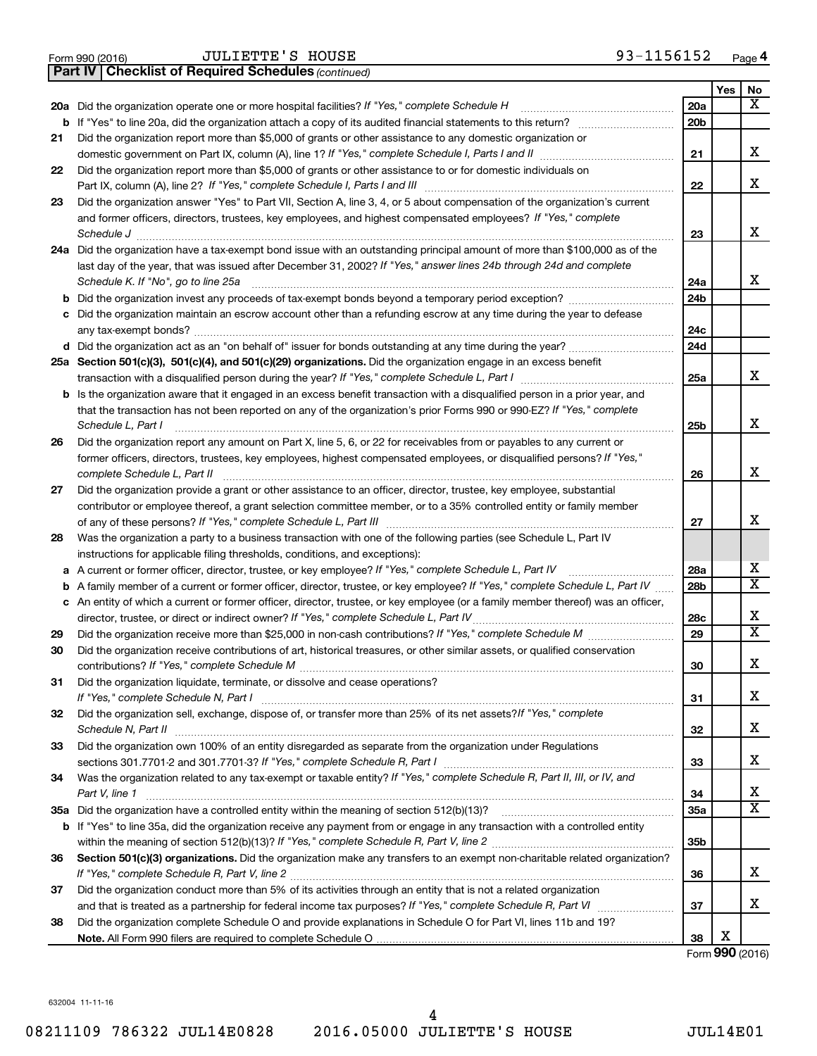|  | Form 990 (2016) |  |
|--|-----------------|--|

*(continued)* **Part IV Checklist of Required Schedules**

|     |                                                                                                                                   |                 | Yes | No                      |
|-----|-----------------------------------------------------------------------------------------------------------------------------------|-----------------|-----|-------------------------|
| 20a | Did the organization operate one or more hospital facilities? If "Yes," complete Schedule H                                       | 20a             |     | $\overline{\mathbf{X}}$ |
|     |                                                                                                                                   | 20 <sub>b</sub> |     |                         |
| 21  | Did the organization report more than \$5,000 of grants or other assistance to any domestic organization or                       |                 |     |                         |
|     |                                                                                                                                   | 21              |     | х                       |
| 22  | Did the organization report more than \$5,000 of grants or other assistance to or for domestic individuals on                     |                 |     |                         |
|     |                                                                                                                                   | 22              |     | x                       |
| 23  | Did the organization answer "Yes" to Part VII, Section A, line 3, 4, or 5 about compensation of the organization's current        |                 |     |                         |
|     | and former officers, directors, trustees, key employees, and highest compensated employees? If "Yes," complete                    |                 |     |                         |
|     | Schedule J <b>Execute Schedule J Execute Schedule J</b>                                                                           | 23              |     | x                       |
|     | 24a Did the organization have a tax-exempt bond issue with an outstanding principal amount of more than \$100,000 as of the       |                 |     |                         |
|     | last day of the year, that was issued after December 31, 2002? If "Yes," answer lines 24b through 24d and complete                |                 |     |                         |
|     | Schedule K. If "No", go to line 25a                                                                                               | 24a             |     | x                       |
| b   |                                                                                                                                   | 24 <sub>b</sub> |     |                         |
| с   | Did the organization maintain an escrow account other than a refunding escrow at any time during the year to defease              |                 |     |                         |
|     | d Did the organization act as an "on behalf of" issuer for bonds outstanding at any time during the year?                         | 24c<br>24d      |     |                         |
|     | 25a Section 501(c)(3), 501(c)(4), and 501(c)(29) organizations. Did the organization engage in an excess benefit                  |                 |     |                         |
|     |                                                                                                                                   | 25a             |     | x                       |
| b   | Is the organization aware that it engaged in an excess benefit transaction with a disqualified person in a prior year, and        |                 |     |                         |
|     | that the transaction has not been reported on any of the organization's prior Forms 990 or 990-EZ? If "Yes," complete             |                 |     |                         |
|     | Schedule L, Part I                                                                                                                | 25b             |     | x                       |
| 26  | Did the organization report any amount on Part X, line 5, 6, or 22 for receivables from or payables to any current or             |                 |     |                         |
|     | former officers, directors, trustees, key employees, highest compensated employees, or disqualified persons? If "Yes,"            |                 |     |                         |
|     | complete Schedule L, Part II                                                                                                      | 26              |     | x                       |
| 27  | Did the organization provide a grant or other assistance to an officer, director, trustee, key employee, substantial              |                 |     |                         |
|     | contributor or employee thereof, a grant selection committee member, or to a 35% controlled entity or family member               |                 |     |                         |
|     |                                                                                                                                   | 27              |     | x                       |
| 28  | Was the organization a party to a business transaction with one of the following parties (see Schedule L, Part IV                 |                 |     |                         |
|     | instructions for applicable filing thresholds, conditions, and exceptions):                                                       |                 |     |                         |
| а   | A current or former officer, director, trustee, or key employee? If "Yes," complete Schedule L, Part IV                           | 28a             |     | х                       |
| b   | A family member of a current or former officer, director, trustee, or key employee? If "Yes," complete Schedule L, Part IV        | 28b             |     | $\overline{\text{X}}$   |
|     | c An entity of which a current or former officer, director, trustee, or key employee (or a family member thereof) was an officer, |                 |     | х                       |
|     | director, trustee, or direct or indirect owner? If "Yes," complete Schedule L, Part IV                                            | 28c<br>29       |     | $\overline{\mathtt{x}}$ |
| 29  |                                                                                                                                   |                 |     |                         |
| 30  | Did the organization receive contributions of art, historical treasures, or other similar assets, or qualified conservation       | 30              |     | x                       |
| 31  | Did the organization liquidate, terminate, or dissolve and cease operations?                                                      |                 |     |                         |
|     |                                                                                                                                   | 31              |     | х                       |
| 32  | Did the organization sell, exchange, dispose of, or transfer more than 25% of its net assets? If "Yes," complete                  |                 |     |                         |
|     |                                                                                                                                   | 32              |     | х                       |
| 33  | Did the organization own 100% of an entity disregarded as separate from the organization under Regulations                        |                 |     |                         |
|     |                                                                                                                                   | 33              |     | х                       |
| 34  | Was the organization related to any tax-exempt or taxable entity? If "Yes," complete Schedule R, Part II, III, or IV, and         |                 |     |                         |
|     | Part V, line 1                                                                                                                    | 34              |     | х                       |
|     |                                                                                                                                   | 35a             |     | $\overline{\mathbf{X}}$ |
|     | b If "Yes" to line 35a, did the organization receive any payment from or engage in any transaction with a controlled entity       |                 |     |                         |
|     |                                                                                                                                   | 35b             |     |                         |
| 36  | Section 501(c)(3) organizations. Did the organization make any transfers to an exempt non-charitable related organization?        |                 |     |                         |
|     |                                                                                                                                   | 36              |     | х                       |
| 37  | Did the organization conduct more than 5% of its activities through an entity that is not a related organization                  |                 |     |                         |
|     |                                                                                                                                   | 37              |     | х                       |
| 38  | Did the organization complete Schedule O and provide explanations in Schedule O for Part VI, lines 11b and 19?                    |                 | х   |                         |
|     |                                                                                                                                   | 38              |     |                         |

Form (2016) **990**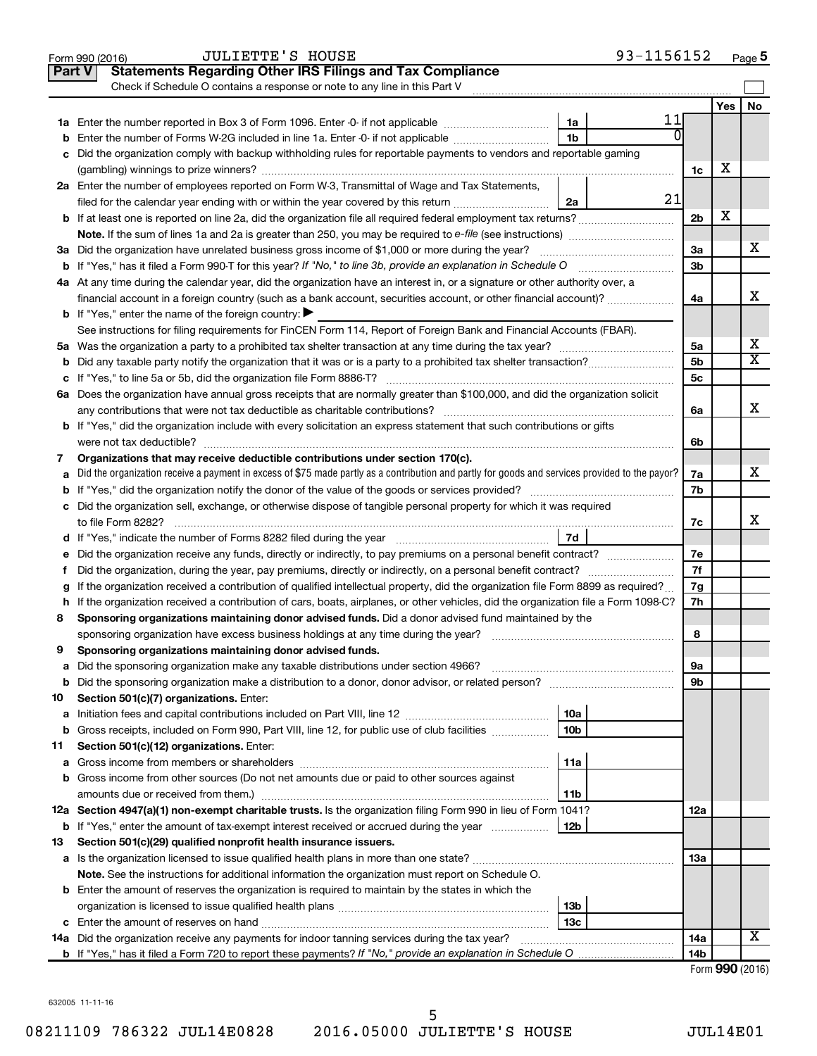|    | 93-1156152<br><b>JULIETTE'S HOUSE</b><br>Form 990 (2016)                                                                                        |                 |     | Page 5          |
|----|-------------------------------------------------------------------------------------------------------------------------------------------------|-----------------|-----|-----------------|
|    | <b>Statements Regarding Other IRS Filings and Tax Compliance</b><br><b>Part V</b>                                                               |                 |     |                 |
|    | Check if Schedule O contains a response or note to any line in this Part V                                                                      |                 |     |                 |
|    |                                                                                                                                                 |                 | Yes | No              |
|    | 11<br>1a                                                                                                                                        |                 |     |                 |
| b  | 0<br>1 <sub>b</sub><br>Enter the number of Forms W-2G included in line 1a. Enter -0- if not applicable                                          |                 |     |                 |
| с  | Did the organization comply with backup withholding rules for reportable payments to vendors and reportable gaming                              |                 |     |                 |
|    |                                                                                                                                                 | 1c              | х   |                 |
|    | 2a Enter the number of employees reported on Form W-3, Transmittal of Wage and Tax Statements,                                                  |                 |     |                 |
|    | 21<br>filed for the calendar year ending with or within the year covered by this return<br>2a                                                   |                 |     |                 |
|    |                                                                                                                                                 | 2 <sub>b</sub>  | X   |                 |
|    | Note. If the sum of lines 1a and 2a is greater than 250, you may be required to e-file (see instructions) <i></i>                               |                 |     |                 |
|    | 3a Did the organization have unrelated business gross income of \$1,000 or more during the year?                                                | За              |     | x               |
|    | <b>b</b> If "Yes," has it filed a Form 990-T for this year? If "No," to line 3b, provide an explanation in Schedule O manumum                   | 3 <sub>b</sub>  |     |                 |
|    | 4a At any time during the calendar year, did the organization have an interest in, or a signature or other authority over, a                    |                 |     |                 |
|    | financial account in a foreign country (such as a bank account, securities account, or other financial account)?                                | 4a              |     | x               |
|    | <b>b</b> If "Yes," enter the name of the foreign country: $\blacktriangleright$                                                                 |                 |     |                 |
|    | See instructions for filing requirements for FinCEN Form 114, Report of Foreign Bank and Financial Accounts (FBAR).                             |                 |     |                 |
|    |                                                                                                                                                 | 5a              |     | х               |
|    |                                                                                                                                                 | 5 <sub>b</sub>  |     | X               |
| b  |                                                                                                                                                 |                 |     |                 |
| с  |                                                                                                                                                 | 5c              |     |                 |
|    | 6a Does the organization have annual gross receipts that are normally greater than \$100,000, and did the organization solicit                  |                 |     | x               |
|    |                                                                                                                                                 | 6a              |     |                 |
|    | <b>b</b> If "Yes," did the organization include with every solicitation an express statement that such contributions or gifts                   |                 |     |                 |
|    | were not tax deductible?                                                                                                                        | 6b              |     |                 |
| 7  | Organizations that may receive deductible contributions under section 170(c).                                                                   |                 |     | x               |
| а  | Did the organization receive a payment in excess of \$75 made partly as a contribution and partly for goods and services provided to the payor? | 7a              |     |                 |
| b  |                                                                                                                                                 | 7b              |     |                 |
|    | c Did the organization sell, exchange, or otherwise dispose of tangible personal property for which it was required                             |                 |     |                 |
|    |                                                                                                                                                 | 7с              |     | x               |
|    | 7d                                                                                                                                              |                 |     |                 |
| е  |                                                                                                                                                 | 7e              |     |                 |
| f. | Did the organization, during the year, pay premiums, directly or indirectly, on a personal benefit contract?                                    | 7f              |     |                 |
| g  | If the organization received a contribution of qualified intellectual property, did the organization file Form 8899 as required?                | 7g              |     |                 |
|    | h If the organization received a contribution of cars, boats, airplanes, or other vehicles, did the organization file a Form 1098-C?            | 7h              |     |                 |
| 8  | Sponsoring organizations maintaining donor advised funds. Did a donor advised fund maintained by the                                            |                 |     |                 |
|    |                                                                                                                                                 | 8               |     |                 |
|    | Sponsoring organizations maintaining donor advised funds.                                                                                       |                 |     |                 |
| а  | Did the sponsoring organization make any taxable distributions under section 4966?                                                              | 9a              |     |                 |
| b  |                                                                                                                                                 | 9b              |     |                 |
| 10 | Section 501(c)(7) organizations. Enter:                                                                                                         |                 |     |                 |
| а  | 10a                                                                                                                                             |                 |     |                 |
| b  | 10 <sub>b</sub><br>Gross receipts, included on Form 990, Part VIII, line 12, for public use of club facilities                                  |                 |     |                 |
| 11 | Section 501(c)(12) organizations. Enter:                                                                                                        |                 |     |                 |
| а  | 11a                                                                                                                                             |                 |     |                 |
| b  | Gross income from other sources (Do not net amounts due or paid to other sources against                                                        |                 |     |                 |
|    | 11b                                                                                                                                             |                 |     |                 |
|    | 12a Section 4947(a)(1) non-exempt charitable trusts. Is the organization filing Form 990 in lieu of Form 1041?                                  | 12a             |     |                 |
|    | 12b<br><b>b</b> If "Yes," enter the amount of tax-exempt interest received or accrued during the year                                           |                 |     |                 |
| 13 | Section 501(c)(29) qualified nonprofit health insurance issuers.                                                                                |                 |     |                 |
|    | a Is the organization licensed to issue qualified health plans in more than one state?                                                          | 13a             |     |                 |
|    | Note. See the instructions for additional information the organization must report on Schedule O.                                               |                 |     |                 |
|    | <b>b</b> Enter the amount of reserves the organization is required to maintain by the states in which the                                       |                 |     |                 |
|    | 13b                                                                                                                                             |                 |     |                 |
|    | 13 <sub>c</sub>                                                                                                                                 |                 |     |                 |
|    | 14a Did the organization receive any payments for indoor tanning services during the tax year?                                                  | 14a             |     | x               |
|    |                                                                                                                                                 | 14 <sub>b</sub> |     |                 |
|    |                                                                                                                                                 |                 |     | Form 990 (2016) |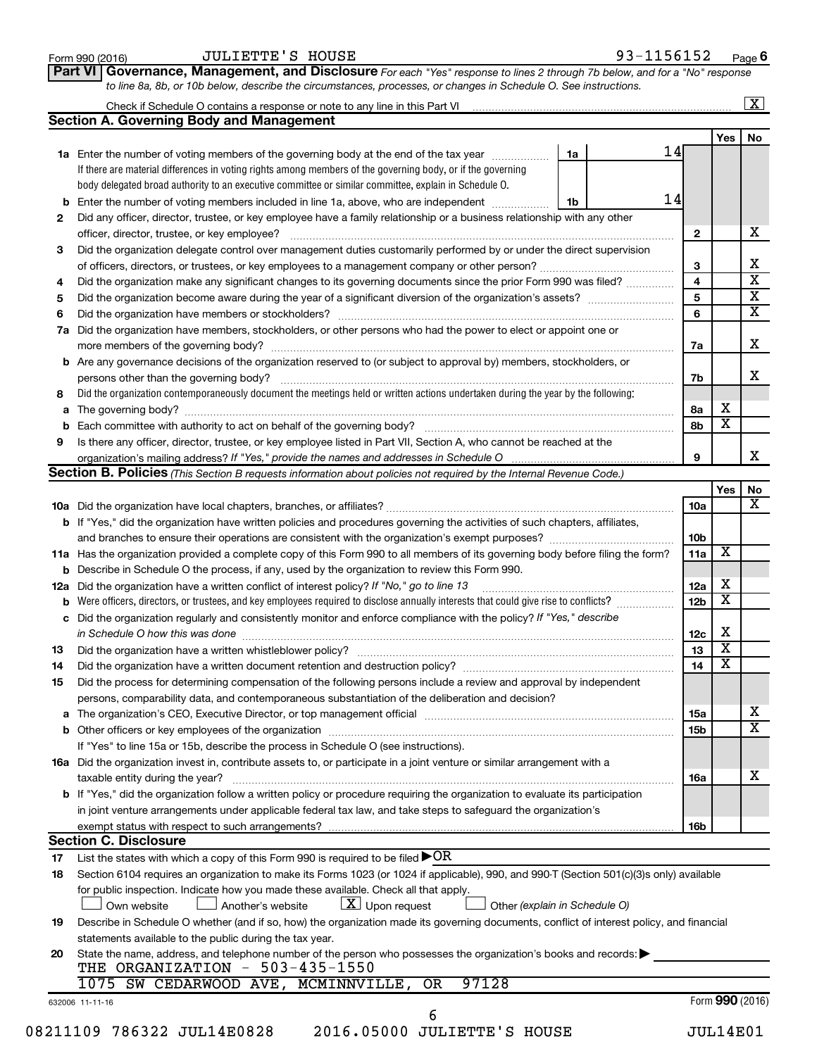|    | Check if Schedule O contains a response or note to any line in this Part VI [11] [12] [12] Check if Schedule O contains a response or note to any line in this Part VI                                                         |    |  |    |                 |                         | $\mathbf{X}$            |  |  |  |  |  |
|----|--------------------------------------------------------------------------------------------------------------------------------------------------------------------------------------------------------------------------------|----|--|----|-----------------|-------------------------|-------------------------|--|--|--|--|--|
|    | <b>Section A. Governing Body and Management</b>                                                                                                                                                                                |    |  |    |                 |                         |                         |  |  |  |  |  |
|    |                                                                                                                                                                                                                                |    |  | 14 |                 | Yes                     | No                      |  |  |  |  |  |
|    | <b>1a</b> Enter the number of voting members of the governing body at the end of the tax year                                                                                                                                  | 1a |  |    |                 |                         |                         |  |  |  |  |  |
|    | If there are material differences in voting rights among members of the governing body, or if the governing                                                                                                                    |    |  |    |                 |                         |                         |  |  |  |  |  |
|    | body delegated broad authority to an executive committee or similar committee, explain in Schedule O.                                                                                                                          |    |  |    |                 |                         |                         |  |  |  |  |  |
|    | 14<br><b>b</b> Enter the number of voting members included in line 1a, above, who are independent <i>manumum</i><br>1b                                                                                                         |    |  |    |                 |                         |                         |  |  |  |  |  |
| 2  | Did any officer, director, trustee, or key employee have a family relationship or a business relationship with any other                                                                                                       |    |  |    |                 |                         |                         |  |  |  |  |  |
|    | officer, director, trustee, or key employee?                                                                                                                                                                                   |    |  |    |                 |                         |                         |  |  |  |  |  |
| З  | Did the organization delegate control over management duties customarily performed by or under the direct supervision                                                                                                          |    |  |    | 3               |                         | х                       |  |  |  |  |  |
|    |                                                                                                                                                                                                                                |    |  |    |                 |                         |                         |  |  |  |  |  |
| 4  | Did the organization make any significant changes to its governing documents since the prior Form 990 was filed?                                                                                                               |    |  |    |                 |                         |                         |  |  |  |  |  |
| 5  |                                                                                                                                                                                                                                |    |  |    |                 |                         |                         |  |  |  |  |  |
| 6  |                                                                                                                                                                                                                                |    |  |    | 6               |                         | $\overline{\textbf{x}}$ |  |  |  |  |  |
| 7a | Did the organization have members, stockholders, or other persons who had the power to elect or appoint one or                                                                                                                 |    |  |    |                 |                         |                         |  |  |  |  |  |
|    |                                                                                                                                                                                                                                |    |  |    | 7a              |                         | х                       |  |  |  |  |  |
|    | <b>b</b> Are any governance decisions of the organization reserved to (or subject to approval by) members, stockholders, or                                                                                                    |    |  |    |                 |                         |                         |  |  |  |  |  |
|    |                                                                                                                                                                                                                                |    |  |    | 7b              |                         | x                       |  |  |  |  |  |
| 8  | Did the organization contemporaneously document the meetings held or written actions undertaken during the year by the following:                                                                                              |    |  |    |                 |                         |                         |  |  |  |  |  |
|    |                                                                                                                                                                                                                                |    |  |    | 8а              | X                       |                         |  |  |  |  |  |
| b  |                                                                                                                                                                                                                                |    |  |    | 8b              | $\overline{\textbf{x}}$ |                         |  |  |  |  |  |
| 9  | Is there any officer, director, trustee, or key employee listed in Part VII, Section A, who cannot be reached at the                                                                                                           |    |  |    |                 |                         |                         |  |  |  |  |  |
|    |                                                                                                                                                                                                                                |    |  |    | 9               |                         | x                       |  |  |  |  |  |
|    | <b>Section B. Policies</b> (This Section B requests information about policies not required by the Internal Revenue Code.)                                                                                                     |    |  |    |                 |                         |                         |  |  |  |  |  |
|    |                                                                                                                                                                                                                                |    |  |    |                 | Yes                     | No                      |  |  |  |  |  |
|    |                                                                                                                                                                                                                                |    |  |    | 10a             |                         | х                       |  |  |  |  |  |
|    | <b>b</b> If "Yes," did the organization have written policies and procedures governing the activities of such chapters, affiliates,                                                                                            |    |  |    |                 |                         |                         |  |  |  |  |  |
|    |                                                                                                                                                                                                                                |    |  |    | 10 <sub>b</sub> | х                       |                         |  |  |  |  |  |
|    | 11a Has the organization provided a complete copy of this Form 990 to all members of its governing body before filing the form?                                                                                                |    |  |    |                 |                         |                         |  |  |  |  |  |
|    | <b>b</b> Describe in Schedule O the process, if any, used by the organization to review this Form 990.                                                                                                                         |    |  |    |                 |                         |                         |  |  |  |  |  |
|    | 12a Did the organization have a written conflict of interest policy? If "No," go to line 13                                                                                                                                    |    |  |    | 12a             | Х                       |                         |  |  |  |  |  |
| b  | Were officers, directors, or trustees, and key employees required to disclose annually interests that could give rise to conflicts?                                                                                            |    |  |    | 12 <sub>b</sub> | $\overline{\textbf{x}}$ |                         |  |  |  |  |  |
|    | c Did the organization regularly and consistently monitor and enforce compliance with the policy? If "Yes," describe                                                                                                           |    |  |    |                 |                         |                         |  |  |  |  |  |
|    | in Schedule O how this was done manufactured and continuum and control of the state of the state of the state o                                                                                                                |    |  |    | 12c             | Х                       |                         |  |  |  |  |  |
| 13 |                                                                                                                                                                                                                                |    |  |    | 13              | $\overline{\textbf{x}}$ |                         |  |  |  |  |  |
| 14 | Did the organization have a written document retention and destruction policy? [11] manufaction manufaction in                                                                                                                 |    |  |    | 14              | X                       |                         |  |  |  |  |  |
| 15 | Did the process for determining compensation of the following persons include a review and approval by independent                                                                                                             |    |  |    |                 |                         |                         |  |  |  |  |  |
|    | persons, comparability data, and contemporaneous substantiation of the deliberation and decision?                                                                                                                              |    |  |    |                 |                         |                         |  |  |  |  |  |
|    | a The organization's CEO, Executive Director, or top management official manufactured content content of the organization's CEO, Executive Director, or top management official manufactured content of the state of the state |    |  |    | 15a             |                         | х                       |  |  |  |  |  |
|    |                                                                                                                                                                                                                                |    |  |    | 15 <sub>b</sub> |                         | $\overline{\textbf{X}}$ |  |  |  |  |  |
|    | If "Yes" to line 15a or 15b, describe the process in Schedule O (see instructions).                                                                                                                                            |    |  |    |                 |                         |                         |  |  |  |  |  |
|    | 16a Did the organization invest in, contribute assets to, or participate in a joint venture or similar arrangement with a                                                                                                      |    |  |    |                 |                         |                         |  |  |  |  |  |
|    | taxable entity during the year?                                                                                                                                                                                                |    |  |    | 16a             |                         | х                       |  |  |  |  |  |
|    | b If "Yes," did the organization follow a written policy or procedure requiring the organization to evaluate its participation                                                                                                 |    |  |    |                 |                         |                         |  |  |  |  |  |
|    | in joint venture arrangements under applicable federal tax law, and take steps to safequard the organization's                                                                                                                 |    |  |    |                 |                         |                         |  |  |  |  |  |
|    | exempt status with respect to such arrangements?                                                                                                                                                                               |    |  |    | 16b             |                         |                         |  |  |  |  |  |
|    | <b>Section C. Disclosure</b>                                                                                                                                                                                                   |    |  |    |                 |                         |                         |  |  |  |  |  |
| 17 | List the states with which a copy of this Form 990 is required to be filed $\blacktriangleright$ OR                                                                                                                            |    |  |    |                 |                         |                         |  |  |  |  |  |
| 18 | Section 6104 requires an organization to make its Forms 1023 (or 1024 if applicable), 990, and 990-T (Section 501(c)(3)s only) available                                                                                       |    |  |    |                 |                         |                         |  |  |  |  |  |
|    | for public inspection. Indicate how you made these available. Check all that apply.                                                                                                                                            |    |  |    |                 |                         |                         |  |  |  |  |  |
|    | $\lfloor x \rfloor$ Upon request<br>Another's website<br>Own website<br>Other (explain in Schedule O)                                                                                                                          |    |  |    |                 |                         |                         |  |  |  |  |  |
| 19 | Describe in Schedule O whether (and if so, how) the organization made its governing documents, conflict of interest policy, and financial                                                                                      |    |  |    |                 |                         |                         |  |  |  |  |  |
|    | statements available to the public during the tax year.                                                                                                                                                                        |    |  |    |                 |                         |                         |  |  |  |  |  |
| 20 | State the name, address, and telephone number of the person who possesses the organization's books and records:<br>THE ORGANIZATION - 503-435-1550                                                                             |    |  |    |                 |                         |                         |  |  |  |  |  |
|    | 97128<br>1075 SW CEDARWOOD AVE, MCMINNVILLE,<br>OR.                                                                                                                                                                            |    |  |    |                 |                         |                         |  |  |  |  |  |
|    | 632006 11-11-16                                                                                                                                                                                                                |    |  |    |                 | Form 990 (2016)         |                         |  |  |  |  |  |
|    | 6                                                                                                                                                                                                                              |    |  |    |                 |                         |                         |  |  |  |  |  |
|    | 08211109 786322 JUL14E0828<br>2016.05000 JULIETTE'S HOUSE                                                                                                                                                                      |    |  |    | <b>JUL14E01</b> |                         |                         |  |  |  |  |  |

**Part VI** Governance, Management, and Disclosure For each "Yes" response to lines 2 through 7b below, and for a "No" response

Form 990 (2016) Page JULIETTE'S HOUSE 93-1156152

**6**

*to line 8a, 8b, or 10b below, describe the circumstances, processes, or changes in Schedule O. See instructions.*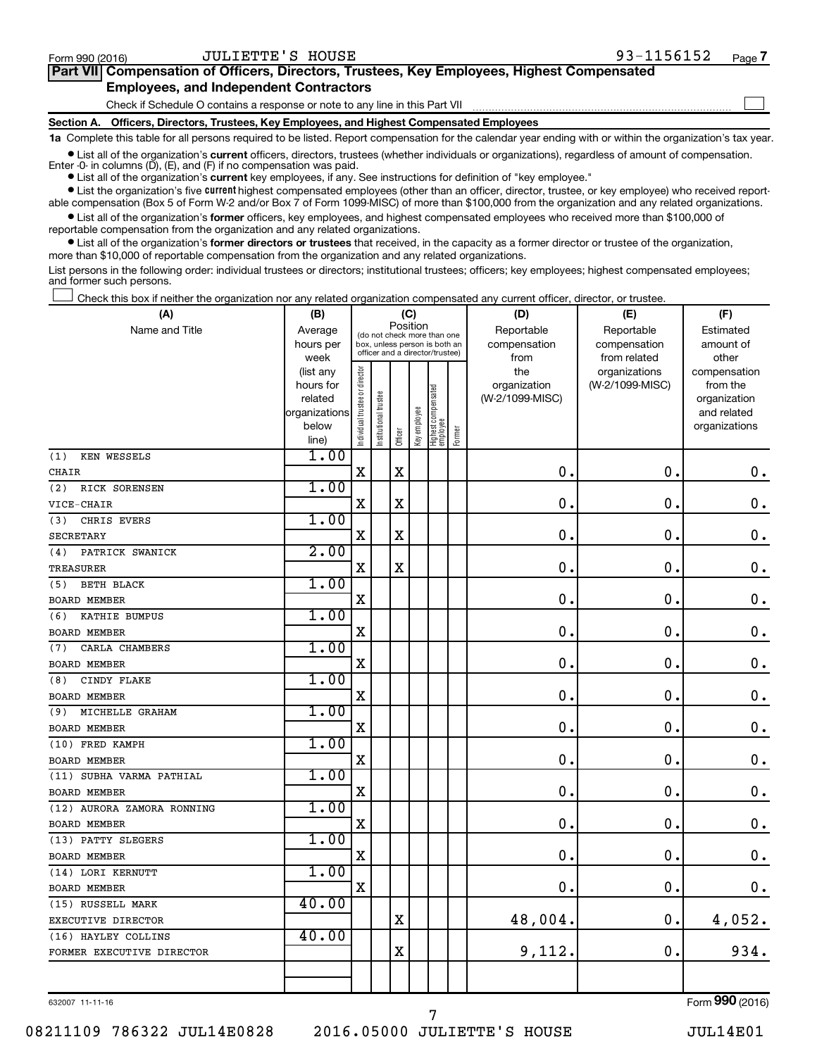$\Box$ 

| Part VII Compensation of Officers, Directors, Trustees, Key Employees, Highest Compensated |
|--------------------------------------------------------------------------------------------|
| <b>Employees, and Independent Contractors</b>                                              |

Check if Schedule O contains a response or note to any line in this Part VII

**Section A. Officers, Directors, Trustees, Key Employees, and Highest Compensated Employees**

**1a**  Complete this table for all persons required to be listed. Report compensation for the calendar year ending with or within the organization's tax year.

 $\bullet$  List all of the organization's current officers, directors, trustees (whether individuals or organizations), regardless of amount of compensation. Enter -0- in columns  $(D)$ ,  $(E)$ , and  $(F)$  if no compensation was paid.

**•** List all of the organization's **current** key employees, if any. See instructions for definition of "key employee."

**•** List the organization's five current highest compensated employees (other than an officer, director, trustee, or key employee) who received reportable compensation (Box 5 of Form W-2 and/or Box 7 of Form 1099-MISC) of more than \$100,000 from the organization and any related organizations.

**•** List all of the organization's former officers, key employees, and highest compensated employees who received more than \$100,000 of reportable compensation from the organization and any related organizations.

**•** List all of the organization's former directors or trustees that received, in the capacity as a former director or trustee of the organization, more than \$10,000 of reportable compensation from the organization and any related organizations.

List persons in the following order: individual trustees or directors; institutional trustees; officers; key employees; highest compensated employees; and former such persons.

Check this box if neither the organization nor any related organization compensated any current officer, director, or trustee.  $\Box$ 

| (A)                        | (B)                    | (C)                            |                                         |                                                                  |              |                                 |        | (D)                 | (E)                              | (F)                      |  |  |  |
|----------------------------|------------------------|--------------------------------|-----------------------------------------|------------------------------------------------------------------|--------------|---------------------------------|--------|---------------------|----------------------------------|--------------------------|--|--|--|
| Name and Title             | Average                |                                | Position<br>(do not check more than one |                                                                  |              |                                 |        | Reportable          | Reportable                       | Estimated                |  |  |  |
|                            | hours per              |                                |                                         | box, unless person is both an<br>officer and a director/trustee) |              |                                 |        | compensation        | compensation                     | amount of                |  |  |  |
|                            | week                   |                                |                                         |                                                                  |              |                                 |        | from                | from related                     | other                    |  |  |  |
|                            | (list any<br>hours for |                                |                                         |                                                                  |              |                                 |        | the<br>organization | organizations<br>(W-2/1099-MISC) | compensation<br>from the |  |  |  |
|                            | related                |                                |                                         |                                                                  |              |                                 |        | (W-2/1099-MISC)     |                                  | organization             |  |  |  |
|                            | organizations          |                                |                                         |                                                                  |              |                                 |        |                     |                                  | and related              |  |  |  |
|                            | below                  | Individual trustee or director | Institutional trustee                   |                                                                  | Key employee |                                 |        |                     |                                  | organizations            |  |  |  |
|                            | line)                  |                                |                                         | Officer                                                          |              | Highest compensated<br>employee | Former |                     |                                  |                          |  |  |  |
| <b>KEN WESSELS</b><br>(1)  | 1.00                   |                                |                                         |                                                                  |              |                                 |        |                     |                                  |                          |  |  |  |
| CHAIR                      |                        | $\mathbf X$                    |                                         | $\mathbf X$                                                      |              |                                 |        | 0.                  | $\mathbf 0$ .                    | $\mathbf 0$ .            |  |  |  |
| (2)<br>RICK SORENSEN       | 1.00                   |                                |                                         |                                                                  |              |                                 |        |                     |                                  |                          |  |  |  |
| VICE-CHAIR                 |                        | X                              |                                         | X                                                                |              |                                 |        | $\mathbf 0$ .       | $\mathbf 0$ .                    | $\boldsymbol{0}$ .       |  |  |  |
| CHRIS EVERS<br>(3)         | 1.00                   |                                |                                         |                                                                  |              |                                 |        |                     |                                  |                          |  |  |  |
| <b>SECRETARY</b>           |                        | X                              |                                         | $\mathbf X$                                                      |              |                                 |        | $\mathbf 0$ .       | $\mathbf 0$ .                    | $\mathbf 0$ .            |  |  |  |
| PATRICK SWANICK<br>(4)     | 2.00                   |                                |                                         |                                                                  |              |                                 |        |                     |                                  |                          |  |  |  |
| <b>TREASURER</b>           |                        | $\rm X$                        |                                         | X                                                                |              |                                 |        | 0.                  | $\mathbf 0$ .                    | $\mathbf 0$ .            |  |  |  |
| <b>BETH BLACK</b><br>(5)   | 1.00                   |                                |                                         |                                                                  |              |                                 |        |                     |                                  |                          |  |  |  |
| <b>BOARD MEMBER</b>        |                        | $\rm X$                        |                                         |                                                                  |              |                                 |        | 0.                  | $\mathbf 0$ .                    | $\mathbf 0$ .            |  |  |  |
| KATHIE BUMPUS<br>(6)       | 1.00                   |                                |                                         |                                                                  |              |                                 |        |                     |                                  |                          |  |  |  |
| <b>BOARD MEMBER</b>        |                        | X                              |                                         |                                                                  |              |                                 |        | $\mathbf 0$ .       | $\mathbf 0$ .                    | $0$ .                    |  |  |  |
| CARLA CHAMBERS<br>(7)      | 1.00                   |                                |                                         |                                                                  |              |                                 |        |                     |                                  |                          |  |  |  |
| <b>BOARD MEMBER</b>        |                        | $\mathbf X$                    |                                         |                                                                  |              |                                 |        | 0.                  | $\mathbf 0$ .                    | $0$ .                    |  |  |  |
| CINDY FLAKE<br>(8)         | 1.00                   |                                |                                         |                                                                  |              |                                 |        |                     |                                  |                          |  |  |  |
| <b>BOARD MEMBER</b>        |                        | X                              |                                         |                                                                  |              |                                 |        | 0.                  | $\mathbf 0$ .                    | $\mathbf 0$ .            |  |  |  |
| MICHELLE GRAHAM<br>(9)     | 1.00                   |                                |                                         |                                                                  |              |                                 |        |                     |                                  |                          |  |  |  |
| BOARD MEMBER               |                        | X                              |                                         |                                                                  |              |                                 |        | 0.                  | $\mathbf 0$ .                    | $\mathbf 0$ .            |  |  |  |
| (10) FRED KAMPH            | 1.00                   |                                |                                         |                                                                  |              |                                 |        |                     |                                  |                          |  |  |  |
| <b>BOARD MEMBER</b>        |                        | X                              |                                         |                                                                  |              |                                 |        | 0                   | $\mathbf 0$ .                    | $\mathbf 0$ .            |  |  |  |
| (11) SUBHA VARMA PATHIAL   | 1.00                   |                                |                                         |                                                                  |              |                                 |        |                     |                                  |                          |  |  |  |
| <b>BOARD MEMBER</b>        |                        | $\rm X$                        |                                         |                                                                  |              |                                 |        | $\mathbf 0$ .       | $\mathbf 0$ .                    | $\mathbf 0$ .            |  |  |  |
| (12) AURORA ZAMORA RONNING | 1.00                   |                                |                                         |                                                                  |              |                                 |        |                     |                                  |                          |  |  |  |
| <b>BOARD MEMBER</b>        |                        | X                              |                                         |                                                                  |              |                                 |        | 0.                  | $\mathbf 0$ .                    | $\mathbf 0$ .            |  |  |  |
| (13) PATTY SLEGERS         | 1.00                   |                                |                                         |                                                                  |              |                                 |        |                     |                                  |                          |  |  |  |
| <b>BOARD MEMBER</b>        |                        | $\mathbf X$                    |                                         |                                                                  |              |                                 |        | 0.                  | $\mathbf 0$ .                    | $\mathbf 0$ .            |  |  |  |
| (14) LORI KERNUTT          | 1.00                   |                                |                                         |                                                                  |              |                                 |        |                     |                                  |                          |  |  |  |
| <b>BOARD MEMBER</b>        |                        | X                              |                                         |                                                                  |              |                                 |        | $\mathbf 0$ .       | $\mathbf 0$ .                    | 0.                       |  |  |  |
| (15) RUSSELL MARK          | 40.00                  |                                |                                         |                                                                  |              |                                 |        |                     |                                  |                          |  |  |  |
| EXECUTIVE DIRECTOR         |                        |                                |                                         | $\mathbf X$                                                      |              |                                 |        | 48,004.             | $\mathbf 0$ .                    | 4,052.                   |  |  |  |
| (16) HAYLEY COLLINS        | 40.00                  |                                |                                         |                                                                  |              |                                 |        |                     |                                  |                          |  |  |  |
| FORMER EXECUTIVE DIRECTOR  |                        |                                |                                         | X                                                                |              |                                 |        | 9,112.              | $\mathbf 0$ .                    | 934.                     |  |  |  |
|                            |                        |                                |                                         |                                                                  |              |                                 |        |                     |                                  |                          |  |  |  |
|                            |                        |                                |                                         |                                                                  |              |                                 |        |                     |                                  |                          |  |  |  |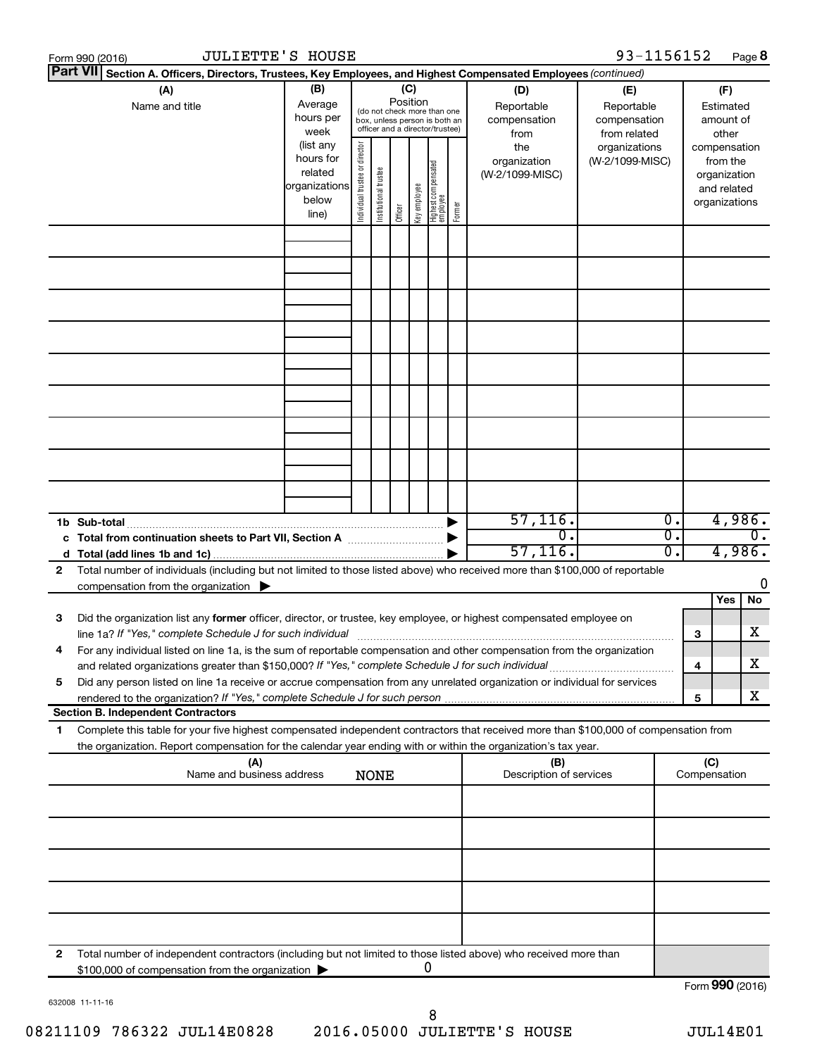|              | <b>JULIETTE'S HOUSE</b><br>Form 990 (2016)                                                                                                                                                                                      |                                                                      |                                |                       |                 |              |                                                                                                 |        |                                           | 93-1156152                                        |                  |                     |                                                                          | Page 8 |
|--------------|---------------------------------------------------------------------------------------------------------------------------------------------------------------------------------------------------------------------------------|----------------------------------------------------------------------|--------------------------------|-----------------------|-----------------|--------------|-------------------------------------------------------------------------------------------------|--------|-------------------------------------------|---------------------------------------------------|------------------|---------------------|--------------------------------------------------------------------------|--------|
|              | <b>Part VII</b><br>Section A. Officers, Directors, Trustees, Key Employees, and Highest Compensated Employees (continued)                                                                                                       |                                                                      |                                |                       |                 |              |                                                                                                 |        |                                           |                                                   |                  |                     |                                                                          |        |
|              | (A)<br>Name and title                                                                                                                                                                                                           | (B)<br>Average<br>hours per<br>week                                  |                                |                       | (C)<br>Position |              | (do not check more than one<br>box, unless person is both an<br>officer and a director/trustee) |        | (D)<br>Reportable<br>compensation<br>from | (E)<br>Reportable<br>compensation<br>from related |                  |                     | (F)<br>Estimated<br>amount of<br>other                                   |        |
|              |                                                                                                                                                                                                                                 | (list any<br>hours for<br>related<br>organizations<br>below<br>line) | Individual trustee or director | Institutional trustee | Officer         | Key employee | Highest compensated<br>  employee                                                               | Former | the<br>organization<br>(W-2/1099-MISC)    | organizations<br>(W-2/1099-MISC)                  |                  |                     | compensation<br>from the<br>organization<br>and related<br>organizations |        |
|              |                                                                                                                                                                                                                                 |                                                                      |                                |                       |                 |              |                                                                                                 |        |                                           |                                                   |                  |                     |                                                                          |        |
|              |                                                                                                                                                                                                                                 |                                                                      |                                |                       |                 |              |                                                                                                 |        |                                           |                                                   |                  |                     |                                                                          |        |
|              |                                                                                                                                                                                                                                 |                                                                      |                                |                       |                 |              |                                                                                                 |        |                                           |                                                   |                  |                     |                                                                          |        |
|              |                                                                                                                                                                                                                                 |                                                                      |                                |                       |                 |              |                                                                                                 |        |                                           |                                                   |                  |                     |                                                                          |        |
|              |                                                                                                                                                                                                                                 |                                                                      |                                |                       |                 |              |                                                                                                 |        |                                           |                                                   |                  |                     |                                                                          |        |
|              |                                                                                                                                                                                                                                 |                                                                      |                                |                       |                 |              |                                                                                                 |        |                                           |                                                   |                  |                     |                                                                          |        |
|              |                                                                                                                                                                                                                                 |                                                                      |                                |                       |                 |              |                                                                                                 |        |                                           |                                                   |                  |                     |                                                                          |        |
|              |                                                                                                                                                                                                                                 |                                                                      |                                |                       |                 |              |                                                                                                 |        |                                           |                                                   |                  |                     |                                                                          |        |
|              | 1b Sub-total                                                                                                                                                                                                                    |                                                                      |                                |                       |                 |              |                                                                                                 |        | 57, 116.                                  |                                                   | $\overline{0}$ . |                     |                                                                          | 4,986. |
|              | c Total from continuation sheets to Part VII, Section A [11] [2000] [2000]                                                                                                                                                      |                                                                      |                                |                       |                 |              |                                                                                                 |        | $\mathbf 0$ .<br>57, 116.                 |                                                   | σ.<br>σ.         |                     | 4,986.                                                                   | 0.     |
| $\mathbf{2}$ | Total number of individuals (including but not limited to those listed above) who received more than \$100,000 of reportable<br>compensation from the organization $\blacktriangleright$                                        |                                                                      |                                |                       |                 |              |                                                                                                 |        |                                           |                                                   |                  |                     |                                                                          | 0      |
|              |                                                                                                                                                                                                                                 |                                                                      |                                |                       |                 |              |                                                                                                 |        |                                           |                                                   |                  |                     | Yes                                                                      | No.    |
| 3            | Did the organization list any former officer, director, or trustee, key employee, or highest compensated employee on<br>line 1a? If "Yes," complete Schedule J for such individual                                              |                                                                      |                                |                       |                 |              |                                                                                                 |        |                                           |                                                   |                  | З                   |                                                                          | X.     |
| 4            | For any individual listed on line 1a, is the sum of reportable compensation and other compensation from the organization<br>and related organizations greater than \$150,000? If "Yes," complete Schedule J for such individual |                                                                      |                                |                       |                 |              |                                                                                                 |        |                                           |                                                   |                  | 4                   |                                                                          | х      |
| 5            | Did any person listed on line 1a receive or accrue compensation from any unrelated organization or individual for services                                                                                                      |                                                                      |                                |                       |                 |              |                                                                                                 |        |                                           |                                                   |                  | 5                   |                                                                          | x      |
| 1            | <b>Section B. Independent Contractors</b><br>Complete this table for your five highest compensated independent contractors that received more than \$100,000 of compensation from                                               |                                                                      |                                |                       |                 |              |                                                                                                 |        |                                           |                                                   |                  |                     |                                                                          |        |
|              | the organization. Report compensation for the calendar year ending with or within the organization's tax year.                                                                                                                  |                                                                      |                                |                       |                 |              |                                                                                                 |        |                                           |                                                   |                  |                     |                                                                          |        |
|              | (A)<br>Name and business address                                                                                                                                                                                                |                                                                      |                                | <b>NONE</b>           |                 |              |                                                                                                 |        | (B)<br>Description of services            |                                                   |                  | (C)<br>Compensation |                                                                          |        |
|              |                                                                                                                                                                                                                                 |                                                                      |                                |                       |                 |              |                                                                                                 |        |                                           |                                                   |                  |                     |                                                                          |        |
|              |                                                                                                                                                                                                                                 |                                                                      |                                |                       |                 |              |                                                                                                 |        |                                           |                                                   |                  |                     |                                                                          |        |
|              |                                                                                                                                                                                                                                 |                                                                      |                                |                       |                 |              |                                                                                                 |        |                                           |                                                   |                  |                     |                                                                          |        |
|              |                                                                                                                                                                                                                                 |                                                                      |                                |                       |                 |              |                                                                                                 |        |                                           |                                                   |                  |                     |                                                                          |        |
| 2            | Total number of independent contractors (including but not limited to those listed above) who received more than<br>\$100,000 of compensation from the organization                                                             |                                                                      |                                |                       |                 | 0            |                                                                                                 |        |                                           |                                                   |                  |                     |                                                                          |        |
|              |                                                                                                                                                                                                                                 |                                                                      |                                |                       |                 |              |                                                                                                 |        |                                           |                                                   |                  | Form 990 (2016)     |                                                                          |        |

632008 11-11-16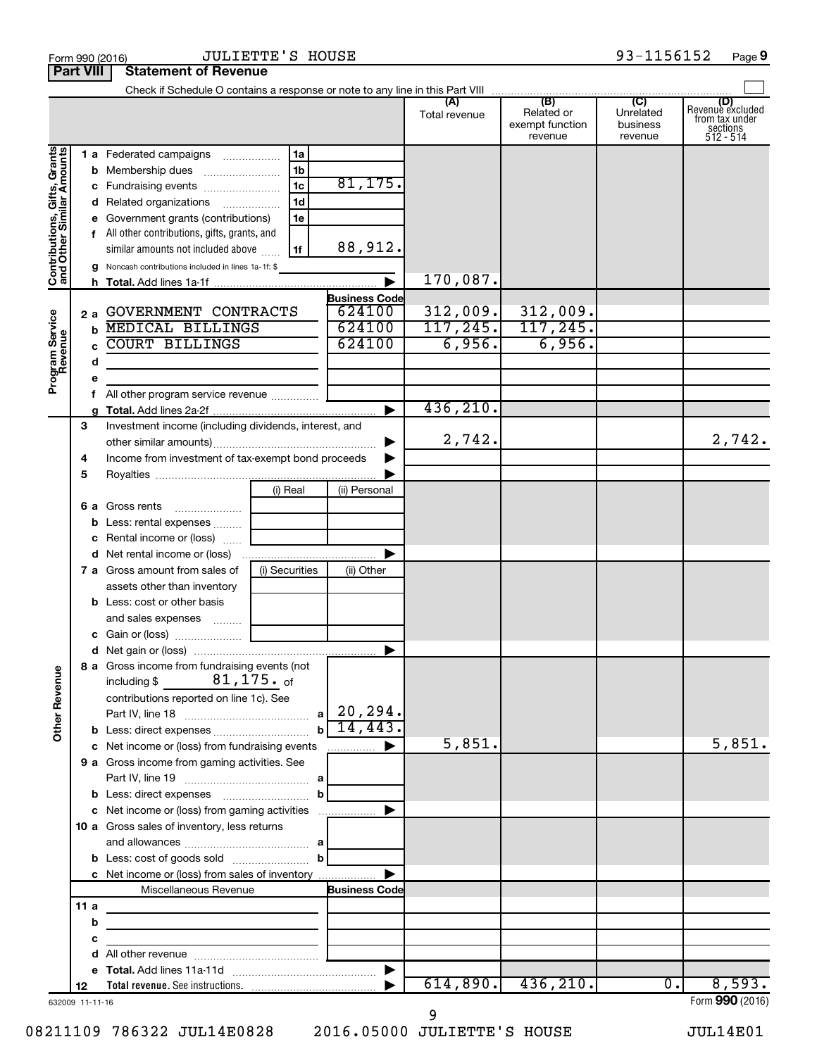|                                                           |                       |                                                       |                |                                  | Total revenue | Related or<br>exempt function<br>revenue | Unrelated<br>business<br>revenue | Revenue excluded<br>from tax under<br>$sec$<br>sections<br>512 - 514 |
|-----------------------------------------------------------|-----------------------|-------------------------------------------------------|----------------|----------------------------------|---------------|------------------------------------------|----------------------------------|----------------------------------------------------------------------|
| Contributions, Gifts, Grants<br>and Other Similar Amounts |                       | 1 a Federated campaigns                               | 1a             |                                  |               |                                          |                                  |                                                                      |
|                                                           |                       |                                                       | 1 <sub>b</sub> |                                  |               |                                          |                                  |                                                                      |
|                                                           |                       | c Fundraising events                                  | l 1c           | 81, 175.                         |               |                                          |                                  |                                                                      |
|                                                           |                       | d Related organizations                               | 1 <sub>d</sub> |                                  |               |                                          |                                  |                                                                      |
|                                                           |                       | e Government grants (contributions)                   | 1e             |                                  |               |                                          |                                  |                                                                      |
|                                                           |                       | f All other contributions, gifts, grants, and         |                |                                  |               |                                          |                                  |                                                                      |
|                                                           |                       | similar amounts not included above                    | l 1f           | 88,912.                          |               |                                          |                                  |                                                                      |
|                                                           |                       | Noncash contributions included in lines 1a-1f: \$     |                |                                  |               |                                          |                                  |                                                                      |
|                                                           |                       |                                                       |                | $\overline{\blacktriangleright}$ | 170,087.      |                                          |                                  |                                                                      |
|                                                           |                       |                                                       |                | <b>Business Code</b>             |               |                                          |                                  |                                                                      |
|                                                           | 2a                    | GOVERNMENT CONTRACTS                                  |                | 624100                           | 312,009.      | 312,009.                                 |                                  |                                                                      |
|                                                           | b                     | <b>MEDICAL BILLINGS</b>                               |                | 624100                           | 117, 245.     | 117, 245.                                |                                  |                                                                      |
|                                                           | c.                    | <b>COURT BILLINGS</b>                                 |                | 624100                           | 6,956.        | 6,956.                                   |                                  |                                                                      |
|                                                           | d                     |                                                       |                |                                  |               |                                          |                                  |                                                                      |
| Program Service<br>Revenue                                | е                     |                                                       |                |                                  |               |                                          |                                  |                                                                      |
|                                                           | f.                    |                                                       |                |                                  |               |                                          |                                  |                                                                      |
|                                                           |                       |                                                       |                | $\blacksquare$                   | 436, 210.     |                                          |                                  |                                                                      |
|                                                           | 3                     | Investment income (including dividends, interest, and |                |                                  |               |                                          |                                  |                                                                      |
|                                                           |                       |                                                       |                | ▶                                | 2,742.        |                                          |                                  | 2,742.                                                               |
|                                                           | 4                     | Income from investment of tax-exempt bond proceeds    |                |                                  |               |                                          |                                  |                                                                      |
|                                                           | 5                     |                                                       |                |                                  |               |                                          |                                  |                                                                      |
|                                                           |                       |                                                       | (i) Real       | (ii) Personal                    |               |                                          |                                  |                                                                      |
|                                                           | 6а                    | Gross rents                                           |                |                                  |               |                                          |                                  |                                                                      |
|                                                           | b                     | Less: rental expenses                                 |                |                                  |               |                                          |                                  |                                                                      |
|                                                           |                       | c Rental income or (loss)                             |                |                                  |               |                                          |                                  |                                                                      |
|                                                           |                       |                                                       |                | $\blacktriangleright$            |               |                                          |                                  |                                                                      |
|                                                           |                       | <b>7 a</b> Gross amount from sales of                 | (i) Securities | (ii) Other                       |               |                                          |                                  |                                                                      |
|                                                           |                       | assets other than inventory                           |                |                                  |               |                                          |                                  |                                                                      |
|                                                           |                       | <b>b</b> Less: cost or other basis                    |                |                                  |               |                                          |                                  |                                                                      |
|                                                           |                       |                                                       |                |                                  |               |                                          |                                  |                                                                      |
|                                                           |                       |                                                       |                |                                  |               |                                          |                                  |                                                                      |
|                                                           |                       |                                                       |                |                                  |               |                                          |                                  |                                                                      |
|                                                           |                       | 8 a Gross income from fundraising events (not         |                |                                  |               |                                          |                                  |                                                                      |
| Ф                                                         |                       | $81$ ,175. of<br>including \$                         |                |                                  |               |                                          |                                  |                                                                      |
|                                                           |                       | contributions reported on line 1c). See               |                |                                  |               |                                          |                                  |                                                                      |
|                                                           |                       |                                                       |                | 20, 294.                         |               |                                          |                                  |                                                                      |
| Other Revenu                                              |                       |                                                       | b              | 14,443                           |               |                                          |                                  |                                                                      |
|                                                           |                       | c Net income or (loss) from fundraising events        |                | .                                | 5,851.        |                                          |                                  | 5,851.                                                               |
|                                                           |                       | 9 a Gross income from gaming activities. See          |                |                                  |               |                                          |                                  |                                                                      |
|                                                           |                       |                                                       |                |                                  |               |                                          |                                  |                                                                      |
|                                                           |                       |                                                       | b              |                                  |               |                                          |                                  |                                                                      |
|                                                           |                       | c Net income or (loss) from gaming activities         |                |                                  |               |                                          |                                  |                                                                      |
|                                                           |                       |                                                       |                |                                  |               |                                          |                                  |                                                                      |
|                                                           |                       | 10 a Gross sales of inventory, less returns           |                |                                  |               |                                          |                                  |                                                                      |
|                                                           |                       |                                                       | b              |                                  |               |                                          |                                  |                                                                      |
|                                                           |                       |                                                       |                |                                  |               |                                          |                                  |                                                                      |
|                                                           |                       | c Net income or (loss) from sales of inventory        |                |                                  |               |                                          |                                  |                                                                      |
|                                                           | 11a                   | Miscellaneous Revenue                                 |                | <b>Business Code</b>             |               |                                          |                                  |                                                                      |
|                                                           |                       |                                                       |                |                                  |               |                                          |                                  |                                                                      |
|                                                           | b                     |                                                       |                |                                  |               |                                          |                                  |                                                                      |
|                                                           | с                     |                                                       |                |                                  |               |                                          |                                  |                                                                      |
|                                                           | d                     |                                                       |                |                                  |               |                                          |                                  |                                                                      |
|                                                           | е                     |                                                       |                | $\blacktriangleright$            |               | $614,890.$ 436, 210.                     | 0.                               | 8,593.                                                               |
|                                                           | 12<br>632009 11-11-16 |                                                       |                |                                  |               |                                          |                                  | Form 990 (2016)                                                      |

08211109 786322 JUL14E0828 2016.05000 JULIETTE'S HOUSE JUL14E01 9

**Part VIII Statement of Revenue**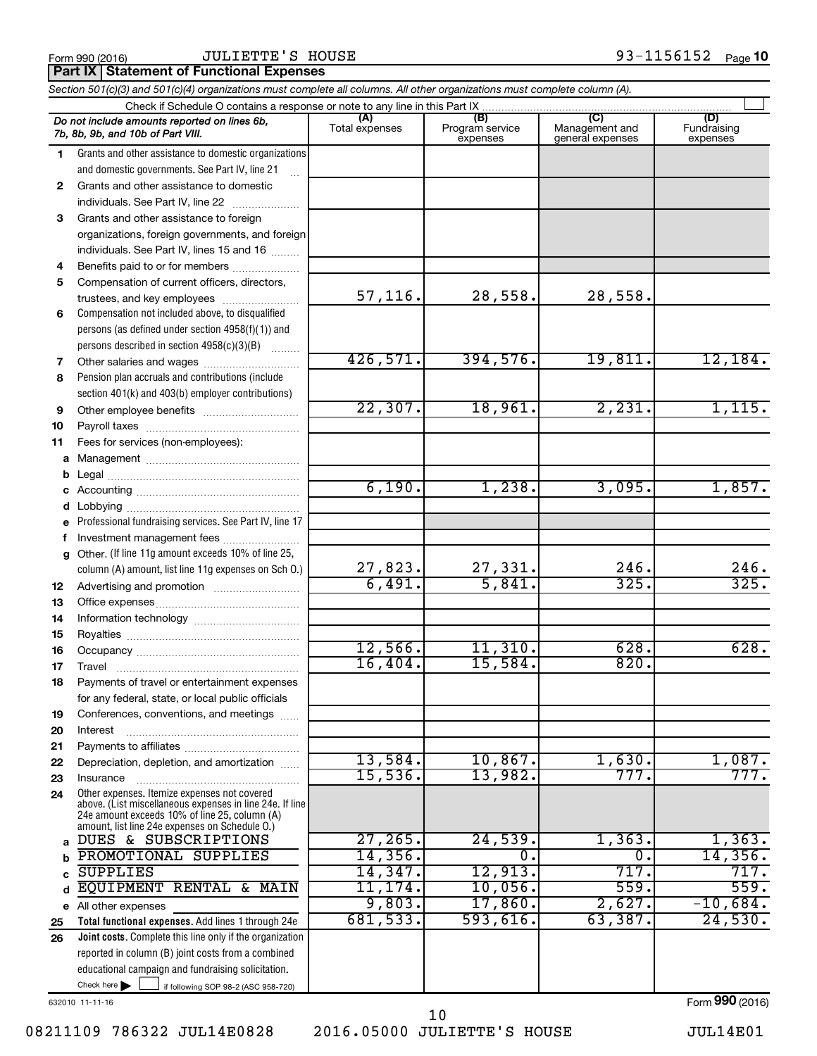Form 990 (2016)  $JULIENTE'S$   $HOUSE$   $93-1156152$   $Page$ 

**Part IX Statement of Functional Expenses** 

*Section 501(c)(3) and 501(c)(4) organizations must complete all columns. All other organizations must complete column (A).*

|              | Check if Schedule O contains a response or note to any line in this Part IX                               |                |                                    |                                    |                                |  |  |
|--------------|-----------------------------------------------------------------------------------------------------------|----------------|------------------------------------|------------------------------------|--------------------------------|--|--|
|              | Do not include amounts reported on lines 6b,<br>7b, 8b, 9b, and 10b of Part VIII.                         | Total expenses | (B)<br>Program service<br>expenses | Management and<br>general expenses | (D)<br>Fundraising<br>expenses |  |  |
| 1.           | Grants and other assistance to domestic organizations                                                     |                |                                    |                                    |                                |  |  |
|              | and domestic governments. See Part IV, line 21                                                            |                |                                    |                                    |                                |  |  |
| $\mathbf{2}$ | Grants and other assistance to domestic                                                                   |                |                                    |                                    |                                |  |  |
|              | individuals. See Part IV, line 22<br>$\mathcal{L} = \{1, 2, \ldots, n\}$                                  |                |                                    |                                    |                                |  |  |
| 3            | Grants and other assistance to foreign                                                                    |                |                                    |                                    |                                |  |  |
|              | organizations, foreign governments, and foreign                                                           |                |                                    |                                    |                                |  |  |
|              | individuals. See Part IV, lines 15 and 16                                                                 |                |                                    |                                    |                                |  |  |
| 4            | Benefits paid to or for members                                                                           |                |                                    |                                    |                                |  |  |
| 5            | Compensation of current officers, directors,                                                              |                |                                    |                                    |                                |  |  |
|              | trustees, and key employees                                                                               | 57, 116.       | 28,558.                            | 28,558.                            |                                |  |  |
| 6            | Compensation not included above, to disqualified                                                          |                |                                    |                                    |                                |  |  |
|              | persons (as defined under section 4958(f)(1)) and                                                         |                |                                    |                                    |                                |  |  |
|              | persons described in section 4958(c)(3)(B)                                                                |                |                                    |                                    |                                |  |  |
| 7            | Other salaries and wages                                                                                  | 426,571.       | 394,576.                           | 19,811.                            | 12, 184.                       |  |  |
| 8            | Pension plan accruals and contributions (include                                                          |                |                                    |                                    |                                |  |  |
|              | section 401(k) and 403(b) employer contributions)                                                         |                |                                    |                                    |                                |  |  |
| 9            |                                                                                                           | 22, 307.       | 18,961.                            | 2,231.                             | 1,115.                         |  |  |
| 10           |                                                                                                           |                |                                    |                                    |                                |  |  |
| 11           | Fees for services (non-employees):                                                                        |                |                                    |                                    |                                |  |  |
| a            |                                                                                                           |                |                                    |                                    |                                |  |  |
|              |                                                                                                           |                |                                    |                                    |                                |  |  |
| с            |                                                                                                           | 6,190.         | 1,238.                             | 3,095.                             | 1,857.                         |  |  |
| d            |                                                                                                           |                |                                    |                                    |                                |  |  |
|              | Professional fundraising services. See Part IV, line 17                                                   |                |                                    |                                    |                                |  |  |
| f            | Investment management fees                                                                                |                |                                    |                                    |                                |  |  |
| g            | Other. (If line 11g amount exceeds 10% of line 25,                                                        | 27,823.        |                                    | 246.                               | 246.                           |  |  |
|              | column (A) amount, list line 11g expenses on Sch O.)                                                      | 6,491.         | $\frac{27,331}{5,841}$             | 325.                               | 325.                           |  |  |
| 12           |                                                                                                           |                |                                    |                                    |                                |  |  |
| 13           |                                                                                                           |                |                                    |                                    |                                |  |  |
| 14<br>15     |                                                                                                           |                |                                    |                                    |                                |  |  |
| 16           |                                                                                                           | 12,566.        | 11,310.                            | 628.                               | 628.                           |  |  |
| 17           |                                                                                                           | 16,404.        | 15,584.                            | 820.                               |                                |  |  |
| 18           | Payments of travel or entertainment expenses                                                              |                |                                    |                                    |                                |  |  |
|              | for any federal, state, or local public officials                                                         |                |                                    |                                    |                                |  |  |
| 19           | Conferences, conventions, and meetings                                                                    |                |                                    |                                    |                                |  |  |
| 20           | Interest                                                                                                  |                |                                    |                                    |                                |  |  |
| 21           |                                                                                                           |                |                                    |                                    |                                |  |  |
| 22           | Depreciation, depletion, and amortization                                                                 | 13,584.        | 10,867.                            | 1,630.                             | 1,087.                         |  |  |
| 23           | Insurance                                                                                                 | 15,536.        | 13,982.                            | 777.                               | 777.                           |  |  |
| 24           | Other expenses. Itemize expenses not covered                                                              |                |                                    |                                    |                                |  |  |
|              | above. (List miscellaneous expenses in line 24e. If line<br>24e amount exceeds 10% of line 25, column (A) |                |                                    |                                    |                                |  |  |
|              | amount, list line 24e expenses on Schedule O.)                                                            |                |                                    |                                    |                                |  |  |
| a            | DUES & SUBSCRIPTIONS                                                                                      | 27, 265.       | 24,539.                            | 1,363.                             | 1,363.                         |  |  |
|              | PROMOTIONAL SUPPLIES                                                                                      | 14, 356.       | 0.                                 | о.                                 | 14,356.                        |  |  |
|              | <b>SUPPLIES</b>                                                                                           | 14,347.        | 12,913.                            | 717.                               | 717.                           |  |  |
| d            | EQUIPMENT<br>RENTAL & MAIN                                                                                | 11,174.        | 10,056.                            | 559.                               | 559.                           |  |  |
|              | e All other expenses                                                                                      | 9,803.         | 17,860.                            | 2,627.                             | $-10,684$ .                    |  |  |
| 25           | Total functional expenses. Add lines 1 through 24e                                                        | 681,533.       | 593,616.                           | 63,387.                            | 24,530.                        |  |  |
| 26           | Joint costs. Complete this line only if the organization                                                  |                |                                    |                                    |                                |  |  |
|              | reported in column (B) joint costs from a combined                                                        |                |                                    |                                    |                                |  |  |
|              | educational campaign and fundraising solicitation.                                                        |                |                                    |                                    |                                |  |  |
|              | Check here<br>if following SOP 98-2 (ASC 958-720)                                                         |                |                                    |                                    |                                |  |  |
|              | 632010 11-11-16                                                                                           |                |                                    |                                    | Form 990 (2016)                |  |  |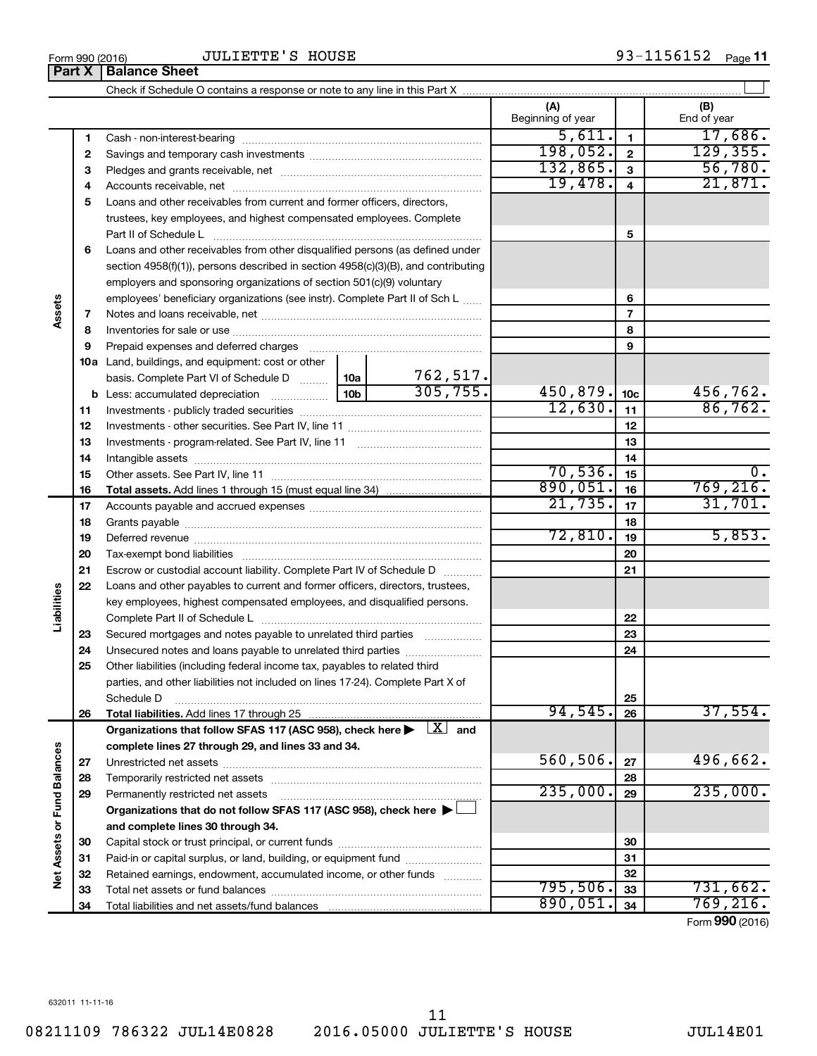Form 990 (2016)  $JULIETTE'S HOUSE$   $100SE$ 93-1156152 Page 11

|                             | Part X | <b>Balance Sheet</b>                                                                                                                                                                                                           |         |                           |                          |                 |                          |
|-----------------------------|--------|--------------------------------------------------------------------------------------------------------------------------------------------------------------------------------------------------------------------------------|---------|---------------------------|--------------------------|-----------------|--------------------------|
|                             |        |                                                                                                                                                                                                                                |         |                           |                          |                 |                          |
|                             |        |                                                                                                                                                                                                                                |         |                           | (A)<br>Beginning of year |                 | (B)<br>End of year       |
|                             | 1      |                                                                                                                                                                                                                                | 5,611.  | 1                         | 17,686.                  |                 |                          |
|                             | 2      |                                                                                                                                                                                                                                |         |                           | 198,052.                 | $\mathbf{2}$    | 129, 355.                |
|                             | З      |                                                                                                                                                                                                                                |         |                           | 132,865.                 | 3               | 56,780.                  |
|                             | 4      |                                                                                                                                                                                                                                | 19,478. | $\overline{\mathbf{4}}$   | 21,871.                  |                 |                          |
|                             | 5      | Loans and other receivables from current and former officers, directors,                                                                                                                                                       |         |                           |                          |                 |                          |
|                             |        | trustees, key employees, and highest compensated employees. Complete                                                                                                                                                           |         |                           |                          |                 |                          |
|                             |        | Part II of Schedule L                                                                                                                                                                                                          |         |                           |                          | 5               |                          |
|                             | 6      | Loans and other receivables from other disqualified persons (as defined under                                                                                                                                                  |         |                           |                          |                 |                          |
|                             |        | section 4958(f)(1)), persons described in section 4958(c)(3)(B), and contributing                                                                                                                                              |         |                           |                          |                 |                          |
|                             |        | employers and sponsoring organizations of section 501(c)(9) voluntary                                                                                                                                                          |         |                           |                          |                 |                          |
|                             |        | employees' beneficiary organizations (see instr). Complete Part II of Sch L                                                                                                                                                    |         |                           |                          | 6               |                          |
| Assets                      | 7      |                                                                                                                                                                                                                                |         |                           |                          | $\overline{7}$  |                          |
|                             | 8      |                                                                                                                                                                                                                                |         |                           |                          | 8               |                          |
|                             | 9      | Prepaid expenses and deferred charges [11] [11] Prepaid expenses and deferred charges [11] [11] Arman minimum                                                                                                                  |         |                           |                          | 9               |                          |
|                             |        | <b>10a</b> Land, buildings, and equipment: cost or other                                                                                                                                                                       |         |                           |                          |                 |                          |
|                             |        | basis. Complete Part VI of Schedule D  10a                                                                                                                                                                                     |         | $\frac{762,517}{305,755}$ |                          |                 |                          |
|                             |        |                                                                                                                                                                                                                                |         |                           | 450,879.                 | 10 <sub>c</sub> | 456,762.                 |
|                             | 11     |                                                                                                                                                                                                                                |         |                           | 12,630.                  | 11              | 86,762.                  |
|                             | 12     |                                                                                                                                                                                                                                |         |                           |                          | 12              |                          |
|                             | 13     |                                                                                                                                                                                                                                |         |                           |                          | 13              |                          |
|                             | 14     |                                                                                                                                                                                                                                |         | 14                        |                          |                 |                          |
|                             | 15     |                                                                                                                                                                                                                                | 70,536. | 15                        | 0.                       |                 |                          |
|                             | 16     |                                                                                                                                                                                                                                |         |                           | 890,051.                 | 16              | 769, 216.                |
|                             | 17     |                                                                                                                                                                                                                                |         | 21,735.                   | 17                       | 31,701.         |                          |
|                             | 18     |                                                                                                                                                                                                                                |         |                           |                          | 18              |                          |
|                             | 19     |                                                                                                                                                                                                                                |         |                           | 72,810.                  | 19              | 5,853.                   |
|                             | 20     |                                                                                                                                                                                                                                |         |                           |                          | 20              |                          |
|                             | 21     | Escrow or custodial account liability. Complete Part IV of Schedule D                                                                                                                                                          |         |                           |                          | 21              |                          |
|                             | 22     | Loans and other payables to current and former officers, directors, trustees,                                                                                                                                                  |         |                           |                          |                 |                          |
|                             |        | key employees, highest compensated employees, and disqualified persons.                                                                                                                                                        |         |                           |                          |                 |                          |
| Liabilities                 |        | Complete Part II of Schedule L [1111] [111] Complete Part II of Schedule L [111] [111] [111] [111] [111] [111] [111] [111] [111] [111] [111] [111] [111] [111] [111] [111] [111] [111] [111] [111] [111] [111] [111] [111] [11 |         |                           |                          | 22              |                          |
|                             | 23     | Secured mortgages and notes payable to unrelated third parties                                                                                                                                                                 |         |                           |                          | 23              |                          |
|                             | 24     | Unsecured notes and loans payable to unrelated third parties                                                                                                                                                                   |         |                           |                          | 24              |                          |
|                             | 25     | Other liabilities (including federal income tax, payables to related third                                                                                                                                                     |         |                           |                          |                 |                          |
|                             |        | parties, and other liabilities not included on lines 17-24). Complete Part X of                                                                                                                                                |         |                           |                          |                 |                          |
|                             |        | Schedule D                                                                                                                                                                                                                     |         |                           |                          | 25              |                          |
|                             | 26     | Total liabilities. Add lines 17 through 25                                                                                                                                                                                     |         |                           | 94,545.                  | 26              | 37,554.                  |
|                             |        | Organizations that follow SFAS 117 (ASC 958), check here $\blacktriangleright \begin{array}{c} \perp X \end{array}$ and                                                                                                        |         |                           |                          |                 |                          |
|                             |        | complete lines 27 through 29, and lines 33 and 34.                                                                                                                                                                             |         |                           |                          |                 |                          |
|                             | 27     |                                                                                                                                                                                                                                |         |                           | 560,506.                 | 27              | 496,662.                 |
|                             | 28     |                                                                                                                                                                                                                                |         |                           |                          | 28              |                          |
|                             | 29     | Permanently restricted net assets                                                                                                                                                                                              |         |                           | 235,000.                 | 29              | 235,000.                 |
|                             |        | Organizations that do not follow SFAS 117 (ASC 958), check here ▶ L                                                                                                                                                            |         |                           |                          |                 |                          |
|                             |        | and complete lines 30 through 34.                                                                                                                                                                                              |         |                           |                          |                 |                          |
|                             | 30     |                                                                                                                                                                                                                                |         |                           |                          | 30              |                          |
|                             | 31     | Paid-in or capital surplus, or land, building, or equipment fund                                                                                                                                                               |         |                           |                          | 31              |                          |
| Net Assets or Fund Balances | 32     | Retained earnings, endowment, accumulated income, or other funds                                                                                                                                                               |         |                           |                          | 32              |                          |
|                             | 33     |                                                                                                                                                                                                                                |         |                           | 795,506.                 | 33              | 731,662.                 |
|                             | 34     |                                                                                                                                                                                                                                |         |                           | 890,051.                 | 34              | 769,216.<br>$\mathbf{A}$ |

Form (2016) **990**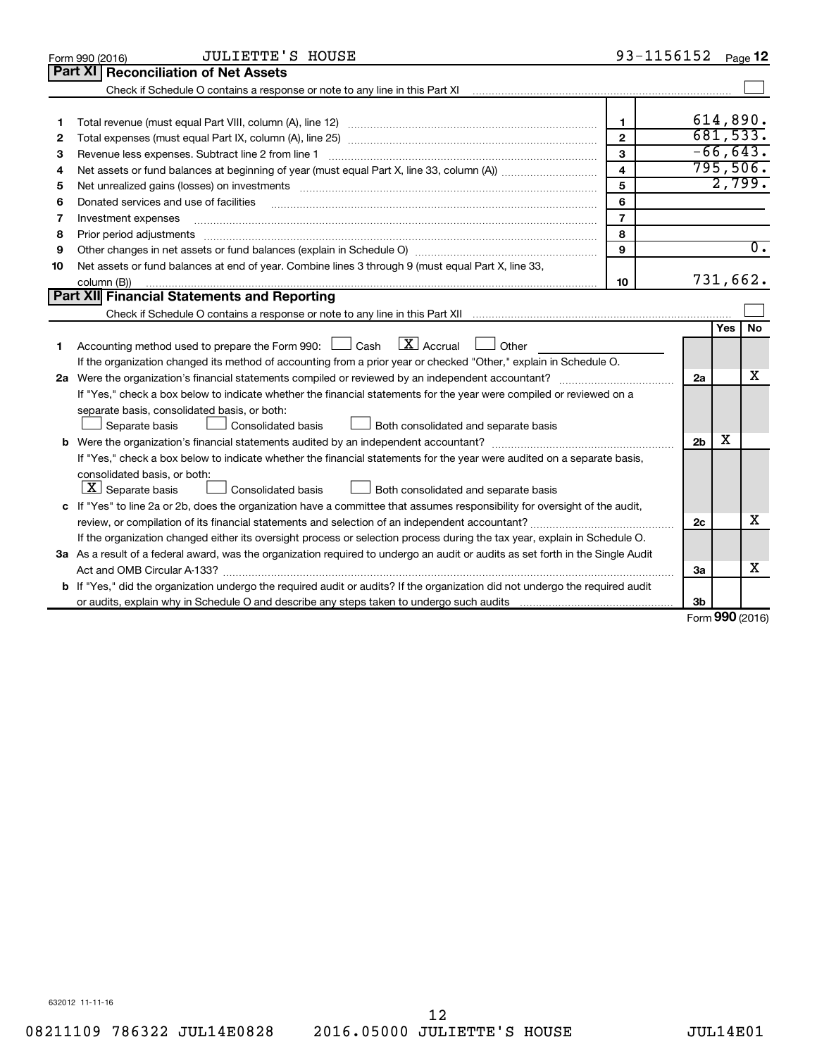| Part XI<br><b>Reconciliation of Net Assets</b><br>Check if Schedule O contains a response or note to any line in this Part XI [11] [12] Check if Schedule O contains a response or note to any line in this Part XI<br>614,890.<br>$\mathbf{1}$<br>1<br>681,533.<br>$\overline{2}$<br>2<br>$-66,643.$<br>3<br>Revenue less expenses. Subtract line 2 from line 1<br>3<br>795,506.<br>4<br>4<br>2,799.<br>5<br>5<br>6<br>Donated services and use of facilities<br>6<br>$\overline{7}$<br>Investment expenses<br>7<br>8<br>Prior period adjustments<br>8<br>$\overline{0}$ .<br>9<br>9<br>Net assets or fund balances at end of year. Combine lines 3 through 9 (must equal Part X, line 33,<br>10<br>731,662.<br>10<br>column (B))<br>Part XII Financial Statements and Reporting<br>Yes<br>No.<br>$\mathbf{X}$ Accrual<br>Accounting method used to prepare the Form 990: [130] Cash<br>    Other<br>1.<br>If the organization changed its method of accounting from a prior year or checked "Other," explain in Schedule O.<br>х<br>2a<br>If "Yes," check a box below to indicate whether the financial statements for the year were compiled or reviewed on a<br>separate basis, consolidated basis, or both:<br>Both consolidated and separate basis<br>Separate basis<br>Consolidated basis<br>х<br>2 <sub>b</sub><br>If "Yes," check a box below to indicate whether the financial statements for the year were audited on a separate basis,<br>consolidated basis, or both:<br>$ \mathbf{X} $ Separate basis<br>Consolidated basis<br>Both consolidated and separate basis<br>c If "Yes" to line 2a or 2b, does the organization have a committee that assumes responsibility for oversight of the audit,<br>x<br>2c<br>review, or compilation of its financial statements and selection of an independent accountant?<br>If the organization changed either its oversight process or selection process during the tax year, explain in Schedule O.<br>3a As a result of a federal award, was the organization required to undergo an audit or audits as set forth in the Single Audit<br>x<br>За<br><b>b</b> If "Yes," did the organization undergo the required audit or audits? If the organization did not undergo the required audit<br>3b | <b>JULIETTE'S HOUSE</b><br>Form 990 (2016) | 93-1156152 | Page 12 |
|--------------------------------------------------------------------------------------------------------------------------------------------------------------------------------------------------------------------------------------------------------------------------------------------------------------------------------------------------------------------------------------------------------------------------------------------------------------------------------------------------------------------------------------------------------------------------------------------------------------------------------------------------------------------------------------------------------------------------------------------------------------------------------------------------------------------------------------------------------------------------------------------------------------------------------------------------------------------------------------------------------------------------------------------------------------------------------------------------------------------------------------------------------------------------------------------------------------------------------------------------------------------------------------------------------------------------------------------------------------------------------------------------------------------------------------------------------------------------------------------------------------------------------------------------------------------------------------------------------------------------------------------------------------------------------------------------------------------------------------------------------------------------------------------------------------------------------------------------------------------------------------------------------------------------------------------------------------------------------------------------------------------------------------------------------------------------------------------------------------------------------------------------------------------------------------------------------------------------------------------------------|--------------------------------------------|------------|---------|
|                                                                                                                                                                                                                                                                                                                                                                                                                                                                                                                                                                                                                                                                                                                                                                                                                                                                                                                                                                                                                                                                                                                                                                                                                                                                                                                                                                                                                                                                                                                                                                                                                                                                                                                                                                                                                                                                                                                                                                                                                                                                                                                                                                                                                                                        |                                            |            |         |
|                                                                                                                                                                                                                                                                                                                                                                                                                                                                                                                                                                                                                                                                                                                                                                                                                                                                                                                                                                                                                                                                                                                                                                                                                                                                                                                                                                                                                                                                                                                                                                                                                                                                                                                                                                                                                                                                                                                                                                                                                                                                                                                                                                                                                                                        |                                            |            |         |
|                                                                                                                                                                                                                                                                                                                                                                                                                                                                                                                                                                                                                                                                                                                                                                                                                                                                                                                                                                                                                                                                                                                                                                                                                                                                                                                                                                                                                                                                                                                                                                                                                                                                                                                                                                                                                                                                                                                                                                                                                                                                                                                                                                                                                                                        |                                            |            |         |
|                                                                                                                                                                                                                                                                                                                                                                                                                                                                                                                                                                                                                                                                                                                                                                                                                                                                                                                                                                                                                                                                                                                                                                                                                                                                                                                                                                                                                                                                                                                                                                                                                                                                                                                                                                                                                                                                                                                                                                                                                                                                                                                                                                                                                                                        |                                            |            |         |
|                                                                                                                                                                                                                                                                                                                                                                                                                                                                                                                                                                                                                                                                                                                                                                                                                                                                                                                                                                                                                                                                                                                                                                                                                                                                                                                                                                                                                                                                                                                                                                                                                                                                                                                                                                                                                                                                                                                                                                                                                                                                                                                                                                                                                                                        |                                            |            |         |
|                                                                                                                                                                                                                                                                                                                                                                                                                                                                                                                                                                                                                                                                                                                                                                                                                                                                                                                                                                                                                                                                                                                                                                                                                                                                                                                                                                                                                                                                                                                                                                                                                                                                                                                                                                                                                                                                                                                                                                                                                                                                                                                                                                                                                                                        |                                            |            |         |
|                                                                                                                                                                                                                                                                                                                                                                                                                                                                                                                                                                                                                                                                                                                                                                                                                                                                                                                                                                                                                                                                                                                                                                                                                                                                                                                                                                                                                                                                                                                                                                                                                                                                                                                                                                                                                                                                                                                                                                                                                                                                                                                                                                                                                                                        |                                            |            |         |
|                                                                                                                                                                                                                                                                                                                                                                                                                                                                                                                                                                                                                                                                                                                                                                                                                                                                                                                                                                                                                                                                                                                                                                                                                                                                                                                                                                                                                                                                                                                                                                                                                                                                                                                                                                                                                                                                                                                                                                                                                                                                                                                                                                                                                                                        |                                            |            |         |
|                                                                                                                                                                                                                                                                                                                                                                                                                                                                                                                                                                                                                                                                                                                                                                                                                                                                                                                                                                                                                                                                                                                                                                                                                                                                                                                                                                                                                                                                                                                                                                                                                                                                                                                                                                                                                                                                                                                                                                                                                                                                                                                                                                                                                                                        |                                            |            |         |
|                                                                                                                                                                                                                                                                                                                                                                                                                                                                                                                                                                                                                                                                                                                                                                                                                                                                                                                                                                                                                                                                                                                                                                                                                                                                                                                                                                                                                                                                                                                                                                                                                                                                                                                                                                                                                                                                                                                                                                                                                                                                                                                                                                                                                                                        |                                            |            |         |
|                                                                                                                                                                                                                                                                                                                                                                                                                                                                                                                                                                                                                                                                                                                                                                                                                                                                                                                                                                                                                                                                                                                                                                                                                                                                                                                                                                                                                                                                                                                                                                                                                                                                                                                                                                                                                                                                                                                                                                                                                                                                                                                                                                                                                                                        |                                            |            |         |
|                                                                                                                                                                                                                                                                                                                                                                                                                                                                                                                                                                                                                                                                                                                                                                                                                                                                                                                                                                                                                                                                                                                                                                                                                                                                                                                                                                                                                                                                                                                                                                                                                                                                                                                                                                                                                                                                                                                                                                                                                                                                                                                                                                                                                                                        |                                            |            |         |
|                                                                                                                                                                                                                                                                                                                                                                                                                                                                                                                                                                                                                                                                                                                                                                                                                                                                                                                                                                                                                                                                                                                                                                                                                                                                                                                                                                                                                                                                                                                                                                                                                                                                                                                                                                                                                                                                                                                                                                                                                                                                                                                                                                                                                                                        |                                            |            |         |
|                                                                                                                                                                                                                                                                                                                                                                                                                                                                                                                                                                                                                                                                                                                                                                                                                                                                                                                                                                                                                                                                                                                                                                                                                                                                                                                                                                                                                                                                                                                                                                                                                                                                                                                                                                                                                                                                                                                                                                                                                                                                                                                                                                                                                                                        |                                            |            |         |
|                                                                                                                                                                                                                                                                                                                                                                                                                                                                                                                                                                                                                                                                                                                                                                                                                                                                                                                                                                                                                                                                                                                                                                                                                                                                                                                                                                                                                                                                                                                                                                                                                                                                                                                                                                                                                                                                                                                                                                                                                                                                                                                                                                                                                                                        |                                            |            |         |
|                                                                                                                                                                                                                                                                                                                                                                                                                                                                                                                                                                                                                                                                                                                                                                                                                                                                                                                                                                                                                                                                                                                                                                                                                                                                                                                                                                                                                                                                                                                                                                                                                                                                                                                                                                                                                                                                                                                                                                                                                                                                                                                                                                                                                                                        |                                            |            |         |
|                                                                                                                                                                                                                                                                                                                                                                                                                                                                                                                                                                                                                                                                                                                                                                                                                                                                                                                                                                                                                                                                                                                                                                                                                                                                                                                                                                                                                                                                                                                                                                                                                                                                                                                                                                                                                                                                                                                                                                                                                                                                                                                                                                                                                                                        |                                            |            |         |
|                                                                                                                                                                                                                                                                                                                                                                                                                                                                                                                                                                                                                                                                                                                                                                                                                                                                                                                                                                                                                                                                                                                                                                                                                                                                                                                                                                                                                                                                                                                                                                                                                                                                                                                                                                                                                                                                                                                                                                                                                                                                                                                                                                                                                                                        |                                            |            |         |
|                                                                                                                                                                                                                                                                                                                                                                                                                                                                                                                                                                                                                                                                                                                                                                                                                                                                                                                                                                                                                                                                                                                                                                                                                                                                                                                                                                                                                                                                                                                                                                                                                                                                                                                                                                                                                                                                                                                                                                                                                                                                                                                                                                                                                                                        |                                            |            |         |
|                                                                                                                                                                                                                                                                                                                                                                                                                                                                                                                                                                                                                                                                                                                                                                                                                                                                                                                                                                                                                                                                                                                                                                                                                                                                                                                                                                                                                                                                                                                                                                                                                                                                                                                                                                                                                                                                                                                                                                                                                                                                                                                                                                                                                                                        |                                            |            |         |
|                                                                                                                                                                                                                                                                                                                                                                                                                                                                                                                                                                                                                                                                                                                                                                                                                                                                                                                                                                                                                                                                                                                                                                                                                                                                                                                                                                                                                                                                                                                                                                                                                                                                                                                                                                                                                                                                                                                                                                                                                                                                                                                                                                                                                                                        |                                            |            |         |
|                                                                                                                                                                                                                                                                                                                                                                                                                                                                                                                                                                                                                                                                                                                                                                                                                                                                                                                                                                                                                                                                                                                                                                                                                                                                                                                                                                                                                                                                                                                                                                                                                                                                                                                                                                                                                                                                                                                                                                                                                                                                                                                                                                                                                                                        |                                            |            |         |
|                                                                                                                                                                                                                                                                                                                                                                                                                                                                                                                                                                                                                                                                                                                                                                                                                                                                                                                                                                                                                                                                                                                                                                                                                                                                                                                                                                                                                                                                                                                                                                                                                                                                                                                                                                                                                                                                                                                                                                                                                                                                                                                                                                                                                                                        |                                            |            |         |
|                                                                                                                                                                                                                                                                                                                                                                                                                                                                                                                                                                                                                                                                                                                                                                                                                                                                                                                                                                                                                                                                                                                                                                                                                                                                                                                                                                                                                                                                                                                                                                                                                                                                                                                                                                                                                                                                                                                                                                                                                                                                                                                                                                                                                                                        |                                            |            |         |
|                                                                                                                                                                                                                                                                                                                                                                                                                                                                                                                                                                                                                                                                                                                                                                                                                                                                                                                                                                                                                                                                                                                                                                                                                                                                                                                                                                                                                                                                                                                                                                                                                                                                                                                                                                                                                                                                                                                                                                                                                                                                                                                                                                                                                                                        |                                            |            |         |
|                                                                                                                                                                                                                                                                                                                                                                                                                                                                                                                                                                                                                                                                                                                                                                                                                                                                                                                                                                                                                                                                                                                                                                                                                                                                                                                                                                                                                                                                                                                                                                                                                                                                                                                                                                                                                                                                                                                                                                                                                                                                                                                                                                                                                                                        |                                            |            |         |
|                                                                                                                                                                                                                                                                                                                                                                                                                                                                                                                                                                                                                                                                                                                                                                                                                                                                                                                                                                                                                                                                                                                                                                                                                                                                                                                                                                                                                                                                                                                                                                                                                                                                                                                                                                                                                                                                                                                                                                                                                                                                                                                                                                                                                                                        |                                            |            |         |
|                                                                                                                                                                                                                                                                                                                                                                                                                                                                                                                                                                                                                                                                                                                                                                                                                                                                                                                                                                                                                                                                                                                                                                                                                                                                                                                                                                                                                                                                                                                                                                                                                                                                                                                                                                                                                                                                                                                                                                                                                                                                                                                                                                                                                                                        |                                            |            |         |
|                                                                                                                                                                                                                                                                                                                                                                                                                                                                                                                                                                                                                                                                                                                                                                                                                                                                                                                                                                                                                                                                                                                                                                                                                                                                                                                                                                                                                                                                                                                                                                                                                                                                                                                                                                                                                                                                                                                                                                                                                                                                                                                                                                                                                                                        |                                            |            |         |
|                                                                                                                                                                                                                                                                                                                                                                                                                                                                                                                                                                                                                                                                                                                                                                                                                                                                                                                                                                                                                                                                                                                                                                                                                                                                                                                                                                                                                                                                                                                                                                                                                                                                                                                                                                                                                                                                                                                                                                                                                                                                                                                                                                                                                                                        |                                            |            |         |
|                                                                                                                                                                                                                                                                                                                                                                                                                                                                                                                                                                                                                                                                                                                                                                                                                                                                                                                                                                                                                                                                                                                                                                                                                                                                                                                                                                                                                                                                                                                                                                                                                                                                                                                                                                                                                                                                                                                                                                                                                                                                                                                                                                                                                                                        |                                            |            |         |
|                                                                                                                                                                                                                                                                                                                                                                                                                                                                                                                                                                                                                                                                                                                                                                                                                                                                                                                                                                                                                                                                                                                                                                                                                                                                                                                                                                                                                                                                                                                                                                                                                                                                                                                                                                                                                                                                                                                                                                                                                                                                                                                                                                                                                                                        |                                            |            |         |
|                                                                                                                                                                                                                                                                                                                                                                                                                                                                                                                                                                                                                                                                                                                                                                                                                                                                                                                                                                                                                                                                                                                                                                                                                                                                                                                                                                                                                                                                                                                                                                                                                                                                                                                                                                                                                                                                                                                                                                                                                                                                                                                                                                                                                                                        |                                            |            |         |
| $000 \approx$                                                                                                                                                                                                                                                                                                                                                                                                                                                                                                                                                                                                                                                                                                                                                                                                                                                                                                                                                                                                                                                                                                                                                                                                                                                                                                                                                                                                                                                                                                                                                                                                                                                                                                                                                                                                                                                                                                                                                                                                                                                                                                                                                                                                                                          |                                            |            |         |

Form (2016) **990**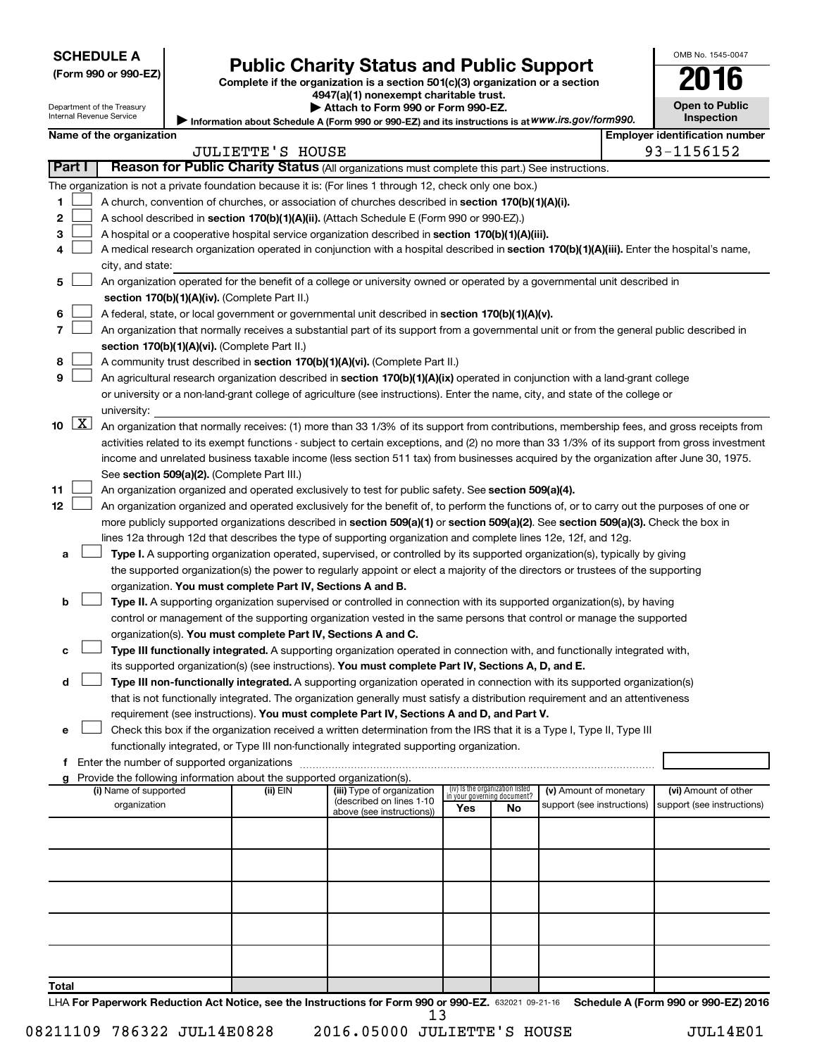| (Form 990 or 990-EZ |  |  |  |  |
|---------------------|--|--|--|--|
|---------------------|--|--|--|--|

# Form 990 or 990-EZ)<br>
Complete if the organization is a section 501(c)(3) organization or a section<br> **2016**

**4947(a)(1) nonexempt charitable trust. | Attach to Form 990 or Form 990-EZ.** 

|  | <b>Open to Public</b> |
|--|-----------------------|
|  | Inspection            |

OMB No. 1545-0047

| Department of the Treasury<br>Internal Revenue Service |                      |                          |  |                                                                                    | Attach to Form 990 or Form 990-EZ.<br>Information about Schedule A (Form 990 or 990-EZ) and its instructions is at WWW.irs.gov/form990.       |                                 |                             |                            |  | <b>Open to Public</b><br><b>Inspection</b> |
|--------------------------------------------------------|----------------------|--------------------------|--|------------------------------------------------------------------------------------|-----------------------------------------------------------------------------------------------------------------------------------------------|---------------------------------|-----------------------------|----------------------------|--|--------------------------------------------|
|                                                        |                      | Name of the organization |  |                                                                                    |                                                                                                                                               |                                 |                             |                            |  | <b>Employer identification number</b>      |
|                                                        |                      |                          |  | <b>JULIETTE'S HOUSE</b>                                                            |                                                                                                                                               |                                 |                             |                            |  | 93-1156152                                 |
|                                                        | Part I               |                          |  |                                                                                    | Reason for Public Charity Status (All organizations must complete this part.) See instructions.                                               |                                 |                             |                            |  |                                            |
|                                                        |                      |                          |  |                                                                                    | The organization is not a private foundation because it is: (For lines 1 through 12, check only one box.)                                     |                                 |                             |                            |  |                                            |
| 1                                                      |                      |                          |  |                                                                                    | A church, convention of churches, or association of churches described in section 170(b)(1)(A)(i).                                            |                                 |                             |                            |  |                                            |
| 2                                                      |                      |                          |  |                                                                                    | A school described in section 170(b)(1)(A)(ii). (Attach Schedule E (Form 990 or 990-EZ).)                                                     |                                 |                             |                            |  |                                            |
| 3                                                      |                      |                          |  |                                                                                    | A hospital or a cooperative hospital service organization described in section 170(b)(1)(A)(iii).                                             |                                 |                             |                            |  |                                            |
| 4                                                      |                      |                          |  |                                                                                    | A medical research organization operated in conjunction with a hospital described in section 170(b)(1)(A)(iii). Enter the hospital's name,    |                                 |                             |                            |  |                                            |
|                                                        |                      | city, and state:         |  |                                                                                    |                                                                                                                                               |                                 |                             |                            |  |                                            |
| 5                                                      |                      |                          |  |                                                                                    | An organization operated for the benefit of a college or university owned or operated by a governmental unit described in                     |                                 |                             |                            |  |                                            |
|                                                        |                      |                          |  | section 170(b)(1)(A)(iv). (Complete Part II.)                                      |                                                                                                                                               |                                 |                             |                            |  |                                            |
| 6                                                      |                      |                          |  |                                                                                    | A federal, state, or local government or governmental unit described in section 170(b)(1)(A)(v).                                              |                                 |                             |                            |  |                                            |
| 7                                                      |                      |                          |  |                                                                                    | An organization that normally receives a substantial part of its support from a governmental unit or from the general public described in     |                                 |                             |                            |  |                                            |
|                                                        |                      |                          |  | section 170(b)(1)(A)(vi). (Complete Part II.)                                      |                                                                                                                                               |                                 |                             |                            |  |                                            |
| 8                                                      |                      |                          |  |                                                                                    | A community trust described in section 170(b)(1)(A)(vi). (Complete Part II.)                                                                  |                                 |                             |                            |  |                                            |
| 9                                                      |                      |                          |  |                                                                                    | An agricultural research organization described in section 170(b)(1)(A)(ix) operated in conjunction with a land-grant college                 |                                 |                             |                            |  |                                            |
|                                                        |                      |                          |  |                                                                                    | or university or a non-land-grant college of agriculture (see instructions). Enter the name, city, and state of the college or                |                                 |                             |                            |  |                                            |
|                                                        |                      | university:              |  |                                                                                    |                                                                                                                                               |                                 |                             |                            |  |                                            |
| 10                                                     | $\boxed{\textbf{X}}$ |                          |  |                                                                                    | An organization that normally receives: (1) more than 33 1/3% of its support from contributions, membership fees, and gross receipts from     |                                 |                             |                            |  |                                            |
|                                                        |                      |                          |  |                                                                                    | activities related to its exempt functions - subject to certain exceptions, and (2) no more than 33 1/3% of its support from gross investment |                                 |                             |                            |  |                                            |
|                                                        |                      |                          |  |                                                                                    | income and unrelated business taxable income (less section 511 tax) from businesses acquired by the organization after June 30, 1975.         |                                 |                             |                            |  |                                            |
|                                                        |                      |                          |  | See section 509(a)(2). (Complete Part III.)                                        |                                                                                                                                               |                                 |                             |                            |  |                                            |
| 11                                                     |                      |                          |  |                                                                                    | An organization organized and operated exclusively to test for public safety. See section 509(a)(4).                                          |                                 |                             |                            |  |                                            |
| 12                                                     |                      |                          |  |                                                                                    | An organization organized and operated exclusively for the benefit of, to perform the functions of, or to carry out the purposes of one or    |                                 |                             |                            |  |                                            |
|                                                        |                      |                          |  |                                                                                    | more publicly supported organizations described in section 509(a)(1) or section 509(a)(2). See section 509(a)(3). Check the box in            |                                 |                             |                            |  |                                            |
|                                                        |                      |                          |  |                                                                                    | lines 12a through 12d that describes the type of supporting organization and complete lines 12e, 12f, and 12g.                                |                                 |                             |                            |  |                                            |
| а                                                      |                      |                          |  |                                                                                    | Type I. A supporting organization operated, supervised, or controlled by its supported organization(s), typically by giving                   |                                 |                             |                            |  |                                            |
|                                                        |                      |                          |  |                                                                                    | the supported organization(s) the power to regularly appoint or elect a majority of the directors or trustees of the supporting               |                                 |                             |                            |  |                                            |
|                                                        |                      |                          |  | organization. You must complete Part IV, Sections A and B.                         |                                                                                                                                               |                                 |                             |                            |  |                                            |
| b                                                      |                      |                          |  |                                                                                    | Type II. A supporting organization supervised or controlled in connection with its supported organization(s), by having                       |                                 |                             |                            |  |                                            |
|                                                        |                      |                          |  |                                                                                    | control or management of the supporting organization vested in the same persons that control or manage the supported                          |                                 |                             |                            |  |                                            |
|                                                        |                      |                          |  | organization(s). You must complete Part IV, Sections A and C.                      |                                                                                                                                               |                                 |                             |                            |  |                                            |
| с                                                      |                      |                          |  |                                                                                    | Type III functionally integrated. A supporting organization operated in connection with, and functionally integrated with,                    |                                 |                             |                            |  |                                            |
|                                                        |                      |                          |  |                                                                                    | its supported organization(s) (see instructions). You must complete Part IV, Sections A, D, and E.                                            |                                 |                             |                            |  |                                            |
| d                                                      |                      |                          |  |                                                                                    | Type III non-functionally integrated. A supporting organization operated in connection with its supported organization(s)                     |                                 |                             |                            |  |                                            |
|                                                        |                      |                          |  |                                                                                    | that is not functionally integrated. The organization generally must satisfy a distribution requirement and an attentiveness                  |                                 |                             |                            |  |                                            |
|                                                        |                      |                          |  |                                                                                    | requirement (see instructions). You must complete Part IV, Sections A and D, and Part V.                                                      |                                 |                             |                            |  |                                            |
| е                                                      |                      |                          |  |                                                                                    | Check this box if the organization received a written determination from the IRS that it is a Type I, Type II, Type III                       |                                 |                             |                            |  |                                            |
|                                                        |                      |                          |  |                                                                                    | functionally integrated, or Type III non-functionally integrated supporting organization.                                                     |                                 |                             |                            |  |                                            |
|                                                        |                      |                          |  |                                                                                    |                                                                                                                                               |                                 |                             |                            |  |                                            |
| g                                                      |                      | (i) Name of supported    |  | Provide the following information about the supported organization(s).<br>(ii) EIN | (iii) Type of organization                                                                                                                    | (iv) Is the organization listed |                             | (v) Amount of monetary     |  | (vi) Amount of other                       |
|                                                        |                      | organization             |  |                                                                                    | (described on lines 1-10                                                                                                                      |                                 | in your governing document? | support (see instructions) |  | support (see instructions)                 |
|                                                        |                      |                          |  |                                                                                    | above (see instructions))                                                                                                                     | Yes                             | No                          |                            |  |                                            |
|                                                        |                      |                          |  |                                                                                    |                                                                                                                                               |                                 |                             |                            |  |                                            |
|                                                        |                      |                          |  |                                                                                    |                                                                                                                                               |                                 |                             |                            |  |                                            |
|                                                        |                      |                          |  |                                                                                    |                                                                                                                                               |                                 |                             |                            |  |                                            |
|                                                        |                      |                          |  |                                                                                    |                                                                                                                                               |                                 |                             |                            |  |                                            |
|                                                        |                      |                          |  |                                                                                    |                                                                                                                                               |                                 |                             |                            |  |                                            |
|                                                        |                      |                          |  |                                                                                    |                                                                                                                                               |                                 |                             |                            |  |                                            |
|                                                        |                      |                          |  |                                                                                    |                                                                                                                                               |                                 |                             |                            |  |                                            |
|                                                        |                      |                          |  |                                                                                    |                                                                                                                                               |                                 |                             |                            |  |                                            |
|                                                        |                      |                          |  |                                                                                    |                                                                                                                                               |                                 |                             |                            |  |                                            |
| Total                                                  |                      |                          |  |                                                                                    |                                                                                                                                               |                                 |                             |                            |  |                                            |

LHA For Paperwork Reduction Act Notice, see the Instructions for Form 990 or 990-EZ. 632021 09-21-16 Schedule A (Form 990 or 990-EZ) 2016 13

 $\Box$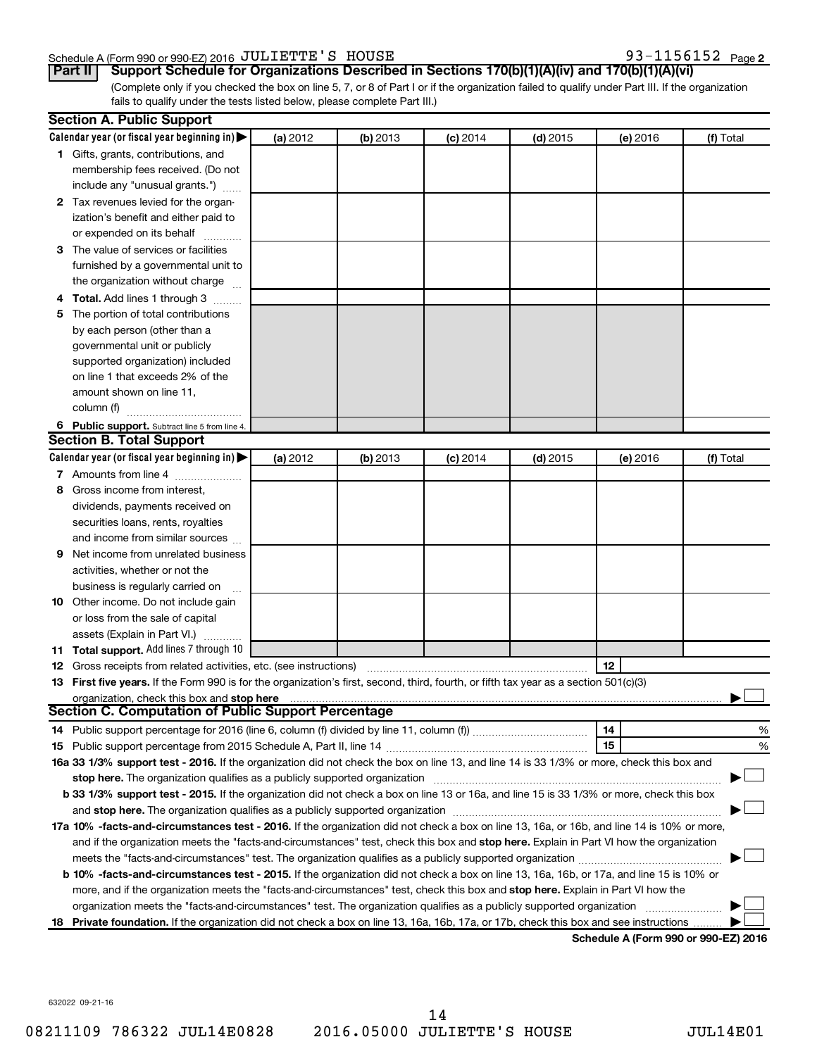## Schedule A (Form 990 or 990-EZ) 2016 Page JULIETTE'S HOUSE 93-1156152

93-1156152 Page 2

**Part II Support Schedule for Organizations Described in Sections 170(b)(1)(A)(iv) and 170(b)(1)(A)(vi)**

(Complete only if you checked the box on line 5, 7, or 8 of Part I or if the organization failed to qualify under Part III. If the organization fails to qualify under the tests listed below, please complete Part III.)

|    | <b>Section A. Public Support</b>                                                                                                           |          |          |            |            |          |           |
|----|--------------------------------------------------------------------------------------------------------------------------------------------|----------|----------|------------|------------|----------|-----------|
|    | Calendar year (or fiscal year beginning in)                                                                                                | (a) 2012 | (b) 2013 | $(c)$ 2014 | $(d)$ 2015 | (e) 2016 | (f) Total |
|    | 1 Gifts, grants, contributions, and                                                                                                        |          |          |            |            |          |           |
|    | membership fees received. (Do not                                                                                                          |          |          |            |            |          |           |
|    | include any "unusual grants.")                                                                                                             |          |          |            |            |          |           |
|    | 2 Tax revenues levied for the organ-                                                                                                       |          |          |            |            |          |           |
|    | ization's benefit and either paid to                                                                                                       |          |          |            |            |          |           |
|    | or expended on its behalf                                                                                                                  |          |          |            |            |          |           |
|    | 3 The value of services or facilities                                                                                                      |          |          |            |            |          |           |
|    | furnished by a governmental unit to                                                                                                        |          |          |            |            |          |           |
|    | the organization without charge                                                                                                            |          |          |            |            |          |           |
|    | 4 Total. Add lines 1 through 3                                                                                                             |          |          |            |            |          |           |
| 5. | The portion of total contributions                                                                                                         |          |          |            |            |          |           |
|    | by each person (other than a                                                                                                               |          |          |            |            |          |           |
|    | governmental unit or publicly                                                                                                              |          |          |            |            |          |           |
|    | supported organization) included                                                                                                           |          |          |            |            |          |           |
|    | on line 1 that exceeds 2% of the                                                                                                           |          |          |            |            |          |           |
|    | amount shown on line 11,                                                                                                                   |          |          |            |            |          |           |
|    | column (f)                                                                                                                                 |          |          |            |            |          |           |
|    | 6 Public support. Subtract line 5 from line 4.                                                                                             |          |          |            |            |          |           |
|    | <b>Section B. Total Support</b>                                                                                                            |          |          |            |            |          |           |
|    | Calendar year (or fiscal year beginning in)                                                                                                | (a) 2012 | (b) 2013 | $(c)$ 2014 | $(d)$ 2015 | (e) 2016 | (f) Total |
|    | 7 Amounts from line 4                                                                                                                      |          |          |            |            |          |           |
| 8  | Gross income from interest,                                                                                                                |          |          |            |            |          |           |
|    | dividends, payments received on                                                                                                            |          |          |            |            |          |           |
|    | securities loans, rents, royalties                                                                                                         |          |          |            |            |          |           |
|    | and income from similar sources                                                                                                            |          |          |            |            |          |           |
| 9. | Net income from unrelated business                                                                                                         |          |          |            |            |          |           |
|    | activities, whether or not the                                                                                                             |          |          |            |            |          |           |
|    | business is regularly carried on                                                                                                           |          |          |            |            |          |           |
|    | 10 Other income. Do not include gain                                                                                                       |          |          |            |            |          |           |
|    | or loss from the sale of capital                                                                                                           |          |          |            |            |          |           |
|    | assets (Explain in Part VI.)                                                                                                               |          |          |            |            |          |           |
|    | 11 Total support. Add lines 7 through 10                                                                                                   |          |          |            |            |          |           |
|    | <b>12</b> Gross receipts from related activities, etc. (see instructions)                                                                  |          |          |            |            | 12       |           |
|    | 13 First five years. If the Form 990 is for the organization's first, second, third, fourth, or fifth tax year as a section 501(c)(3)      |          |          |            |            |          |           |
|    | organization, check this box and stop here                                                                                                 |          |          |            |            |          |           |
|    | Section C. Computation of Public Support Percentage                                                                                        |          |          |            |            |          |           |
|    |                                                                                                                                            |          |          |            |            | 14       | %         |
|    |                                                                                                                                            |          |          |            |            | 15       | %         |
|    | 16a 33 1/3% support test - 2016. If the organization did not check the box on line 13, and line 14 is 33 1/3% or more, check this box and  |          |          |            |            |          |           |
|    | stop here. The organization qualifies as a publicly supported organization                                                                 |          |          |            |            |          |           |
|    | b 33 1/3% support test - 2015. If the organization did not check a box on line 13 or 16a, and line 15 is 33 1/3% or more, check this box   |          |          |            |            |          |           |
|    |                                                                                                                                            |          |          |            |            |          |           |
|    | 17a 10% -facts-and-circumstances test - 2016. If the organization did not check a box on line 13, 16a, or 16b, and line 14 is 10% or more, |          |          |            |            |          |           |
|    | and if the organization meets the "facts-and-circumstances" test, check this box and stop here. Explain in Part VI how the organization    |          |          |            |            |          |           |
|    |                                                                                                                                            |          |          |            |            |          |           |
|    | b 10% -facts-and-circumstances test - 2015. If the organization did not check a box on line 13, 16a, 16b, or 17a, and line 15 is 10% or    |          |          |            |            |          |           |
|    | more, and if the organization meets the "facts-and-circumstances" test, check this box and stop here. Explain in Part VI how the           |          |          |            |            |          |           |
|    | organization meets the "facts-and-circumstances" test. The organization qualifies as a publicly supported organization                     |          |          |            |            |          |           |
|    | 18 Private foundation. If the organization did not check a box on line 13, 16a, 16b, 17a, or 17b, check this box and see instructions      |          |          |            |            |          |           |
|    |                                                                                                                                            |          |          |            |            |          |           |

**Schedule A (Form 990 or 990-EZ) 2016**

632022 09-21-16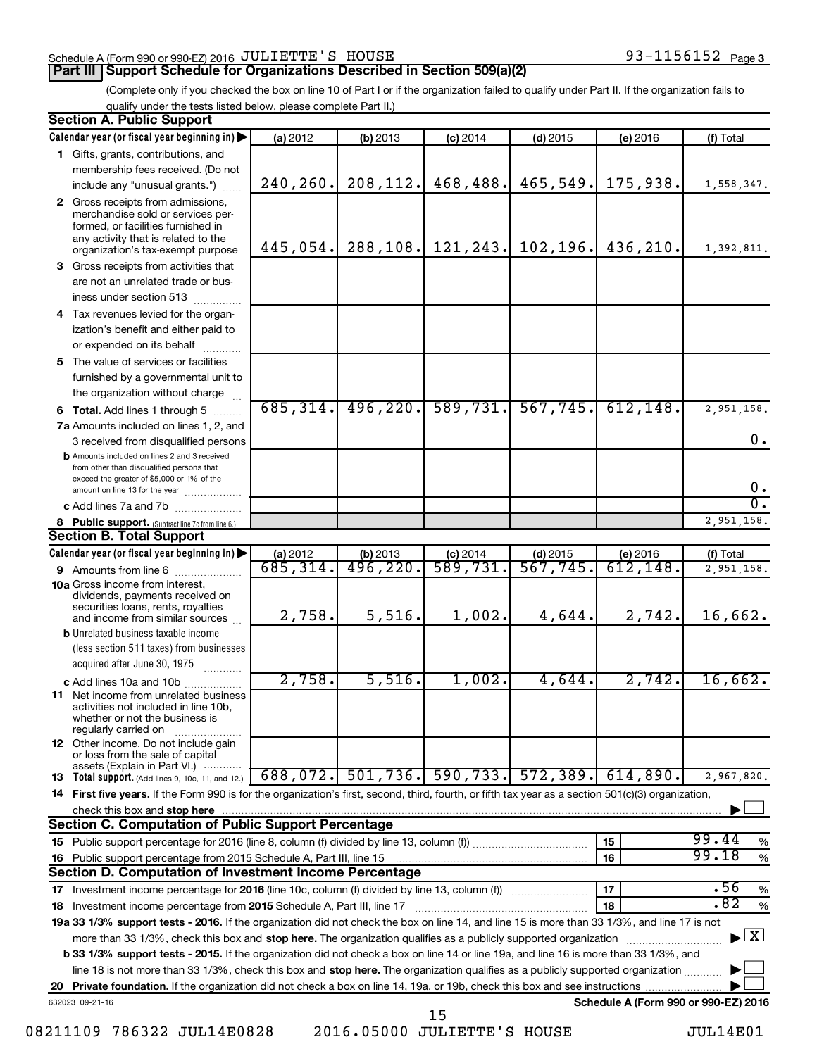### Schedule A (Form 990 or 990-EZ) 2016 Page JULIETTE'S HOUSE 93-1156152

# **Part III Support Schedule for Organizations Described in Section 509(a)(2)**

(Complete only if you checked the box on line 10 of Part I or if the organization failed to qualify under Part II. If the organization fails to qualify under the tests listed below, please complete Part II.)

| <b>Section A. Public Support</b>                                                                                                                                                         |           |                      |            |                         |                                      |                                          |
|------------------------------------------------------------------------------------------------------------------------------------------------------------------------------------------|-----------|----------------------|------------|-------------------------|--------------------------------------|------------------------------------------|
| Calendar year (or fiscal year beginning in)                                                                                                                                              | (a) 2012  | (b) 2013             | $(c)$ 2014 | $(d)$ 2015              | (e) 2016                             | (f) Total                                |
| 1 Gifts, grants, contributions, and                                                                                                                                                      |           |                      |            |                         |                                      |                                          |
| membership fees received. (Do not                                                                                                                                                        |           |                      |            |                         |                                      |                                          |
| include any "unusual grants.")                                                                                                                                                           | 240,260.  | 208,112.             | 468,488.   | 465,549.                | 175,938.                             | 1,558,347.                               |
| 2 Gross receipts from admissions,<br>merchandise sold or services per-<br>formed, or facilities furnished in<br>any activity that is related to the<br>organization's tax-exempt purpose | 445,054.  | 288,108.             | 121,243.   | 102, 196.               | 436,210.                             | 1,392,811.                               |
| 3 Gross receipts from activities that                                                                                                                                                    |           |                      |            |                         |                                      |                                          |
| are not an unrelated trade or bus-                                                                                                                                                       |           |                      |            |                         |                                      |                                          |
| iness under section 513                                                                                                                                                                  |           |                      |            |                         |                                      |                                          |
| 4 Tax revenues levied for the organ-                                                                                                                                                     |           |                      |            |                         |                                      |                                          |
| ization's benefit and either paid to                                                                                                                                                     |           |                      |            |                         |                                      |                                          |
| or expended on its behalf                                                                                                                                                                |           |                      |            |                         |                                      |                                          |
| 5 The value of services or facilities                                                                                                                                                    |           |                      |            |                         |                                      |                                          |
| furnished by a governmental unit to                                                                                                                                                      |           |                      |            |                         |                                      |                                          |
| the organization without charge                                                                                                                                                          |           |                      |            |                         |                                      |                                          |
| 6 Total. Add lines 1 through 5                                                                                                                                                           | 685, 314. | 496, 220.            | 589,731.   | 567,745.                | 612, 148.                            | 2,951,158.                               |
| 7a Amounts included on lines 1, 2, and                                                                                                                                                   |           |                      |            |                         |                                      |                                          |
| 3 received from disqualified persons                                                                                                                                                     |           |                      |            |                         |                                      | 0.                                       |
| <b>b</b> Amounts included on lines 2 and 3 received<br>from other than disqualified persons that<br>exceed the greater of \$5,000 or 1% of the                                           |           |                      |            |                         |                                      | $\mathbf 0$ .                            |
| amount on line 13 for the year<br>c Add lines 7a and 7b                                                                                                                                  |           |                      |            |                         |                                      | σ.                                       |
|                                                                                                                                                                                          |           |                      |            |                         |                                      | 2,951,158.                               |
| 8 Public support. (Subtract line 7c from line 6.)<br><b>Section B. Total Support</b>                                                                                                     |           |                      |            |                         |                                      |                                          |
| Calendar year (or fiscal year beginning in)                                                                                                                                              | (a) 2012  | (b) 2013             | $(c)$ 2014 | $(d)$ 2015              | (e) 2016                             | (f) Total                                |
| <b>9</b> Amounts from line 6                                                                                                                                                             | 685,314.  | $\overline{496,220}$ | 589,731    | $\overline{567}$ , 745. | $\overline{612}$ , 148.              | 2,951,158.                               |
| <b>10a</b> Gross income from interest,<br>dividends, payments received on<br>securities loans, rents, royalties<br>and income from similar sources                                       | 2,758.    | 5,516.               | 1,002.     | 4,644.                  | 2,742.                               | 16,662.                                  |
| <b>b</b> Unrelated business taxable income                                                                                                                                               |           |                      |            |                         |                                      |                                          |
| (less section 511 taxes) from businesses<br>acquired after June 30, 1975                                                                                                                 |           |                      |            |                         |                                      |                                          |
| c Add lines 10a and 10b                                                                                                                                                                  | 2,758.    | 5,516.               | 1,002.     | 4,644.                  | 2,742.                               | 16,662.                                  |
| <b>11</b> Net income from unrelated business<br>activities not included in line 10b,<br>whether or not the business is<br>regularly carried on                                           |           |                      |            |                         |                                      |                                          |
| 12 Other income. Do not include gain<br>or loss from the sale of capital<br>assets (Explain in Part VI.)                                                                                 |           |                      |            |                         |                                      |                                          |
| <b>13</b> Total support. (Add lines 9, 10c, 11, and 12.)                                                                                                                                 | 688,072.  | 501, 736.            | 590, 733.  | 572, 389.               | 614,890.                             | 2,967,820.                               |
| 14 First five years. If the Form 990 is for the organization's first, second, third, fourth, or fifth tax year as a section 501(c)(3) organization,                                      |           |                      |            |                         |                                      |                                          |
| check this box and stop here                                                                                                                                                             |           |                      |            |                         |                                      |                                          |
| <b>Section C. Computation of Public Support Percentage</b>                                                                                                                               |           |                      |            |                         |                                      |                                          |
|                                                                                                                                                                                          |           |                      |            |                         | 15                                   | 99.44<br>%                               |
| 16 Public support percentage from 2015 Schedule A, Part III, line 15                                                                                                                     |           |                      |            |                         | 16                                   | 99.18<br>$\%$                            |
| Section D. Computation of Investment Income Percentage                                                                                                                                   |           |                      |            |                         |                                      |                                          |
| 17 Investment income percentage for 2016 (line 10c, column (f) divided by line 13, column (f))                                                                                           |           |                      |            |                         | 17                                   | .56<br>$\%$                              |
| 18 Investment income percentage from 2015 Schedule A, Part III, line 17                                                                                                                  |           |                      |            |                         | 18                                   | .82<br>$\%$                              |
| 19a 33 1/3% support tests - 2016. If the organization did not check the box on line 14, and line 15 is more than 33 1/3%, and line 17 is not                                             |           |                      |            |                         |                                      |                                          |
| more than 33 1/3%, check this box and stop here. The organization qualifies as a publicly supported organization                                                                         |           |                      |            |                         |                                      | $\blacktriangleright$ $\boxed{\text{X}}$ |
| <b>b 33 1/3% support tests - 2015.</b> If the organization did not check a box on line 14 or line 19a, and line 16 is more than 33 1/3%, and                                             |           |                      |            |                         |                                      |                                          |
| line 18 is not more than 33 1/3%, check this box and stop here. The organization qualifies as a publicly supported organization                                                          |           |                      |            |                         |                                      |                                          |
|                                                                                                                                                                                          |           |                      |            |                         |                                      |                                          |
| 632023 09-21-16                                                                                                                                                                          |           |                      | 15         |                         | Schedule A (Form 990 or 990-EZ) 2016 |                                          |

08211109 786322 JUL14E0828 2016.05000 JULIETTE'S HOUSE JUL14E01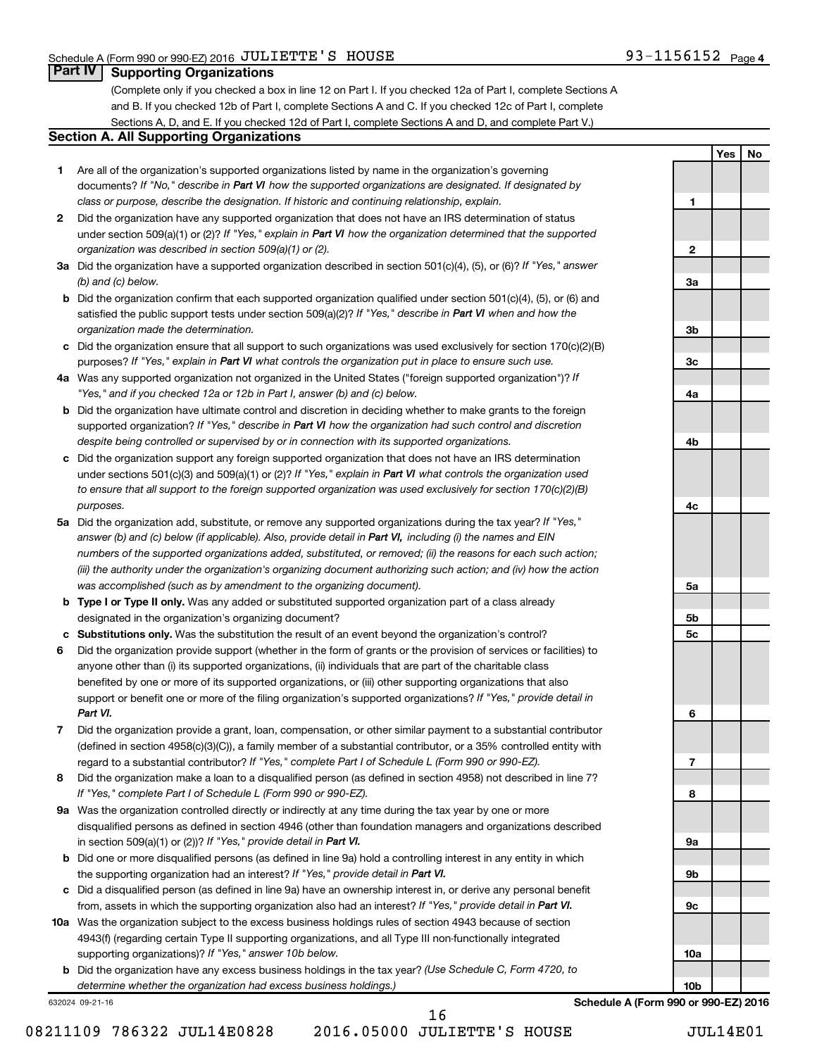**1**

**2**

**3a**

**3b**

**3c**

**4a**

**4b**

**4c**

**5a**

**5b 5c**

**6**

**7**

**8**

**9a**

**9b**

**9c**

**10a**

**10b**

**Yes No**

# **Part IV Supporting Organizations**

(Complete only if you checked a box in line 12 on Part I. If you checked 12a of Part I, complete Sections A and B. If you checked 12b of Part I, complete Sections A and C. If you checked 12c of Part I, complete Sections A, D, and E. If you checked 12d of Part I, complete Sections A and D, and complete Part V.)

### **Section A. All Supporting Organizations**

- **1** Are all of the organization's supported organizations listed by name in the organization's governing documents? If "No," describe in Part VI how the supported organizations are designated. If designated by *class or purpose, describe the designation. If historic and continuing relationship, explain.*
- **2** Did the organization have any supported organization that does not have an IRS determination of status under section 509(a)(1) or (2)? If "Yes," explain in Part VI how the organization determined that the supported *organization was described in section 509(a)(1) or (2).*
- **3a** Did the organization have a supported organization described in section 501(c)(4), (5), or (6)? If "Yes," answer *(b) and (c) below.*
- **b** Did the organization confirm that each supported organization qualified under section 501(c)(4), (5), or (6) and satisfied the public support tests under section 509(a)(2)? If "Yes," describe in Part VI when and how the *organization made the determination.*
- **c** Did the organization ensure that all support to such organizations was used exclusively for section 170(c)(2)(B) purposes? If "Yes," explain in Part VI what controls the organization put in place to ensure such use.
- **4 a** *If* Was any supported organization not organized in the United States ("foreign supported organization")? *"Yes," and if you checked 12a or 12b in Part I, answer (b) and (c) below.*
- **b** Did the organization have ultimate control and discretion in deciding whether to make grants to the foreign supported organization? If "Yes," describe in Part VI how the organization had such control and discretion *despite being controlled or supervised by or in connection with its supported organizations.*
- **c** Did the organization support any foreign supported organization that does not have an IRS determination under sections 501(c)(3) and 509(a)(1) or (2)? If "Yes," explain in Part VI what controls the organization used *to ensure that all support to the foreign supported organization was used exclusively for section 170(c)(2)(B) purposes.*
- **5a** Did the organization add, substitute, or remove any supported organizations during the tax year? If "Yes," answer (b) and (c) below (if applicable). Also, provide detail in Part VI, including (i) the names and EIN *numbers of the supported organizations added, substituted, or removed; (ii) the reasons for each such action; (iii) the authority under the organization's organizing document authorizing such action; and (iv) how the action was accomplished (such as by amendment to the organizing document).*
- **b Type I or Type II only.** Was any added or substituted supported organization part of a class already designated in the organization's organizing document?
- **c Substitutions only.**  Was the substitution the result of an event beyond the organization's control?
- **6** Did the organization provide support (whether in the form of grants or the provision of services or facilities) to support or benefit one or more of the filing organization's supported organizations? If "Yes," provide detail in anyone other than (i) its supported organizations, (ii) individuals that are part of the charitable class benefited by one or more of its supported organizations, or (iii) other supporting organizations that also *Part VI.*
- **7** Did the organization provide a grant, loan, compensation, or other similar payment to a substantial contributor regard to a substantial contributor? If "Yes," complete Part I of Schedule L (Form 990 or 990-EZ). (defined in section 4958(c)(3)(C)), a family member of a substantial contributor, or a 35% controlled entity with
- **8** Did the organization make a loan to a disqualified person (as defined in section 4958) not described in line 7? *If "Yes," complete Part I of Schedule L (Form 990 or 990-EZ).*
- **9 a** Was the organization controlled directly or indirectly at any time during the tax year by one or more in section 509(a)(1) or (2))? If "Yes," provide detail in Part VI. disqualified persons as defined in section 4946 (other than foundation managers and organizations described
- **b** Did one or more disqualified persons (as defined in line 9a) hold a controlling interest in any entity in which the supporting organization had an interest? If "Yes," provide detail in Part VI.
- **c** Did a disqualified person (as defined in line 9a) have an ownership interest in, or derive any personal benefit from, assets in which the supporting organization also had an interest? If "Yes," provide detail in Part VI.
- **10 a** Was the organization subject to the excess business holdings rules of section 4943 because of section supporting organizations)? If "Yes," answer 10b below. 4943(f) (regarding certain Type II supporting organizations, and all Type III non-functionally integrated
	- **b** Did the organization have any excess business holdings in the tax year? (Use Schedule C, Form 4720, to *determine whether the organization had excess business holdings.)*

632024 09-21-16

**Schedule A (Form 990 or 990-EZ) 2016**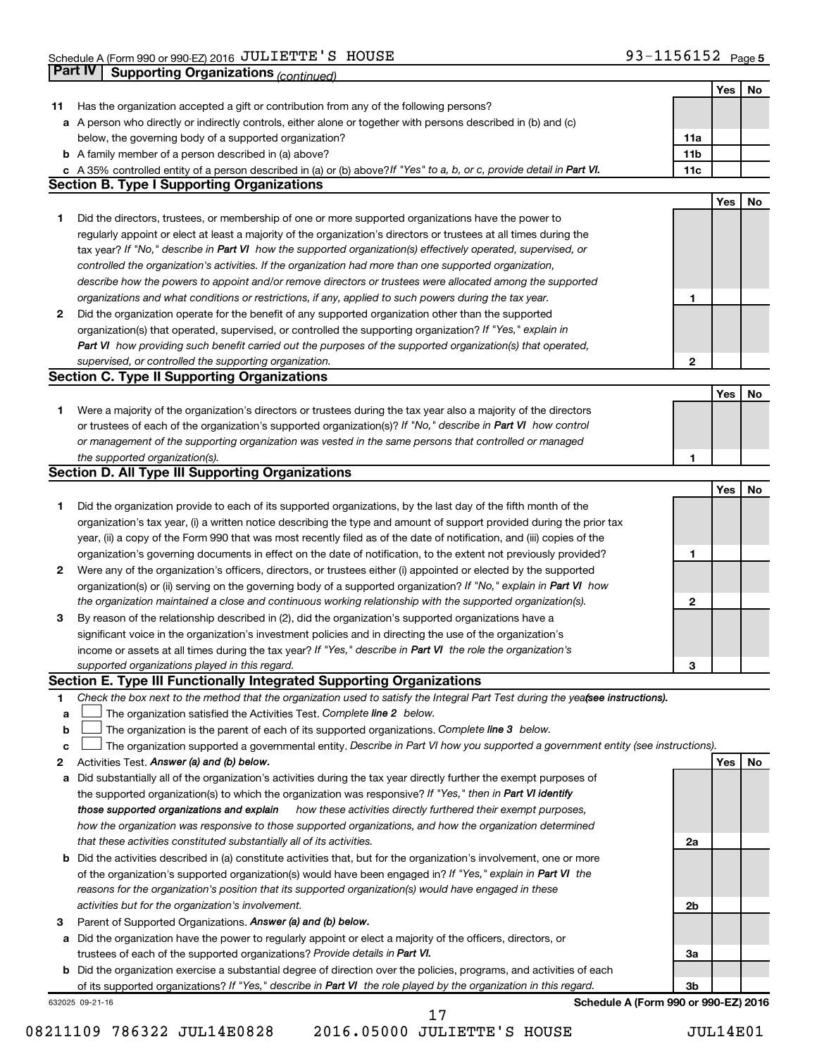|    | Part IV<br><b>Supporting Organizations (continued)</b>                                                                          |                 |            |    |
|----|---------------------------------------------------------------------------------------------------------------------------------|-----------------|------------|----|
|    |                                                                                                                                 |                 | Yes        | No |
| 11 | Has the organization accepted a gift or contribution from any of the following persons?                                         |                 |            |    |
|    | a A person who directly or indirectly controls, either alone or together with persons described in (b) and (c)                  |                 |            |    |
|    | below, the governing body of a supported organization?                                                                          | 11a             |            |    |
|    | <b>b</b> A family member of a person described in (a) above?                                                                    | 11 <sub>b</sub> |            |    |
|    | c A 35% controlled entity of a person described in (a) or (b) above? If "Yes" to a, b, or c, provide detail in Part VI.         | 11c             |            |    |
|    | <b>Section B. Type I Supporting Organizations</b>                                                                               |                 |            |    |
|    |                                                                                                                                 |                 | Yes        | No |
| 1. | Did the directors, trustees, or membership of one or more supported organizations have the power to                             |                 |            |    |
|    | regularly appoint or elect at least a majority of the organization's directors or trustees at all times during the              |                 |            |    |
|    | tax year? If "No," describe in Part VI how the supported organization(s) effectively operated, supervised, or                   |                 |            |    |
|    | controlled the organization's activities. If the organization had more than one supported organization,                         |                 |            |    |
|    | describe how the powers to appoint and/or remove directors or trustees were allocated among the supported                       |                 |            |    |
|    | organizations and what conditions or restrictions, if any, applied to such powers during the tax year.                          | 1               |            |    |
| 2  | Did the organization operate for the benefit of any supported organization other than the supported                             |                 |            |    |
|    | organization(s) that operated, supervised, or controlled the supporting organization? If "Yes," explain in                      |                 |            |    |
|    | Part VI how providing such benefit carried out the purposes of the supported organization(s) that operated,                     |                 |            |    |
|    | supervised, or controlled the supporting organization.                                                                          | 2               |            |    |
|    | <b>Section C. Type II Supporting Organizations</b>                                                                              |                 |            |    |
|    |                                                                                                                                 |                 | <b>Yes</b> | No |
| 1. | Were a majority of the organization's directors or trustees during the tax year also a majority of the directors                |                 |            |    |
|    | or trustees of each of the organization's supported organization(s)? If "No," describe in Part VI how control                   |                 |            |    |
|    | or management of the supporting organization was vested in the same persons that controlled or managed                          |                 |            |    |
|    | the supported organization(s).                                                                                                  | 1               |            |    |
|    | <b>Section D. All Type III Supporting Organizations</b>                                                                         |                 |            |    |
|    |                                                                                                                                 |                 | Yes        | No |
| 1  | Did the organization provide to each of its supported organizations, by the last day of the fifth month of the                  |                 |            |    |
|    | organization's tax year, (i) a written notice describing the type and amount of support provided during the prior tax           |                 |            |    |
|    | year, (ii) a copy of the Form 990 that was most recently filed as of the date of notification, and (iii) copies of the          |                 |            |    |
|    | organization's governing documents in effect on the date of notification, to the extent not previously provided?                | 1               |            |    |
| 2  | Were any of the organization's officers, directors, or trustees either (i) appointed or elected by the supported                |                 |            |    |
|    | organization(s) or (ii) serving on the governing body of a supported organization? If "No," explain in Part VI how              |                 |            |    |
|    | the organization maintained a close and continuous working relationship with the supported organization(s).                     | 2               |            |    |
| 3  | By reason of the relationship described in (2), did the organization's supported organizations have a                           |                 |            |    |
|    | significant voice in the organization's investment policies and in directing the use of the organization's                      |                 |            |    |
|    | income or assets at all times during the tax year? If "Yes," describe in Part VI the role the organization's                    |                 |            |    |
|    | supported organizations played in this regard.                                                                                  | з               |            |    |
|    | Section E. Type III Functionally Integrated Supporting Organizations                                                            |                 |            |    |
| 1  | Check the box next to the method that the organization used to satisfy the Integral Part Test during the yeafsee instructions). |                 |            |    |
| a  | The organization satisfied the Activities Test. Complete line 2 below.                                                          |                 |            |    |
| b  | The organization is the parent of each of its supported organizations. Complete line 3 below.                                   |                 |            |    |
| c  | The organization supported a governmental entity. Describe in Part VI how you supported a government entity (see instructions). |                 |            |    |
| 2  | Activities Test. Answer (a) and (b) below.                                                                                      |                 | Yes        | No |
| а  | Did substantially all of the organization's activities during the tax year directly further the exempt purposes of              |                 |            |    |
|    | the supported organization(s) to which the organization was responsive? If "Yes," then in Part VI identify                      |                 |            |    |
|    | those supported organizations and explain<br>how these activities directly furthered their exempt purposes,                     |                 |            |    |
|    | how the organization was responsive to those supported organizations, and how the organization determined                       |                 |            |    |
|    | that these activities constituted substantially all of its activities.                                                          | 2a              |            |    |
|    | <b>b</b> Did the activities described in (a) constitute activities that, but for the organization's involvement, one or more    |                 |            |    |
|    | of the organization's supported organization(s) would have been engaged in? If "Yes," explain in Part VI the                    |                 |            |    |
|    | reasons for the organization's position that its supported organization(s) would have engaged in these                          |                 |            |    |
|    | activities but for the organization's involvement.                                                                              | 2b              |            |    |
| з  | Parent of Supported Organizations. Answer (a) and (b) below.                                                                    |                 |            |    |
| а  | Did the organization have the power to regularly appoint or elect a majority of the officers, directors, or                     |                 |            |    |
|    | trustees of each of the supported organizations? Provide details in Part VI.                                                    | За              |            |    |
|    | <b>b</b> Did the organization exercise a substantial degree of direction over the policies, programs, and activities of each    |                 |            |    |
|    | of its supported organizations? If "Yes," describe in Part VI the role played by the organization in this regard.               | 3b              |            |    |
|    | Schedule A (Form 990 or 990-EZ) 2016<br>632025 09-21-16<br>17                                                                   |                 |            |    |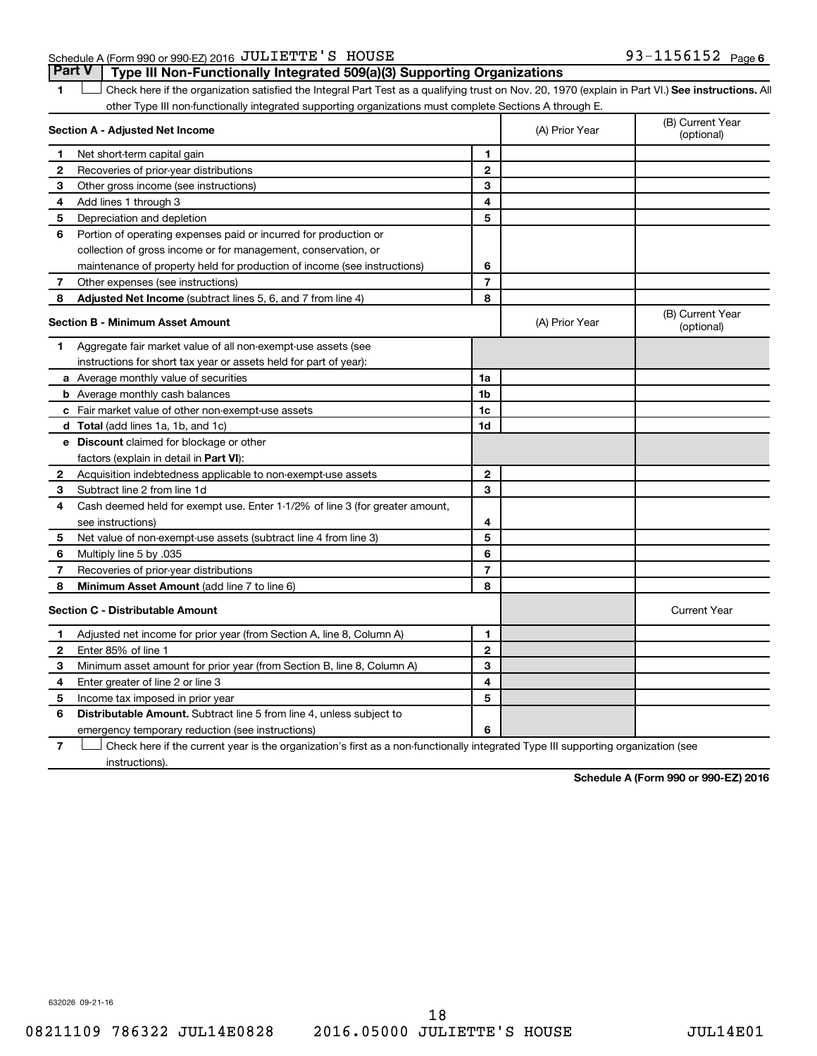# Schedule A (Form 990 or 990-EZ) 2016 Page JULIETTE'S HOUSE 93-1156152

1 **Letter See instructions.** All Check here if the organization satisfied the Integral Part Test as a qualifying trust on Nov. 20, 1970 (explain in Part VI.) See instructions. All other Type III non-functionally integrated supporting organizations must complete Sections A through E. **Part V Type III Non-Functionally Integrated 509(a)(3) Supporting Organizations** 

|              | Section A - Adjusted Net Income                                              |                | (A) Prior Year | (B) Current Year<br>(optional) |
|--------------|------------------------------------------------------------------------------|----------------|----------------|--------------------------------|
| 1            | Net short-term capital gain                                                  | 1              |                |                                |
| 2            | Recoveries of prior-year distributions                                       | $\mathbf{2}$   |                |                                |
| З            | Other gross income (see instructions)                                        | 3              |                |                                |
| 4            | Add lines 1 through 3                                                        | 4              |                |                                |
| 5            | Depreciation and depletion                                                   | 5              |                |                                |
| 6            | Portion of operating expenses paid or incurred for production or             |                |                |                                |
|              | collection of gross income or for management, conservation, or               |                |                |                                |
|              | maintenance of property held for production of income (see instructions)     | 6              |                |                                |
| 7            | Other expenses (see instructions)                                            | $\overline{7}$ |                |                                |
| 8            | Adjusted Net Income (subtract lines 5, 6, and 7 from line 4)                 | 8              |                |                                |
|              | <b>Section B - Minimum Asset Amount</b>                                      |                | (A) Prior Year | (B) Current Year<br>(optional) |
| 1            | Aggregate fair market value of all non-exempt-use assets (see                |                |                |                                |
|              | instructions for short tax year or assets held for part of year):            |                |                |                                |
|              | a Average monthly value of securities                                        | 1a             |                |                                |
|              | <b>b</b> Average monthly cash balances                                       | 1 <sub>b</sub> |                |                                |
|              | c Fair market value of other non-exempt-use assets                           | 1c             |                |                                |
|              | <b>d</b> Total (add lines 1a, 1b, and 1c)                                    | 1d             |                |                                |
|              | e Discount claimed for blockage or other                                     |                |                |                                |
|              | factors (explain in detail in <b>Part VI</b> ):                              |                |                |                                |
| 2            | Acquisition indebtedness applicable to non-exempt-use assets                 | $\mathbf{2}$   |                |                                |
| З            | Subtract line 2 from line 1d                                                 | 3              |                |                                |
| 4            | Cash deemed held for exempt use. Enter 1-1/2% of line 3 (for greater amount, |                |                |                                |
|              | see instructions)                                                            | 4              |                |                                |
| 5            | Net value of non-exempt-use assets (subtract line 4 from line 3)             | 5              |                |                                |
| 6            | Multiply line 5 by .035                                                      | 6              |                |                                |
| 7            | Recoveries of prior-year distributions                                       | $\overline{7}$ |                |                                |
| 8            | Minimum Asset Amount (add line 7 to line 6)                                  | 8              |                |                                |
|              | <b>Section C - Distributable Amount</b>                                      |                |                | <b>Current Year</b>            |
| 1            | Adjusted net income for prior year (from Section A, line 8, Column A)        | 1              |                |                                |
| $\mathbf{2}$ | Enter 85% of line 1                                                          | $\mathbf{2}$   |                |                                |
| З            | Minimum asset amount for prior year (from Section B, line 8, Column A)       | 3              |                |                                |
| 4            | Enter greater of line 2 or line 3                                            | 4              |                |                                |
| 5            | Income tax imposed in prior year                                             | 5              |                |                                |
| 6            | <b>Distributable Amount.</b> Subtract line 5 from line 4, unless subject to  |                |                |                                |
|              | emergency temporary reduction (see instructions)                             | 6              |                |                                |
|              |                                                                              |                |                |                                |

**7** Check here if the current year is the organization's first as a non-functionally integrated Type III supporting organization (see † instructions).

**Schedule A (Form 990 or 990-EZ) 2016**

632026 09-21-16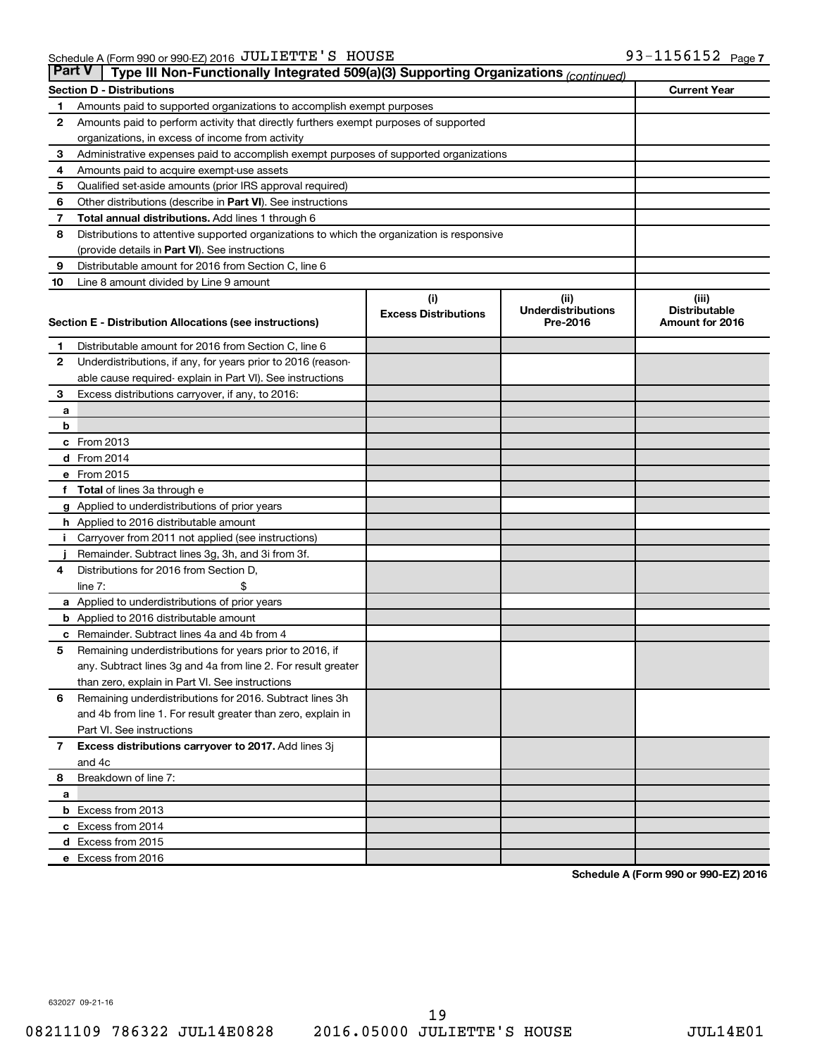| <b>Part V</b> | Type III Non-Functionally Integrated 509(a)(3) Supporting Organizations (continued)        |                             |                                       |                                         |  |  |  |  |
|---------------|--------------------------------------------------------------------------------------------|-----------------------------|---------------------------------------|-----------------------------------------|--|--|--|--|
|               | <b>Current Year</b><br><b>Section D - Distributions</b>                                    |                             |                                       |                                         |  |  |  |  |
| 1             | Amounts paid to supported organizations to accomplish exempt purposes                      |                             |                                       |                                         |  |  |  |  |
| 2             | Amounts paid to perform activity that directly furthers exempt purposes of supported       |                             |                                       |                                         |  |  |  |  |
|               | organizations, in excess of income from activity                                           |                             |                                       |                                         |  |  |  |  |
| 3             | Administrative expenses paid to accomplish exempt purposes of supported organizations      |                             |                                       |                                         |  |  |  |  |
| 4             | Amounts paid to acquire exempt-use assets                                                  |                             |                                       |                                         |  |  |  |  |
| 5             | Qualified set-aside amounts (prior IRS approval required)                                  |                             |                                       |                                         |  |  |  |  |
| 6             | Other distributions (describe in Part VI). See instructions                                |                             |                                       |                                         |  |  |  |  |
| 7             | Total annual distributions. Add lines 1 through 6                                          |                             |                                       |                                         |  |  |  |  |
| 8             | Distributions to attentive supported organizations to which the organization is responsive |                             |                                       |                                         |  |  |  |  |
|               | (provide details in Part VI). See instructions                                             |                             |                                       |                                         |  |  |  |  |
| 9             | Distributable amount for 2016 from Section C, line 6                                       |                             |                                       |                                         |  |  |  |  |
| 10            | Line 8 amount divided by Line 9 amount                                                     |                             |                                       |                                         |  |  |  |  |
|               |                                                                                            | (i)                         | (ii)                                  | (iii)                                   |  |  |  |  |
|               | Section E - Distribution Allocations (see instructions)                                    | <b>Excess Distributions</b> | <b>Underdistributions</b><br>Pre-2016 | <b>Distributable</b><br>Amount for 2016 |  |  |  |  |
|               |                                                                                            |                             |                                       |                                         |  |  |  |  |
| 1             | Distributable amount for 2016 from Section C, line 6                                       |                             |                                       |                                         |  |  |  |  |
| 2             | Underdistributions, if any, for years prior to 2016 (reason-                               |                             |                                       |                                         |  |  |  |  |
|               | able cause required- explain in Part VI). See instructions                                 |                             |                                       |                                         |  |  |  |  |
| 3             | Excess distributions carryover, if any, to 2016:                                           |                             |                                       |                                         |  |  |  |  |
| а             |                                                                                            |                             |                                       |                                         |  |  |  |  |
| b             |                                                                                            |                             |                                       |                                         |  |  |  |  |
|               | c From 2013                                                                                |                             |                                       |                                         |  |  |  |  |
|               | d From 2014                                                                                |                             |                                       |                                         |  |  |  |  |
|               | e From 2015                                                                                |                             |                                       |                                         |  |  |  |  |
| f             | <b>Total</b> of lines 3a through e                                                         |                             |                                       |                                         |  |  |  |  |
|               | <b>g</b> Applied to underdistributions of prior years                                      |                             |                                       |                                         |  |  |  |  |
|               | <b>h</b> Applied to 2016 distributable amount                                              |                             |                                       |                                         |  |  |  |  |
|               | Carryover from 2011 not applied (see instructions)                                         |                             |                                       |                                         |  |  |  |  |
|               | Remainder. Subtract lines 3g, 3h, and 3i from 3f.                                          |                             |                                       |                                         |  |  |  |  |
| 4             | Distributions for 2016 from Section D,                                                     |                             |                                       |                                         |  |  |  |  |
|               | line $7:$                                                                                  |                             |                                       |                                         |  |  |  |  |
|               | a Applied to underdistributions of prior years                                             |                             |                                       |                                         |  |  |  |  |
|               | <b>b</b> Applied to 2016 distributable amount                                              |                             |                                       |                                         |  |  |  |  |
| с             | Remainder. Subtract lines 4a and 4b from 4                                                 |                             |                                       |                                         |  |  |  |  |
| 5             | Remaining underdistributions for years prior to 2016, if                                   |                             |                                       |                                         |  |  |  |  |
|               | any. Subtract lines 3g and 4a from line 2. For result greater                              |                             |                                       |                                         |  |  |  |  |
|               | than zero, explain in Part VI. See instructions                                            |                             |                                       |                                         |  |  |  |  |
| 6             | Remaining underdistributions for 2016. Subtract lines 3h                                   |                             |                                       |                                         |  |  |  |  |
|               | and 4b from line 1. For result greater than zero, explain in                               |                             |                                       |                                         |  |  |  |  |
|               | Part VI. See instructions                                                                  |                             |                                       |                                         |  |  |  |  |
| $\mathbf{7}$  | Excess distributions carryover to 2017. Add lines 3j                                       |                             |                                       |                                         |  |  |  |  |
|               | and 4c                                                                                     |                             |                                       |                                         |  |  |  |  |
| 8             | Breakdown of line 7:                                                                       |                             |                                       |                                         |  |  |  |  |
| a             | <b>b</b> Excess from 2013                                                                  |                             |                                       |                                         |  |  |  |  |
|               | c Excess from 2014                                                                         |                             |                                       |                                         |  |  |  |  |
|               | d Excess from 2015                                                                         |                             |                                       |                                         |  |  |  |  |
|               | e Excess from 2016                                                                         |                             |                                       |                                         |  |  |  |  |
|               |                                                                                            |                             |                                       |                                         |  |  |  |  |

**Schedule A (Form 990 or 990-EZ) 2016**

632027 09-21-16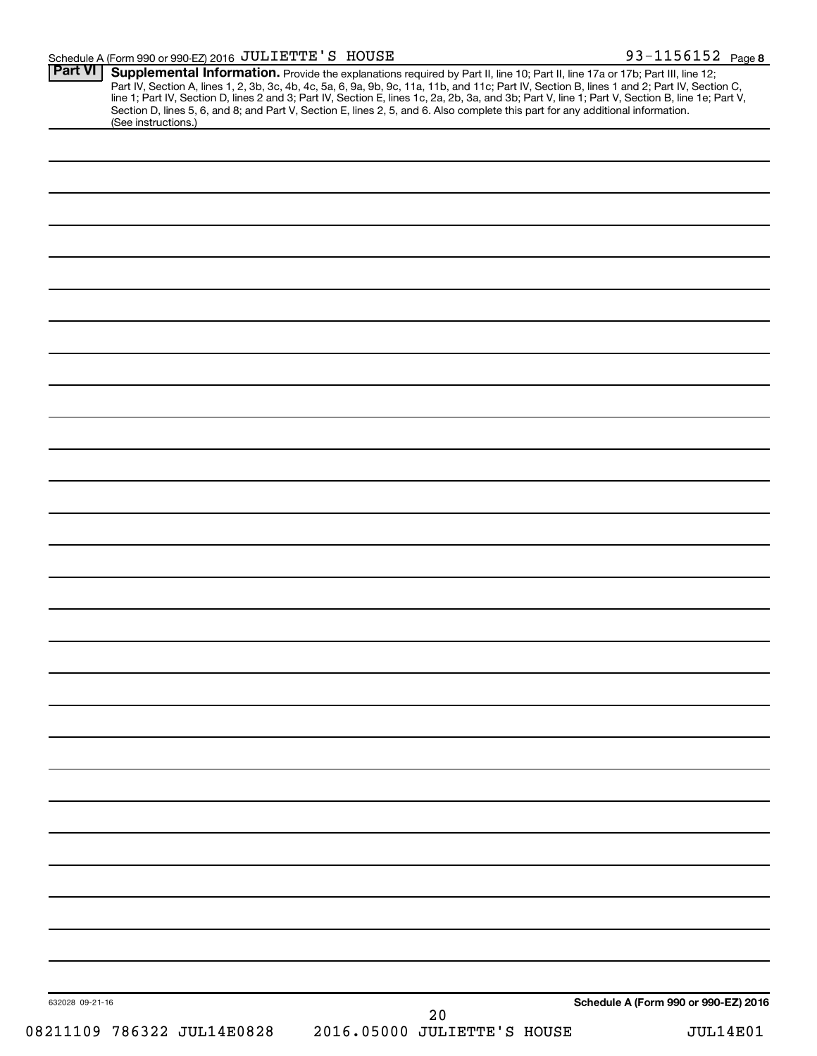#### Schedule A (Form 990 or 990-EZ) 2016 Page JULIETTE'S HOUSE 93-1156152

| <b>Part VI</b><br>(See instructions.) | <b>Supplemental Information.</b> Provide the explanations required by Part II, line 10; Part II, line 17a or 17b; Part III, line 12; Part IV, Section A, lines 1, 2, 3b, 3c, 4b, 4c, 5a, 6, 9a, 9b, 9c, 11a, 11b, and 11c; Part IV, |                             |                                      |                 |
|---------------------------------------|-------------------------------------------------------------------------------------------------------------------------------------------------------------------------------------------------------------------------------------|-----------------------------|--------------------------------------|-----------------|
|                                       |                                                                                                                                                                                                                                     |                             |                                      |                 |
|                                       |                                                                                                                                                                                                                                     |                             |                                      |                 |
|                                       |                                                                                                                                                                                                                                     |                             |                                      |                 |
|                                       |                                                                                                                                                                                                                                     |                             |                                      |                 |
|                                       |                                                                                                                                                                                                                                     |                             |                                      |                 |
|                                       |                                                                                                                                                                                                                                     |                             |                                      |                 |
|                                       |                                                                                                                                                                                                                                     |                             |                                      |                 |
|                                       |                                                                                                                                                                                                                                     |                             |                                      |                 |
|                                       |                                                                                                                                                                                                                                     |                             |                                      |                 |
|                                       |                                                                                                                                                                                                                                     |                             |                                      |                 |
|                                       |                                                                                                                                                                                                                                     |                             |                                      |                 |
|                                       |                                                                                                                                                                                                                                     |                             |                                      |                 |
|                                       |                                                                                                                                                                                                                                     |                             |                                      |                 |
|                                       |                                                                                                                                                                                                                                     |                             |                                      |                 |
|                                       |                                                                                                                                                                                                                                     |                             |                                      |                 |
|                                       |                                                                                                                                                                                                                                     |                             |                                      |                 |
|                                       |                                                                                                                                                                                                                                     |                             |                                      |                 |
|                                       |                                                                                                                                                                                                                                     |                             |                                      |                 |
|                                       |                                                                                                                                                                                                                                     |                             |                                      |                 |
|                                       |                                                                                                                                                                                                                                     |                             |                                      |                 |
|                                       |                                                                                                                                                                                                                                     |                             |                                      |                 |
|                                       |                                                                                                                                                                                                                                     |                             |                                      |                 |
|                                       |                                                                                                                                                                                                                                     |                             |                                      |                 |
|                                       |                                                                                                                                                                                                                                     |                             |                                      |                 |
|                                       |                                                                                                                                                                                                                                     |                             |                                      |                 |
|                                       |                                                                                                                                                                                                                                     |                             |                                      |                 |
|                                       |                                                                                                                                                                                                                                     |                             |                                      |                 |
|                                       |                                                                                                                                                                                                                                     |                             |                                      |                 |
|                                       |                                                                                                                                                                                                                                     |                             |                                      |                 |
|                                       |                                                                                                                                                                                                                                     |                             |                                      |                 |
|                                       |                                                                                                                                                                                                                                     |                             |                                      |                 |
|                                       |                                                                                                                                                                                                                                     |                             |                                      |                 |
|                                       |                                                                                                                                                                                                                                     |                             |                                      |                 |
|                                       |                                                                                                                                                                                                                                     |                             |                                      |                 |
| 632028 09-21-16                       |                                                                                                                                                                                                                                     | 20                          | Schedule A (Form 990 or 990-EZ) 2016 |                 |
| 08211109 786322 JUL14E0828            |                                                                                                                                                                                                                                     | 2016.05000 JULIETTE'S HOUSE |                                      | <b>JUL14E01</b> |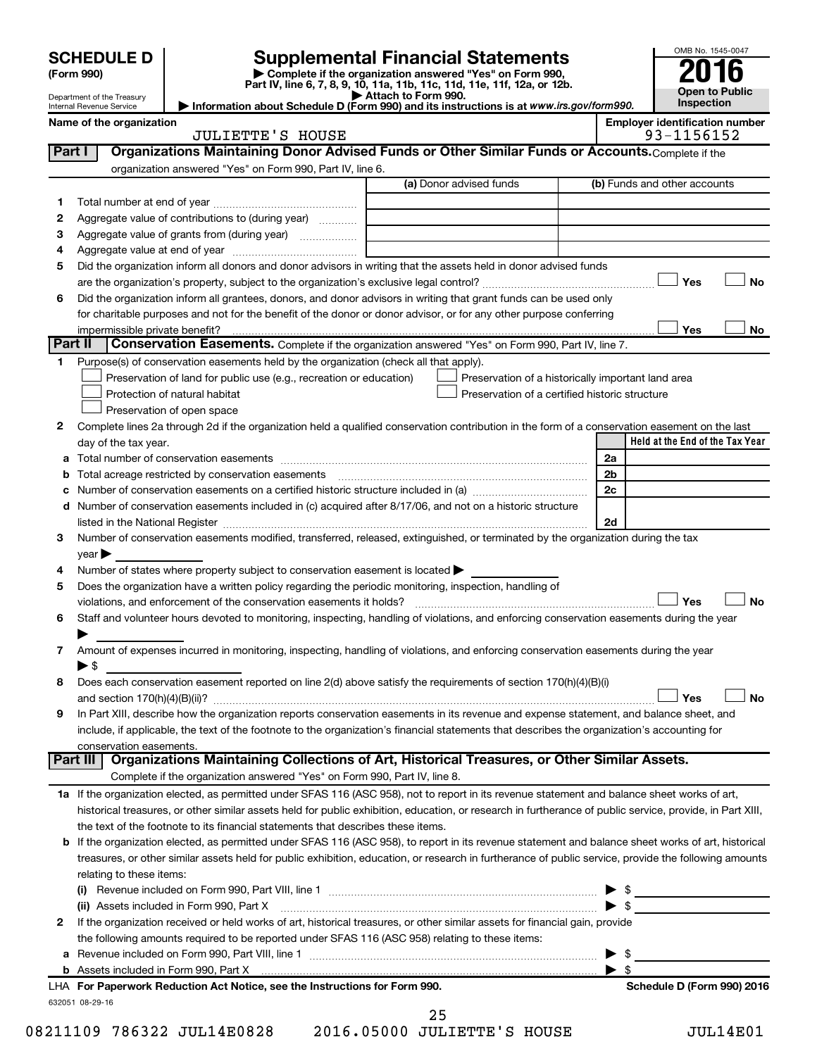|         | <b>SCHEDULE D</b>                                 |                                                                                                        | <b>Supplemental Financial Statements</b>                                                                                                                    |                | OMB No. 1545-0047                                   |
|---------|---------------------------------------------------|--------------------------------------------------------------------------------------------------------|-------------------------------------------------------------------------------------------------------------------------------------------------------------|----------------|-----------------------------------------------------|
|         | (Form 990)                                        |                                                                                                        |                                                                                                                                                             |                |                                                     |
|         | Department of the Treasury                        |                                                                                                        | Complete if the organization answered "Yes" on Form 990,<br>Part IV, line 6, 7, 8, 9, 10, 11a, 11b, 11c, 11d, 11e, 11f, 12a, or 12b.<br>Attach to Form 990. |                | <b>Open to Public</b>                               |
|         | Internal Revenue Service                          |                                                                                                        | Information about Schedule D (Form 990) and its instructions is at www.irs.gov/form990.                                                                     |                | <b>Inspection</b>                                   |
|         | Name of the organization                          | <b>JULIETTE'S HOUSE</b>                                                                                |                                                                                                                                                             |                | <b>Employer identification number</b><br>93-1156152 |
| Part I  |                                                   |                                                                                                        | Organizations Maintaining Donor Advised Funds or Other Similar Funds or Accounts. Complete if the                                                           |                |                                                     |
|         |                                                   | organization answered "Yes" on Form 990, Part IV, line 6.                                              |                                                                                                                                                             |                |                                                     |
|         |                                                   |                                                                                                        | (a) Donor advised funds                                                                                                                                     |                | (b) Funds and other accounts                        |
| 1       |                                                   |                                                                                                        |                                                                                                                                                             |                |                                                     |
| 2       | Aggregate value of contributions to (during year) |                                                                                                        |                                                                                                                                                             |                |                                                     |
| З       |                                                   | Aggregate value of grants from (during year)                                                           |                                                                                                                                                             |                |                                                     |
| 4       |                                                   |                                                                                                        |                                                                                                                                                             |                |                                                     |
| 5       |                                                   |                                                                                                        | Did the organization inform all donors and donor advisors in writing that the assets held in donor advised funds                                            |                |                                                     |
|         |                                                   |                                                                                                        |                                                                                                                                                             |                | Yes<br><b>No</b>                                    |
| 6       |                                                   |                                                                                                        | Did the organization inform all grantees, donors, and donor advisors in writing that grant funds can be used only                                           |                |                                                     |
|         |                                                   |                                                                                                        | for charitable purposes and not for the benefit of the donor or donor advisor, or for any other purpose conferring                                          |                |                                                     |
| Part II | impermissible private benefit?                    |                                                                                                        |                                                                                                                                                             |                | Yes<br>No                                           |
|         |                                                   |                                                                                                        | Conservation Easements. Complete if the organization answered "Yes" on Form 990, Part IV, line 7.                                                           |                |                                                     |
| 1       |                                                   | Purpose(s) of conservation easements held by the organization (check all that apply).                  |                                                                                                                                                             |                |                                                     |
|         |                                                   | Preservation of land for public use (e.g., recreation or education)<br>Protection of natural habitat   | Preservation of a historically important land area<br>Preservation of a certified historic structure                                                        |                |                                                     |
|         |                                                   | Preservation of open space                                                                             |                                                                                                                                                             |                |                                                     |
| 2       |                                                   |                                                                                                        | Complete lines 2a through 2d if the organization held a qualified conservation contribution in the form of a conservation easement on the last              |                |                                                     |
|         | day of the tax year.                              |                                                                                                        |                                                                                                                                                             |                | Held at the End of the Tax Year                     |
| а       |                                                   |                                                                                                        |                                                                                                                                                             | 2a             |                                                     |
| b       |                                                   |                                                                                                        |                                                                                                                                                             | 2 <sub>b</sub> |                                                     |
| с       |                                                   |                                                                                                        |                                                                                                                                                             | 2c             |                                                     |
| d       |                                                   |                                                                                                        | Number of conservation easements included in (c) acquired after 8/17/06, and not on a historic structure                                                    |                |                                                     |
|         |                                                   |                                                                                                        |                                                                                                                                                             | 2d             |                                                     |
| З       |                                                   |                                                                                                        | Number of conservation easements modified, transferred, released, extinguished, or terminated by the organization during the tax                            |                |                                                     |
|         | year                                              |                                                                                                        |                                                                                                                                                             |                |                                                     |
| 4       |                                                   | Number of states where property subject to conservation easement is located $\blacktriangleright$      |                                                                                                                                                             |                |                                                     |
| 5       |                                                   | Does the organization have a written policy regarding the periodic monitoring, inspection, handling of |                                                                                                                                                             |                |                                                     |
|         |                                                   |                                                                                                        |                                                                                                                                                             |                | Yes<br><b>No</b>                                    |
| 6       |                                                   |                                                                                                        | Staff and volunteer hours devoted to monitoring, inspecting, handling of violations, and enforcing conservation easements during the year                   |                |                                                     |
|         |                                                   |                                                                                                        |                                                                                                                                                             |                |                                                     |
| 7       |                                                   |                                                                                                        | Amount of expenses incurred in monitoring, inspecting, handling of violations, and enforcing conservation easements during the year                         |                |                                                     |
|         | $\blacktriangleright$ \$                          |                                                                                                        | Does each conservation easement reported on line 2(d) above satisfy the requirements of section 170(h)(4)(B)(i)                                             |                |                                                     |
| 8       |                                                   |                                                                                                        |                                                                                                                                                             |                | Yes<br>No                                           |
| 9       |                                                   |                                                                                                        | In Part XIII, describe how the organization reports conservation easements in its revenue and expense statement, and balance sheet, and                     |                |                                                     |
|         |                                                   |                                                                                                        | include, if applicable, the text of the footnote to the organization's financial statements that describes the organization's accounting for                |                |                                                     |
|         | conservation easements.                           |                                                                                                        |                                                                                                                                                             |                |                                                     |
|         | Part III                                          |                                                                                                        | Organizations Maintaining Collections of Art, Historical Treasures, or Other Similar Assets.                                                                |                |                                                     |
|         |                                                   | Complete if the organization answered "Yes" on Form 990, Part IV, line 8.                              |                                                                                                                                                             |                |                                                     |
|         |                                                   |                                                                                                        | 1a If the organization elected, as permitted under SFAS 116 (ASC 958), not to report in its revenue statement and balance sheet works of art,               |                |                                                     |
|         |                                                   |                                                                                                        | historical treasures, or other similar assets held for public exhibition, education, or research in furtherance of public service, provide, in Part XIII,   |                |                                                     |
|         |                                                   | the text of the footnote to its financial statements that describes these items.                       |                                                                                                                                                             |                |                                                     |
| b       |                                                   |                                                                                                        | If the organization elected, as permitted under SFAS 116 (ASC 958), to report in its revenue statement and balance sheet works of art, historical           |                |                                                     |
|         |                                                   |                                                                                                        | treasures, or other similar assets held for public exhibition, education, or research in furtherance of public service, provide the following amounts       |                |                                                     |
|         | relating to these items:                          |                                                                                                        |                                                                                                                                                             |                |                                                     |
|         |                                                   |                                                                                                        |                                                                                                                                                             |                |                                                     |
|         |                                                   | (ii) Assets included in Form 990, Part X                                                               |                                                                                                                                                             |                | $\frac{1}{2}$                                       |
| 2       |                                                   |                                                                                                        | If the organization received or held works of art, historical treasures, or other similar assets for financial gain, provide                                |                |                                                     |
| а       |                                                   | the following amounts required to be reported under SFAS 116 (ASC 958) relating to these items:        |                                                                                                                                                             |                |                                                     |
|         |                                                   |                                                                                                        |                                                                                                                                                             |                |                                                     |

| LHA For Paperwork Reduction Act Notice, see the Instructions for Form 990. |
|----------------------------------------------------------------------------|
| 632051 08-29-16                                                            |

25

08211109 786322 JUL14E0828 2016.05000 JULIETTE'S HOUSE JUL14E01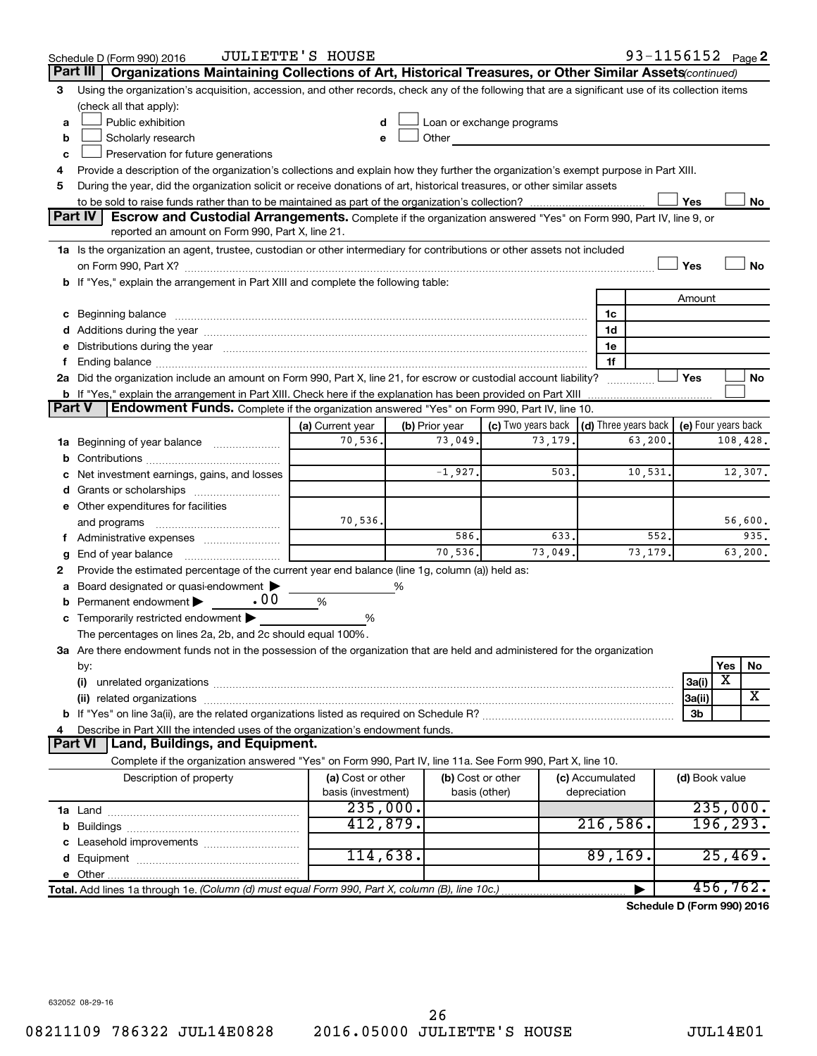|          | 93-1156152 Page 2<br><b>JULIETTE'S HOUSE</b><br>Schedule D (Form 990) 2016                                                                                                                                                     |                    |                |                                                 |                 |                            |
|----------|--------------------------------------------------------------------------------------------------------------------------------------------------------------------------------------------------------------------------------|--------------------|----------------|-------------------------------------------------|-----------------|----------------------------|
| Part III | Organizations Maintaining Collections of Art, Historical Treasures, or Other Similar Assets (continued)                                                                                                                        |                    |                |                                                 |                 |                            |
| 3        | Using the organization's acquisition, accession, and other records, check any of the following that are a significant use of its collection items                                                                              |                    |                |                                                 |                 |                            |
|          | (check all that apply):                                                                                                                                                                                                        |                    |                |                                                 |                 |                            |
| а        | Public exhibition                                                                                                                                                                                                              | d                  |                | Loan or exchange programs                       |                 |                            |
| b        | Scholarly research                                                                                                                                                                                                             | e                  | Other          |                                                 |                 |                            |
| c        | Preservation for future generations                                                                                                                                                                                            |                    |                |                                                 |                 |                            |
| 4        | Provide a description of the organization's collections and explain how they further the organization's exempt purpose in Part XIII.                                                                                           |                    |                |                                                 |                 |                            |
| 5        | During the year, did the organization solicit or receive donations of art, historical treasures, or other similar assets                                                                                                       |                    |                |                                                 |                 |                            |
|          |                                                                                                                                                                                                                                |                    |                |                                                 |                 | Yes<br>No                  |
|          | Part IV<br><b>Escrow and Custodial Arrangements.</b> Complete if the organization answered "Yes" on Form 990, Part IV, line 9, or<br>reported an amount on Form 990, Part X, line 21.                                          |                    |                |                                                 |                 |                            |
|          | 1a Is the organization an agent, trustee, custodian or other intermediary for contributions or other assets not included                                                                                                       |                    |                |                                                 |                 |                            |
|          |                                                                                                                                                                                                                                |                    |                |                                                 |                 | Yes<br>No                  |
|          | b If "Yes," explain the arrangement in Part XIII and complete the following table:                                                                                                                                             |                    |                |                                                 |                 |                            |
|          |                                                                                                                                                                                                                                |                    |                |                                                 |                 | Amount                     |
| с        | Beginning balance measurements and the contract of the contract of the contract of the contract of the contract of the contract of the contract of the contract of the contract of the contract of the contract of the contrac |                    |                |                                                 | 1c              |                            |
|          | Additions during the year manufactured and an account of the year and year and year and year and year and year                                                                                                                 |                    |                |                                                 | 1d              |                            |
| е        | Distributions during the year manufactured and continuum and contained and contained and contained and contained and contained and contained and contained and contained and contained and contained and contained and contain |                    |                |                                                 | 1e              |                            |
| f.       |                                                                                                                                                                                                                                |                    |                |                                                 | 1f              |                            |
|          | 2a Did the organization include an amount on Form 990, Part X, line 21, for escrow or custodial account liability?                                                                                                             |                    |                |                                                 |                 | Yes<br>No                  |
|          | <b>b</b> If "Yes," explain the arrangement in Part XIII. Check here if the explanation has been provided on Part XIII                                                                                                          |                    |                |                                                 |                 |                            |
| Part V   | <b>Endowment Funds.</b> Complete if the organization answered "Yes" on Form 990, Part IV, line 10.                                                                                                                             |                    |                |                                                 |                 |                            |
|          |                                                                                                                                                                                                                                | (a) Current year   | (b) Prior year | (c) Two years back $ $ (d) Three years back $ $ |                 | (e) Four years back        |
| 1a       | Beginning of year balance <i>manumman</i>                                                                                                                                                                                      | 70,536.            | 73,049.        | 73,179                                          |                 | 108,428.<br>63,200         |
| b        |                                                                                                                                                                                                                                |                    |                |                                                 |                 |                            |
|          | Net investment earnings, gains, and losses                                                                                                                                                                                     |                    | $-1,927.$      | 503.                                            |                 | 12,307.<br>10,531.         |
| d        |                                                                                                                                                                                                                                |                    |                |                                                 |                 |                            |
|          | e Other expenditures for facilities                                                                                                                                                                                            |                    |                |                                                 |                 |                            |
|          | and programs                                                                                                                                                                                                                   | 70,536.            |                |                                                 |                 | 56,600.                    |
|          | f Administrative expenses                                                                                                                                                                                                      |                    | 586.           | 633.                                            |                 | 552.<br>935.               |
| g        | End of year balance                                                                                                                                                                                                            |                    | 70,536.        | 73,049.                                         |                 | 73,179.<br>63,200.         |
| 2        | Provide the estimated percentage of the current year end balance (line 1g, column (a)) held as:                                                                                                                                |                    |                |                                                 |                 |                            |
|          | Board designated or quasi-endowment                                                                                                                                                                                            |                    | %              |                                                 |                 |                            |
| b        | .00<br>Permanent endowment                                                                                                                                                                                                     | %                  |                |                                                 |                 |                            |
| С        | Temporarily restricted endowment                                                                                                                                                                                               | %                  |                |                                                 |                 |                            |
|          | The percentages on lines 2a, 2b, and 2c should equal 100%.                                                                                                                                                                     |                    |                |                                                 |                 |                            |
|          | 3a Are there endowment funds not in the possession of the organization that are held and administered for the organization                                                                                                     |                    |                |                                                 |                 |                            |
|          | by:                                                                                                                                                                                                                            |                    |                |                                                 |                 | Yes<br>No<br>х             |
|          | (i)                                                                                                                                                                                                                            |                    |                |                                                 |                 | 3a(i)<br>x                 |
|          | (ii) related organizations                                                                                                                                                                                                     |                    |                |                                                 |                 | 3a(ii)                     |
| 4        | Describe in Part XIII the intended uses of the organization's endowment funds.                                                                                                                                                 |                    |                |                                                 |                 | 3b                         |
|          | <b>Part VI</b><br>Land, Buildings, and Equipment.                                                                                                                                                                              |                    |                |                                                 |                 |                            |
|          | Complete if the organization answered "Yes" on Form 990, Part IV, line 11a. See Form 990, Part X, line 10.                                                                                                                     |                    |                |                                                 |                 |                            |
|          | Description of property                                                                                                                                                                                                        | (a) Cost or other  |                | (b) Cost or other                               | (c) Accumulated | (d) Book value             |
|          |                                                                                                                                                                                                                                | basis (investment) |                | basis (other)                                   | depreciation    |                            |
|          |                                                                                                                                                                                                                                | 235,000.           |                |                                                 |                 | 235,000.                   |
| b        |                                                                                                                                                                                                                                | 412,879.           |                |                                                 | 216,586.        | 196, 293.                  |
|          |                                                                                                                                                                                                                                |                    |                |                                                 |                 |                            |
|          |                                                                                                                                                                                                                                | 114,638.           |                |                                                 | 89, 169.        | 25,469.                    |
|          |                                                                                                                                                                                                                                |                    |                |                                                 |                 |                            |
|          | Total. Add lines 1a through 1e. (Column (d) must equal Form 990, Part X, column (B), line 10c.)                                                                                                                                |                    |                |                                                 |                 | 456,762.                   |
|          |                                                                                                                                                                                                                                |                    |                |                                                 |                 | Schedule D (Form 990) 2016 |
|          |                                                                                                                                                                                                                                |                    |                |                                                 |                 |                            |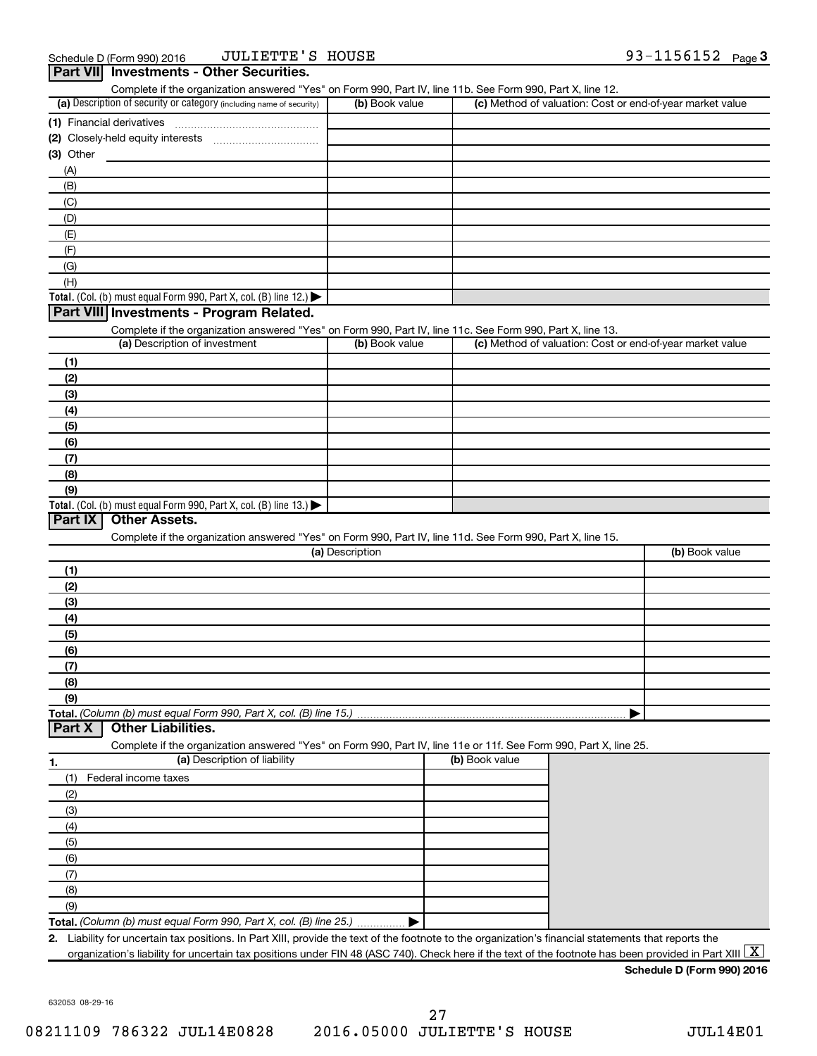| Complete if the organization answered "Yes" on Form 990, Part IV, line 11b. See Form 990, Part X, line 12.<br>(a) Description of security or category (including name of security) | (b) Book value  |                | (c) Method of valuation: Cost or end-of-year market value |
|------------------------------------------------------------------------------------------------------------------------------------------------------------------------------------|-----------------|----------------|-----------------------------------------------------------|
| (1) Financial derivatives                                                                                                                                                          |                 |                |                                                           |
|                                                                                                                                                                                    |                 |                |                                                           |
|                                                                                                                                                                                    |                 |                |                                                           |
| $(3)$ Other                                                                                                                                                                        |                 |                |                                                           |
| (A)                                                                                                                                                                                |                 |                |                                                           |
| (B)                                                                                                                                                                                |                 |                |                                                           |
| (C)                                                                                                                                                                                |                 |                |                                                           |
| (D)                                                                                                                                                                                |                 |                |                                                           |
| (E)                                                                                                                                                                                |                 |                |                                                           |
| (F)                                                                                                                                                                                |                 |                |                                                           |
| (G)                                                                                                                                                                                |                 |                |                                                           |
| (H)                                                                                                                                                                                |                 |                |                                                           |
| Total. (Col. (b) must equal Form 990, Part X, col. (B) line 12.) $\blacktriangleright$                                                                                             |                 |                |                                                           |
| Part VIII Investments - Program Related.                                                                                                                                           |                 |                |                                                           |
|                                                                                                                                                                                    |                 |                |                                                           |
| Complete if the organization answered "Yes" on Form 990, Part IV, line 11c. See Form 990, Part X, line 13.<br>(a) Description of investment                                        | (b) Book value  |                | (c) Method of valuation: Cost or end-of-year market value |
|                                                                                                                                                                                    |                 |                |                                                           |
| (1)                                                                                                                                                                                |                 |                |                                                           |
| (2)                                                                                                                                                                                |                 |                |                                                           |
| (3)                                                                                                                                                                                |                 |                |                                                           |
| (4)                                                                                                                                                                                |                 |                |                                                           |
| (5)                                                                                                                                                                                |                 |                |                                                           |
| (6)                                                                                                                                                                                |                 |                |                                                           |
| (7)                                                                                                                                                                                |                 |                |                                                           |
| (8)                                                                                                                                                                                |                 |                |                                                           |
| (9)                                                                                                                                                                                |                 |                |                                                           |
|                                                                                                                                                                                    |                 |                |                                                           |
| Total. (Col. (b) must equal Form 990, Part X, col. (B) line $13.$ )                                                                                                                |                 |                |                                                           |
| Part IX<br><b>Other Assets.</b>                                                                                                                                                    |                 |                |                                                           |
| Complete if the organization answered "Yes" on Form 990, Part IV, line 11d. See Form 990, Part X, line 15.                                                                         |                 |                |                                                           |
|                                                                                                                                                                                    | (a) Description |                | (b) Book value                                            |
| (1)                                                                                                                                                                                |                 |                |                                                           |
| (2)                                                                                                                                                                                |                 |                |                                                           |
| (3)                                                                                                                                                                                |                 |                |                                                           |
| (4)                                                                                                                                                                                |                 |                |                                                           |
| (5)                                                                                                                                                                                |                 |                |                                                           |
|                                                                                                                                                                                    |                 |                |                                                           |
| (6)                                                                                                                                                                                |                 |                |                                                           |
| (7)                                                                                                                                                                                |                 |                |                                                           |
| (8)                                                                                                                                                                                |                 |                |                                                           |
| (9)                                                                                                                                                                                |                 |                |                                                           |
| Total. (Column (b) must equal Form 990, Part X, col. (B) line 15.)                                                                                                                 |                 |                |                                                           |
| <b>Other Liabilities.</b><br>Part X                                                                                                                                                |                 |                |                                                           |
| Complete if the organization answered "Yes" on Form 990, Part IV, line 11e or 11f. See Form 990, Part X, line 25.                                                                  |                 |                |                                                           |
| (a) Description of liability<br>1.                                                                                                                                                 |                 | (b) Book value |                                                           |
|                                                                                                                                                                                    |                 |                |                                                           |
|                                                                                                                                                                                    |                 |                |                                                           |
| (1)<br>Federal income taxes                                                                                                                                                        |                 |                |                                                           |
| (2)                                                                                                                                                                                |                 |                |                                                           |
| (3)                                                                                                                                                                                |                 |                |                                                           |
| (4)                                                                                                                                                                                |                 |                |                                                           |
| (5)                                                                                                                                                                                |                 |                |                                                           |
| (6)                                                                                                                                                                                |                 |                |                                                           |
|                                                                                                                                                                                    |                 |                |                                                           |
| (7)                                                                                                                                                                                |                 |                |                                                           |
| (8)                                                                                                                                                                                |                 |                |                                                           |
| (9)<br>Total. (Column (b) must equal Form 990, Part X, col. (B) line 25.)                                                                                                          |                 |                |                                                           |

632053 08-29-16

**Schedule D (Form 990) 2016**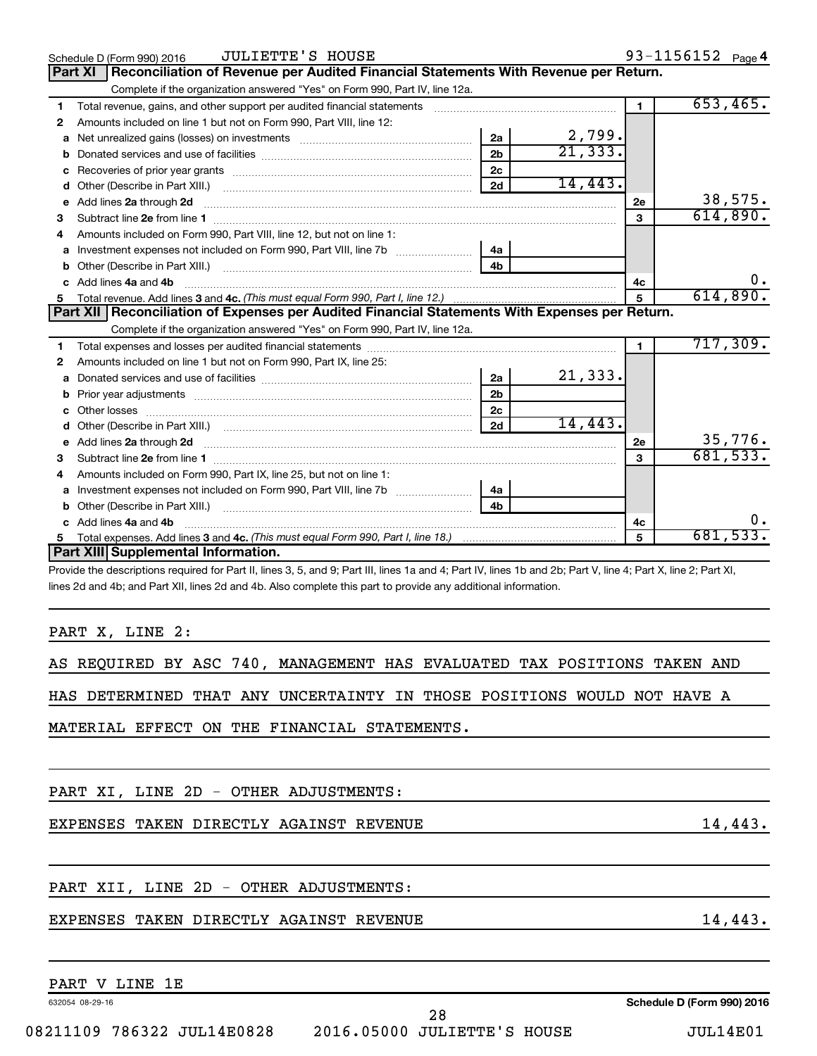|              | <b>JULIETTE'S HOUSE</b><br>Schedule D (Form 990) 2016                                                                                                          |                |                        |              | 93-1156152 Page 4 |
|--------------|----------------------------------------------------------------------------------------------------------------------------------------------------------------|----------------|------------------------|--------------|-------------------|
|              | Reconciliation of Revenue per Audited Financial Statements With Revenue per Return.<br>Part XI                                                                 |                |                        |              |                   |
|              | Complete if the organization answered "Yes" on Form 990, Part IV, line 12a.                                                                                    |                |                        |              |                   |
| 1            |                                                                                                                                                                |                |                        | $\mathbf{1}$ | 653,465.          |
| $\mathbf{2}$ | Amounts included on line 1 but not on Form 990, Part VIII, line 12:                                                                                            |                |                        |              |                   |
| a            |                                                                                                                                                                | 2a             | $\frac{2,799}{21,333}$ |              |                   |
|              |                                                                                                                                                                | 2 <sub>b</sub> |                        |              |                   |
| с            |                                                                                                                                                                | 2 <sub>c</sub> |                        |              |                   |
| d            |                                                                                                                                                                | 2d             | 14,443.                |              |                   |
| e            | Add lines 2a through 2d                                                                                                                                        |                |                        | 2е           | 38,575.           |
| 3            |                                                                                                                                                                |                |                        | 3            | 614,890.          |
| 4            | Amounts included on Form 990, Part VIII, line 12, but not on line 1:                                                                                           |                |                        |              |                   |
| a            |                                                                                                                                                                | 4a             |                        |              |                   |
|              |                                                                                                                                                                |                |                        |              |                   |
|              | Add lines 4a and 4b                                                                                                                                            |                |                        | 4c           | 0.                |
| 5            |                                                                                                                                                                |                |                        | 5            | 614,890.          |
|              | Part XII   Reconciliation of Expenses per Audited Financial Statements With Expenses per Return.                                                               |                |                        |              |                   |
|              | Complete if the organization answered "Yes" on Form 990, Part IV, line 12a.                                                                                    |                |                        |              |                   |
| 1            |                                                                                                                                                                |                |                        |              | 717,309.          |
| 2            | Amounts included on line 1 but not on Form 990, Part IX, line 25:                                                                                              |                |                        |              |                   |
| a            |                                                                                                                                                                | 2a             | 21,333.                |              |                   |
|              |                                                                                                                                                                | 2 <sub>b</sub> |                        |              |                   |
| C.           |                                                                                                                                                                | 2 <sub>c</sub> |                        |              |                   |
| d            |                                                                                                                                                                | 2d             | 14,443.                |              |                   |
| e            |                                                                                                                                                                |                |                        | <b>2e</b>    | 35,776.           |
| 3            |                                                                                                                                                                |                |                        | 3            | 681,533.          |
| 4            | Amounts included on Form 990, Part IX, line 25, but not on line 1:                                                                                             |                |                        |              |                   |
| a            |                                                                                                                                                                | 4a             |                        |              |                   |
| b            |                                                                                                                                                                |                |                        |              |                   |
|              | Add lines 4a and 4b                                                                                                                                            |                |                        | 4с           | Ο.                |
| 5            |                                                                                                                                                                |                |                        | 5            | 681,533.          |
|              | Part XIII Supplemental Information.                                                                                                                            |                |                        |              |                   |
|              | Provide the descriptions required for Part II, lines 3, 5, and 9; Part III, lines 1a and 4; Part IV, lines 1b and 2b; Part V, line 4; Part X, line 2; Part XI, |                |                        |              |                   |

lines 2d and 4b; and Part XII, lines 2d and 4b. Also complete this part to provide any additional information.

PART X, LINE 2:

AS REQUIRED BY ASC 740, MANAGEMENT HAS EVALUATED TAX POSITIONS TAKEN AND

HAS DETERMINED THAT ANY UNCERTAINTY IN THOSE POSITIONS WOULD NOT HAVE A

MATERIAL EFFECT ON THE FINANCIAL STATEMENTS.

PART XI, LINE 2D - OTHER ADJUSTMENTS:

EXPENSES TAKEN DIRECTLY AGAINST REVENUE 14,443.

PART XII, LINE 2D - OTHER ADJUSTMENTS:

# EXPENSES TAKEN DIRECTLY AGAINST REVENUE 14,443.

# PART V LINE 1E

632054 08-29-16

**Schedule D (Form 990) 2016**

08211109 786322 JUL14E0828 2016.05000 JULIETTE'S HOUSE JUL14E01 28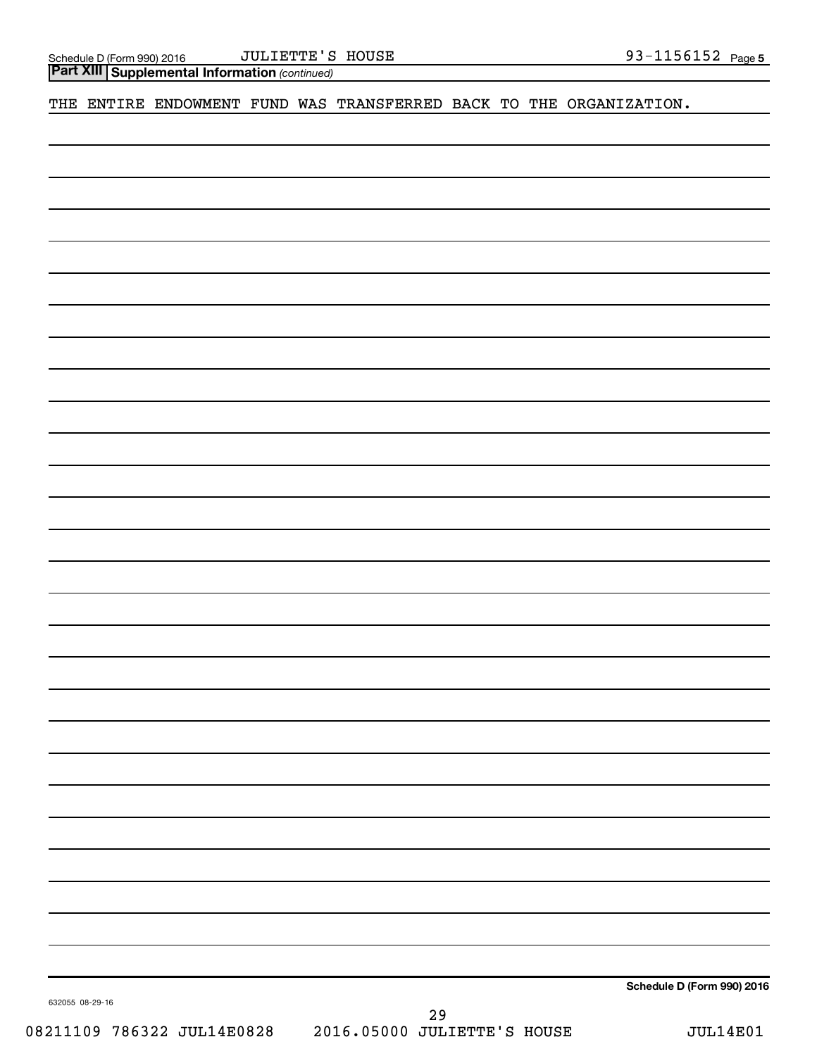*(continued)* **Part XIII Supplemental Information** 

THE ENTIRE ENDOWMENT FUND WAS TRANSFERRED BACK TO THE ORGANIZATION.

**Schedule D (Form 990) 2016**

632055 08-29-16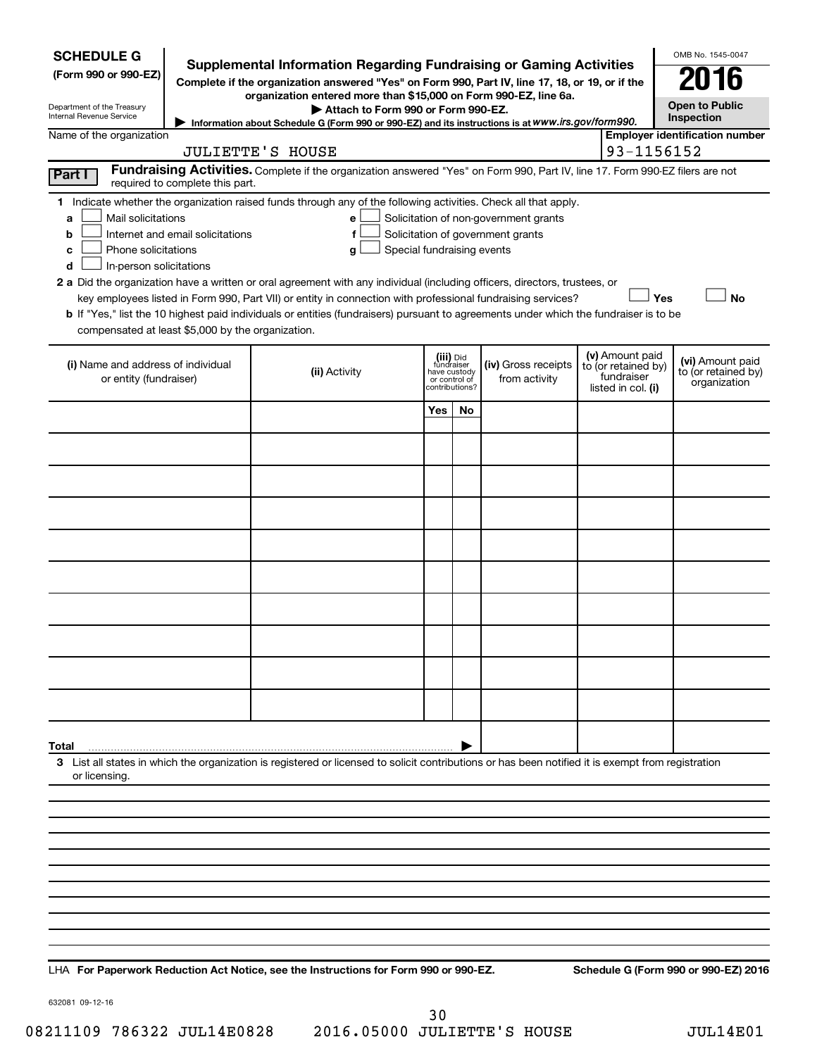| <b>SCHEDULE G</b><br><b>Supplemental Information Regarding Fundraising or Gaming Activities</b><br>(Form 990 or 990-EZ)<br>Complete if the organization answered "Yes" on Form 990, Part IV, line 17, 18, or 19, or if the<br>organization entered more than \$15,000 on Form 990-EZ, line 6a.<br>Department of the Treasury<br>Attach to Form 990 or Form 990-EZ.<br>Internal Revenue Service<br>Information about Schedule G (Form 990 or 990-EZ) and its instructions is at WWW.irs.gov/form990. |                                  |                                                                                                                                                                                                                                                                                                                                                                                                           |                            |                                              |                                                                            |  | OMB No. 1545-0047<br>016<br><b>Open to Public</b><br>Inspection            |                                                         |
|-----------------------------------------------------------------------------------------------------------------------------------------------------------------------------------------------------------------------------------------------------------------------------------------------------------------------------------------------------------------------------------------------------------------------------------------------------------------------------------------------------|----------------------------------|-----------------------------------------------------------------------------------------------------------------------------------------------------------------------------------------------------------------------------------------------------------------------------------------------------------------------------------------------------------------------------------------------------------|----------------------------|----------------------------------------------|----------------------------------------------------------------------------|--|----------------------------------------------------------------------------|---------------------------------------------------------|
| Name of the organization                                                                                                                                                                                                                                                                                                                                                                                                                                                                            |                                  |                                                                                                                                                                                                                                                                                                                                                                                                           |                            |                                              |                                                                            |  |                                                                            | <b>Employer identification number</b>                   |
|                                                                                                                                                                                                                                                                                                                                                                                                                                                                                                     |                                  | <b>JULIETTE'S HOUSE</b>                                                                                                                                                                                                                                                                                                                                                                                   |                            |                                              |                                                                            |  | 93-1156152                                                                 |                                                         |
| Part I                                                                                                                                                                                                                                                                                                                                                                                                                                                                                              | required to complete this part.  | Fundraising Activities. Complete if the organization answered "Yes" on Form 990, Part IV, line 17. Form 990-EZ filers are not                                                                                                                                                                                                                                                                             |                            |                                              |                                                                            |  |                                                                            |                                                         |
| Mail solicitations<br>a<br>b<br>Phone solicitations<br>c<br>In-person solicitations<br>d                                                                                                                                                                                                                                                                                                                                                                                                            | Internet and email solicitations | 1 Indicate whether the organization raised funds through any of the following activities. Check all that apply.<br>e<br>f<br>Special fundraising events<br>g<br>2 a Did the organization have a written or oral agreement with any individual (including officers, directors, trustees, or<br>key employees listed in Form 990, Part VII) or entity in connection with professional fundraising services? |                            |                                              | Solicitation of non-government grants<br>Solicitation of government grants |  | Yes                                                                        | <b>No</b>                                               |
| compensated at least \$5,000 by the organization.                                                                                                                                                                                                                                                                                                                                                                                                                                                   |                                  | b If "Yes," list the 10 highest paid individuals or entities (fundraisers) pursuant to agreements under which the fundraiser is to be                                                                                                                                                                                                                                                                     |                            |                                              |                                                                            |  |                                                                            |                                                         |
| (i) Name and address of individual<br>or entity (fundraiser)                                                                                                                                                                                                                                                                                                                                                                                                                                        |                                  | (ii) Activity                                                                                                                                                                                                                                                                                                                                                                                             | fundraiser<br>have custody | (iii) Did<br>or control of<br>contributions? | (iv) Gross receipts<br>from activity                                       |  | (v) Amount paid<br>to (or retained by)<br>fundraiser<br>listed in col. (i) | (vi) Amount paid<br>to (or retained by)<br>organization |
|                                                                                                                                                                                                                                                                                                                                                                                                                                                                                                     |                                  |                                                                                                                                                                                                                                                                                                                                                                                                           | Yes                        | No                                           |                                                                            |  |                                                                            |                                                         |
|                                                                                                                                                                                                                                                                                                                                                                                                                                                                                                     |                                  |                                                                                                                                                                                                                                                                                                                                                                                                           |                            |                                              |                                                                            |  |                                                                            |                                                         |
|                                                                                                                                                                                                                                                                                                                                                                                                                                                                                                     |                                  |                                                                                                                                                                                                                                                                                                                                                                                                           |                            |                                              |                                                                            |  |                                                                            |                                                         |
|                                                                                                                                                                                                                                                                                                                                                                                                                                                                                                     |                                  |                                                                                                                                                                                                                                                                                                                                                                                                           |                            |                                              |                                                                            |  |                                                                            |                                                         |
|                                                                                                                                                                                                                                                                                                                                                                                                                                                                                                     |                                  |                                                                                                                                                                                                                                                                                                                                                                                                           |                            |                                              |                                                                            |  |                                                                            |                                                         |
|                                                                                                                                                                                                                                                                                                                                                                                                                                                                                                     |                                  |                                                                                                                                                                                                                                                                                                                                                                                                           |                            |                                              |                                                                            |  |                                                                            |                                                         |
|                                                                                                                                                                                                                                                                                                                                                                                                                                                                                                     |                                  |                                                                                                                                                                                                                                                                                                                                                                                                           |                            |                                              |                                                                            |  |                                                                            |                                                         |
|                                                                                                                                                                                                                                                                                                                                                                                                                                                                                                     |                                  |                                                                                                                                                                                                                                                                                                                                                                                                           |                            |                                              |                                                                            |  |                                                                            |                                                         |
|                                                                                                                                                                                                                                                                                                                                                                                                                                                                                                     |                                  |                                                                                                                                                                                                                                                                                                                                                                                                           |                            |                                              |                                                                            |  |                                                                            |                                                         |
|                                                                                                                                                                                                                                                                                                                                                                                                                                                                                                     |                                  |                                                                                                                                                                                                                                                                                                                                                                                                           |                            |                                              |                                                                            |  |                                                                            |                                                         |
| Total                                                                                                                                                                                                                                                                                                                                                                                                                                                                                               |                                  |                                                                                                                                                                                                                                                                                                                                                                                                           |                            |                                              |                                                                            |  |                                                                            |                                                         |
| or licensing.                                                                                                                                                                                                                                                                                                                                                                                                                                                                                       |                                  | 3 List all states in which the organization is registered or licensed to solicit contributions or has been notified it is exempt from registration                                                                                                                                                                                                                                                        |                            |                                              |                                                                            |  |                                                                            |                                                         |
|                                                                                                                                                                                                                                                                                                                                                                                                                                                                                                     |                                  |                                                                                                                                                                                                                                                                                                                                                                                                           |                            |                                              |                                                                            |  |                                                                            |                                                         |
|                                                                                                                                                                                                                                                                                                                                                                                                                                                                                                     |                                  |                                                                                                                                                                                                                                                                                                                                                                                                           |                            |                                              |                                                                            |  |                                                                            |                                                         |
|                                                                                                                                                                                                                                                                                                                                                                                                                                                                                                     |                                  |                                                                                                                                                                                                                                                                                                                                                                                                           |                            |                                              |                                                                            |  |                                                                            |                                                         |
|                                                                                                                                                                                                                                                                                                                                                                                                                                                                                                     |                                  |                                                                                                                                                                                                                                                                                                                                                                                                           |                            |                                              |                                                                            |  |                                                                            |                                                         |
|                                                                                                                                                                                                                                                                                                                                                                                                                                                                                                     |                                  |                                                                                                                                                                                                                                                                                                                                                                                                           |                            |                                              |                                                                            |  |                                                                            |                                                         |
|                                                                                                                                                                                                                                                                                                                                                                                                                                                                                                     |                                  |                                                                                                                                                                                                                                                                                                                                                                                                           |                            |                                              |                                                                            |  |                                                                            |                                                         |
|                                                                                                                                                                                                                                                                                                                                                                                                                                                                                                     |                                  |                                                                                                                                                                                                                                                                                                                                                                                                           |                            |                                              |                                                                            |  |                                                                            |                                                         |
|                                                                                                                                                                                                                                                                                                                                                                                                                                                                                                     |                                  |                                                                                                                                                                                                                                                                                                                                                                                                           |                            |                                              |                                                                            |  |                                                                            |                                                         |
|                                                                                                                                                                                                                                                                                                                                                                                                                                                                                                     |                                  |                                                                                                                                                                                                                                                                                                                                                                                                           |                            |                                              |                                                                            |  |                                                                            |                                                         |

**For Paperwork Reduction Act Notice, see the Instructions for Form 990 or 990-EZ. Schedule G (Form 990 or 990-EZ) 2016** LHA

632081 09-12-16

08211109 786322 JUL14E0828 2016.05000 JULIETTE'S HOUSE JUL14E01 30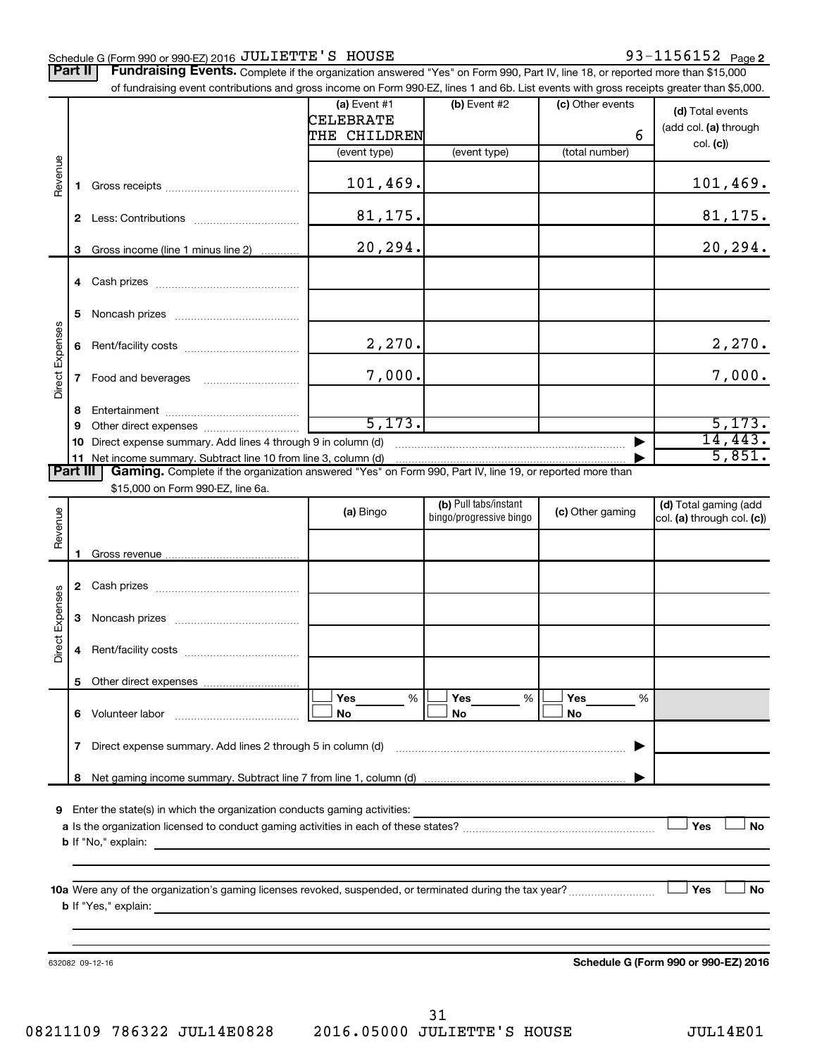### Schedule G (Form 990 or 990-EZ) 2016 Page JULIETTE'S HOUSE 93-1156152

Part II | Fundraising Events. Complete if the organization answered "Yes" on Form 990, Part IV, line 18, or reported more than \$15,000

|                 |              | of fundraising event contributions and gross income on Form 990-EZ, lines 1 and 6b. List events with gross receipts greater than \$5,000.           |              |                         |                  |                                      |
|-----------------|--------------|-----------------------------------------------------------------------------------------------------------------------------------------------------|--------------|-------------------------|------------------|--------------------------------------|
|                 |              |                                                                                                                                                     | (a) Event #1 | (b) Event #2            | (c) Other events | (d) Total events                     |
|                 |              |                                                                                                                                                     | CELEBRATE    |                         |                  | (add col. (a) through                |
|                 |              |                                                                                                                                                     | THE CHILDREN |                         | 6                |                                      |
|                 |              |                                                                                                                                                     | (event type) | (event type)            | (total number)   | col. (c)                             |
|                 |              |                                                                                                                                                     |              |                         |                  |                                      |
| Revenue         | 1.           |                                                                                                                                                     | 101,469.     |                         |                  | 101,469.                             |
|                 |              |                                                                                                                                                     |              |                         |                  |                                      |
|                 | $\mathbf{2}$ |                                                                                                                                                     | 81,175.      |                         |                  | 81, 175.                             |
|                 |              |                                                                                                                                                     |              |                         |                  |                                      |
|                 | 3            | Gross income (line 1 minus line 2)                                                                                                                  | 20,294.      |                         |                  | 20, 294.                             |
|                 |              |                                                                                                                                                     |              |                         |                  |                                      |
|                 |              |                                                                                                                                                     |              |                         |                  |                                      |
|                 |              |                                                                                                                                                     |              |                         |                  |                                      |
|                 | 5            |                                                                                                                                                     |              |                         |                  |                                      |
|                 |              |                                                                                                                                                     |              |                         |                  |                                      |
|                 | 6            |                                                                                                                                                     | 2,270.       |                         |                  | 2,270.                               |
| Direct Expenses |              |                                                                                                                                                     |              |                         |                  |                                      |
|                 | 7            | Food and beverages                                                                                                                                  | 7,000.       |                         |                  | 7,000.                               |
|                 |              |                                                                                                                                                     |              |                         |                  |                                      |
|                 | 8            |                                                                                                                                                     |              |                         |                  |                                      |
|                 | 9            |                                                                                                                                                     | 5, 173.      |                         |                  | 5,173.                               |
|                 | 10           | Direct expense summary. Add lines 4 through 9 in column (d)                                                                                         |              |                         |                  | 14, 443.                             |
|                 |              | 11 Net income summary. Subtract line 10 from line 3, column (d)                                                                                     |              |                         |                  | 5,851.                               |
| <b>Part III</b> |              | Gaming. Complete if the organization answered "Yes" on Form 990, Part IV, line 19, or reported more than                                            |              |                         |                  |                                      |
|                 |              | \$15,000 on Form 990-EZ, line 6a.                                                                                                                   |              |                         |                  |                                      |
|                 |              |                                                                                                                                                     | (a) Bingo    | (b) Pull tabs/instant   | (c) Other gaming | (d) Total gaming (add                |
|                 |              |                                                                                                                                                     |              | bingo/progressive bingo |                  | col. (a) through col. (c))           |
| Revenue         |              |                                                                                                                                                     |              |                         |                  |                                      |
|                 | п.           |                                                                                                                                                     |              |                         |                  |                                      |
|                 |              |                                                                                                                                                     |              |                         |                  |                                      |
|                 | 2            |                                                                                                                                                     |              |                         |                  |                                      |
| Direct Expenses |              |                                                                                                                                                     |              |                         |                  |                                      |
|                 | 3            |                                                                                                                                                     |              |                         |                  |                                      |
|                 |              |                                                                                                                                                     |              |                         |                  |                                      |
|                 | 4            |                                                                                                                                                     |              |                         |                  |                                      |
|                 |              |                                                                                                                                                     |              |                         |                  |                                      |
|                 |              |                                                                                                                                                     |              |                         |                  |                                      |
|                 |              |                                                                                                                                                     | %<br>Yes     | %<br>Yes                | Yes<br>%         |                                      |
|                 |              | 6 Volunteer labor                                                                                                                                   | No           | No                      | No               |                                      |
|                 |              |                                                                                                                                                     |              |                         |                  |                                      |
|                 | 7            | Direct expense summary. Add lines 2 through 5 in column (d)                                                                                         |              |                         |                  |                                      |
|                 |              |                                                                                                                                                     |              |                         |                  |                                      |
|                 |              |                                                                                                                                                     |              |                         |                  |                                      |
|                 |              |                                                                                                                                                     |              |                         |                  |                                      |
|                 |              | 9 Enter the state(s) in which the organization conducts gaming activities:                                                                          |              |                         |                  |                                      |
|                 |              |                                                                                                                                                     |              |                         |                  | Yes<br><b>No</b>                     |
|                 |              | <b>b</b> If "No," explain:<br><u> 1989 - Johann Stoff, deutscher Stoff, der Stoff, der Stoff, der Stoff, der Stoff, der Stoff, der Stoff, der S</u> |              |                         |                  |                                      |
|                 |              |                                                                                                                                                     |              |                         |                  |                                      |
|                 |              |                                                                                                                                                     |              |                         |                  |                                      |
|                 |              |                                                                                                                                                     |              |                         |                  | Yes<br>No                            |
|                 |              |                                                                                                                                                     |              |                         |                  |                                      |
|                 |              |                                                                                                                                                     |              |                         |                  |                                      |
|                 |              |                                                                                                                                                     |              |                         |                  |                                      |
|                 |              | 632082 09-12-16                                                                                                                                     |              |                         |                  | Schedule G (Form 990 or 990-EZ) 2016 |
|                 |              |                                                                                                                                                     |              |                         |                  |                                      |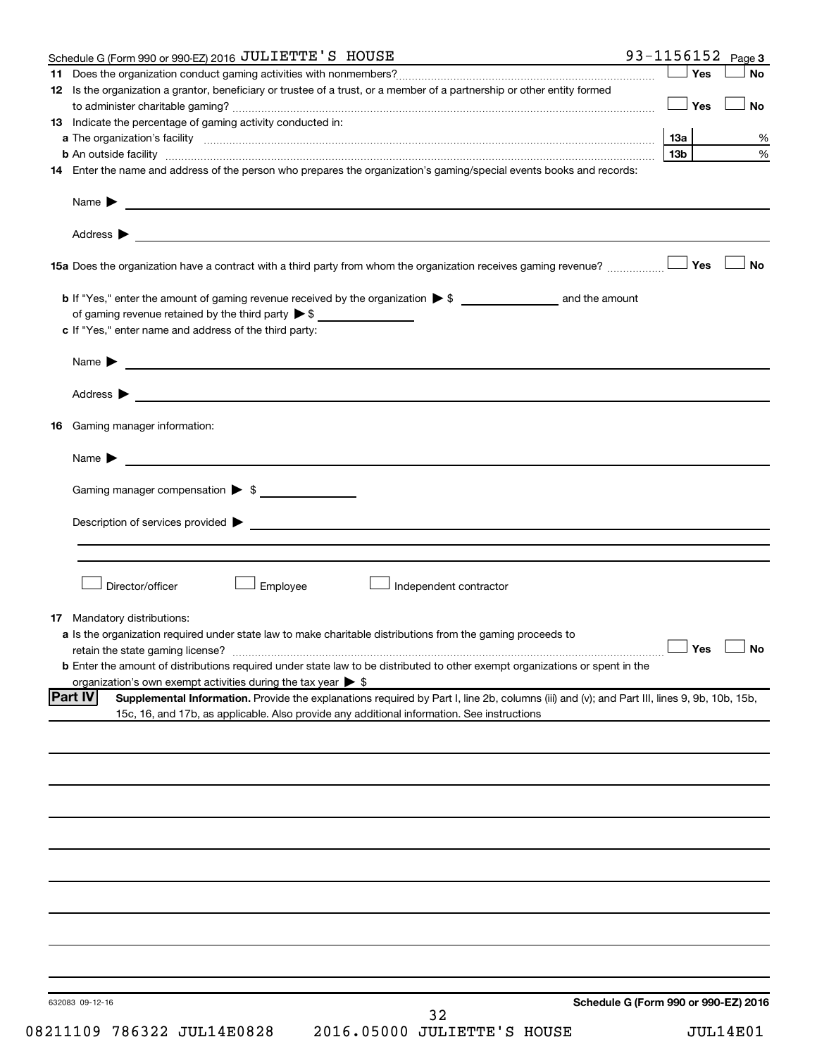|    | Schedule G (Form 990 or 990-EZ) 2016 JULIETTE'S HOUSE                                                                                                                                                                                                              |                 |       | 93-1156152 $Page 3$  |
|----|--------------------------------------------------------------------------------------------------------------------------------------------------------------------------------------------------------------------------------------------------------------------|-----------------|-------|----------------------|
|    |                                                                                                                                                                                                                                                                    |                 | Yes   | <b>No</b>            |
|    | 12 Is the organization a grantor, beneficiary or trustee of a trust, or a member of a partnership or other entity formed                                                                                                                                           |                 | ∣ Yes | No                   |
|    | 13 Indicate the percentage of gaming activity conducted in:                                                                                                                                                                                                        |                 |       |                      |
|    |                                                                                                                                                                                                                                                                    |                 |       | %                    |
|    |                                                                                                                                                                                                                                                                    | 13 <sub>b</sub> |       | %                    |
|    | 14 Enter the name and address of the person who prepares the organization's gaming/special events books and records:                                                                                                                                               |                 |       |                      |
|    | Name $\blacktriangleright$<br><u>and the state of the state of the state of the state of the state of the state of the state of the state of the state of the state of the state of the state of the state of the state of the state of the state of the state</u> |                 |       |                      |
|    |                                                                                                                                                                                                                                                                    |                 |       |                      |
|    |                                                                                                                                                                                                                                                                    |                 |       | <b>No</b>            |
|    |                                                                                                                                                                                                                                                                    |                 |       |                      |
|    |                                                                                                                                                                                                                                                                    |                 |       |                      |
|    | c If "Yes," enter name and address of the third party:                                                                                                                                                                                                             |                 |       |                      |
|    |                                                                                                                                                                                                                                                                    |                 |       |                      |
|    | Address ><br><u> 1989 - Johann Harry Harry Harry Harry Harry Harry Harry Harry Harry Harry Harry Harry Harry Harry Harry Harry</u>                                                                                                                                 |                 |       |                      |
|    | 16 Gaming manager information:                                                                                                                                                                                                                                     |                 |       |                      |
|    | Name $\blacktriangleright$<br><u> 1989 - Johann Barnett, fransk politiker (d. 1989)</u>                                                                                                                                                                            |                 |       |                      |
|    | Gaming manager compensation > \$                                                                                                                                                                                                                                   |                 |       |                      |
|    |                                                                                                                                                                                                                                                                    |                 |       |                      |
|    |                                                                                                                                                                                                                                                                    |                 |       |                      |
|    |                                                                                                                                                                                                                                                                    |                 |       |                      |
|    | Director/officer<br>Employee<br>Independent contractor                                                                                                                                                                                                             |                 |       |                      |
| 17 | Mandatory distributions:                                                                                                                                                                                                                                           |                 |       |                      |
|    | a Is the organization required under state law to make charitable distributions from the gaming proceeds to                                                                                                                                                        |                 |       |                      |
|    |                                                                                                                                                                                                                                                                    |                 |       | $\Box$ Yes $\Box$ No |
|    | <b>b</b> Enter the amount of distributions required under state law to be distributed to other exempt organizations or spent in the                                                                                                                                |                 |       |                      |
|    | organization's own exempt activities during the tax year $\triangleright$ \$                                                                                                                                                                                       |                 |       |                      |
|    | <b>Part IV</b><br>Supplemental Information. Provide the explanations required by Part I, line 2b, columns (iii) and (v); and Part III, lines 9, 9b, 10b, 15b,                                                                                                      |                 |       |                      |
|    | 15c, 16, and 17b, as applicable. Also provide any additional information. See instructions                                                                                                                                                                         |                 |       |                      |
|    |                                                                                                                                                                                                                                                                    |                 |       |                      |
|    |                                                                                                                                                                                                                                                                    |                 |       |                      |
|    |                                                                                                                                                                                                                                                                    |                 |       |                      |
|    |                                                                                                                                                                                                                                                                    |                 |       |                      |
|    |                                                                                                                                                                                                                                                                    |                 |       |                      |
|    |                                                                                                                                                                                                                                                                    |                 |       |                      |
|    |                                                                                                                                                                                                                                                                    |                 |       |                      |
|    |                                                                                                                                                                                                                                                                    |                 |       |                      |
|    |                                                                                                                                                                                                                                                                    |                 |       |                      |
|    |                                                                                                                                                                                                                                                                    |                 |       |                      |
|    |                                                                                                                                                                                                                                                                    |                 |       |                      |
|    |                                                                                                                                                                                                                                                                    |                 |       |                      |
|    |                                                                                                                                                                                                                                                                    |                 |       |                      |
|    |                                                                                                                                                                                                                                                                    |                 |       |                      |
|    |                                                                                                                                                                                                                                                                    |                 |       |                      |
|    | Schedule G (Form 990 or 990-EZ) 2016<br>632083 09-12-16                                                                                                                                                                                                            |                 |       |                      |
|    | 32                                                                                                                                                                                                                                                                 |                 |       |                      |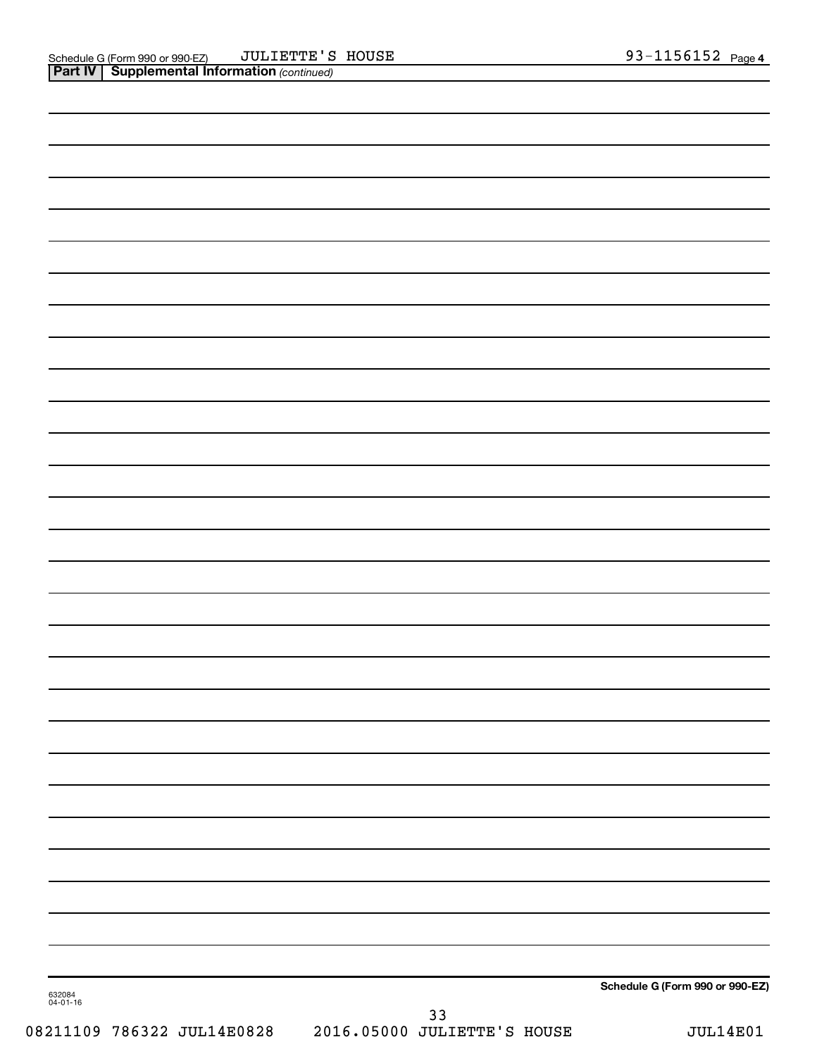|                    |    | Schedule G (Form 990 or 990-EZ) |
|--------------------|----|---------------------------------|
| 632084<br>04-01-16 | 33 |                                 |